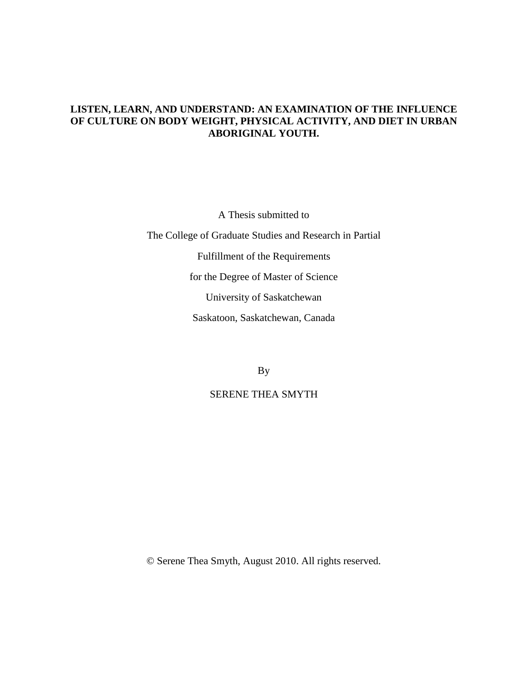# **LISTEN, LEARN, AND UNDERSTAND: AN EXAMINATION OF THE INFLUENCE OF CULTURE ON BODY WEIGHT, PHYSICAL ACTIVITY, AND DIET IN URBAN ABORIGINAL YOUTH.**

A Thesis submitted to The College of Graduate Studies and Research in Partial Fulfillment of the Requirements for the Degree of Master of Science University of Saskatchewan Saskatoon, Saskatchewan, Canada

By

# SERENE THEA SMYTH

© Serene Thea Smyth, August 2010. All rights reserved.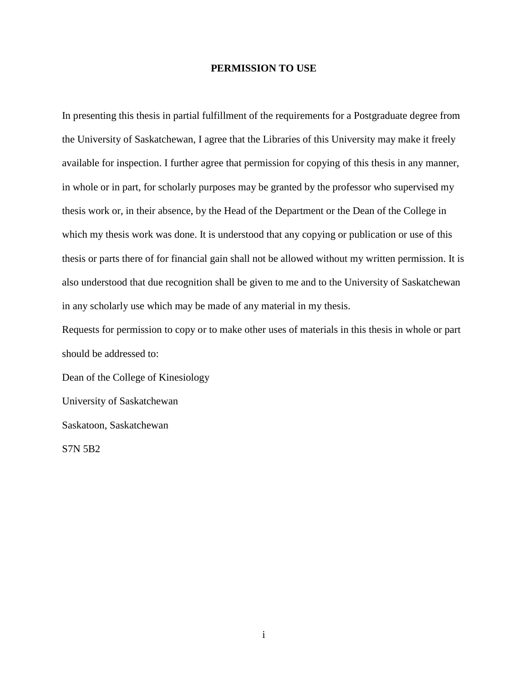## **PERMISSION TO USE**

In presenting this thesis in partial fulfillment of the requirements for a Postgraduate degree from the University of Saskatchewan, I agree that the Libraries of this University may make it freely available for inspection. I further agree that permission for copying of this thesis in any manner, in whole or in part, for scholarly purposes may be granted by the professor who supervised my thesis work or, in their absence, by the Head of the Department or the Dean of the College in which my thesis work was done. It is understood that any copying or publication or use of this thesis or parts there of for financial gain shall not be allowed without my written permission. It is also understood that due recognition shall be given to me and to the University of Saskatchewan in any scholarly use which may be made of any material in my thesis.

Requests for permission to copy or to make other uses of materials in this thesis in whole or part should be addressed to:

Dean of the College of Kinesiology University of Saskatchewan Saskatoon, Saskatchewan S7N 5B2

i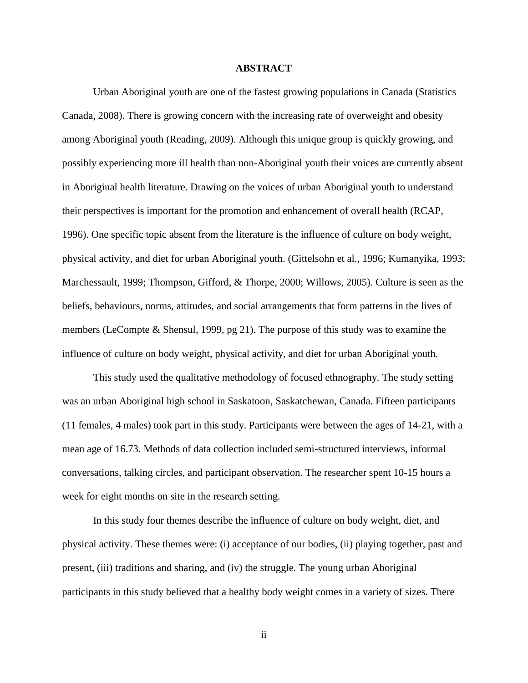## **ABSTRACT**

Urban Aboriginal youth are one of the fastest growing populations in Canada (Statistics Canada, 2008). There is growing concern with the increasing rate of overweight and obesity among Aboriginal youth (Reading, 2009). Although this unique group is quickly growing, and possibly experiencing more ill health than non-Aboriginal youth their voices are currently absent in Aboriginal health literature. Drawing on the voices of urban Aboriginal youth to understand their perspectives is important for the promotion and enhancement of overall health (RCAP, 1996). One specific topic absent from the literature is the influence of culture on body weight, physical activity, and diet for urban Aboriginal youth. (Gittelsohn et al., 1996; Kumanyika, 1993; Marchessault, 1999; Thompson, Gifford, & Thorpe, 2000; Willows, 2005). Culture is seen as the beliefs, behaviours, norms, attitudes, and social arrangements that form patterns in the lives of members (LeCompte & Shensul, 1999, pg 21). The purpose of this study was to examine the influence of culture on body weight, physical activity, and diet for urban Aboriginal youth.

This study used the qualitative methodology of focused ethnography. The study setting was an urban Aboriginal high school in Saskatoon, Saskatchewan, Canada. Fifteen participants (11 females, 4 males) took part in this study. Participants were between the ages of 14-21, with a mean age of 16.73. Methods of data collection included semi-structured interviews, informal conversations, talking circles, and participant observation. The researcher spent 10-15 hours a week for eight months on site in the research setting.

In this study four themes describe the influence of culture on body weight, diet, and physical activity. These themes were: (i) acceptance of our bodies, (ii) playing together, past and present, (iii) traditions and sharing, and (iv) the struggle. The young urban Aboriginal participants in this study believed that a healthy body weight comes in a variety of sizes. There

ii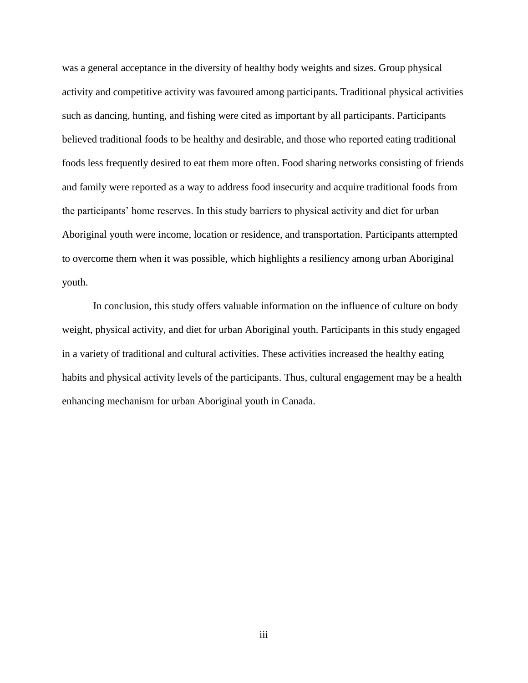was a general acceptance in the diversity of healthy body weights and sizes. Group physical activity and competitive activity was favoured among participants. Traditional physical activities such as dancing, hunting, and fishing were cited as important by all participants. Participants believed traditional foods to be healthy and desirable, and those who reported eating traditional foods less frequently desired to eat them more often. Food sharing networks consisting of friends and family were reported as a way to address food insecurity and acquire traditional foods from the participants' home reserves. In this study barriers to physical activity and diet for urban Aboriginal youth were income, location or residence, and transportation. Participants attempted to overcome them when it was possible, which highlights a resiliency among urban Aboriginal youth.

In conclusion, this study offers valuable information on the influence of culture on body weight, physical activity, and diet for urban Aboriginal youth. Participants in this study engaged in a variety of traditional and cultural activities. These activities increased the healthy eating habits and physical activity levels of the participants. Thus, cultural engagement may be a health enhancing mechanism for urban Aboriginal youth in Canada.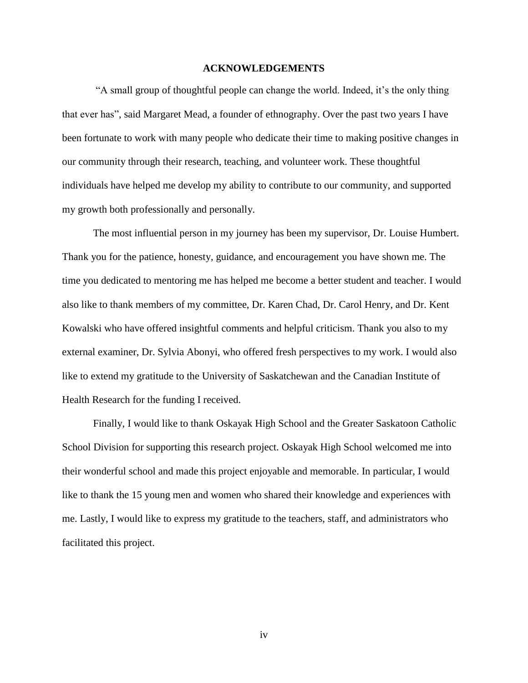# **ACKNOWLEDGEMENTS**

―A small group of thoughtful people can change the world. Indeed, it's the only thing that ever has", said Margaret Mead, a founder of ethnography. Over the past two years I have been fortunate to work with many people who dedicate their time to making positive changes in our community through their research, teaching, and volunteer work. These thoughtful individuals have helped me develop my ability to contribute to our community, and supported my growth both professionally and personally.

The most influential person in my journey has been my supervisor, Dr. Louise Humbert. Thank you for the patience, honesty, guidance, and encouragement you have shown me. The time you dedicated to mentoring me has helped me become a better student and teacher. I would also like to thank members of my committee, Dr. Karen Chad, Dr. Carol Henry, and Dr. Kent Kowalski who have offered insightful comments and helpful criticism. Thank you also to my external examiner, Dr. Sylvia Abonyi, who offered fresh perspectives to my work. I would also like to extend my gratitude to the University of Saskatchewan and the Canadian Institute of Health Research for the funding I received.

Finally, I would like to thank Oskayak High School and the Greater Saskatoon Catholic School Division for supporting this research project. Oskayak High School welcomed me into their wonderful school and made this project enjoyable and memorable. In particular, I would like to thank the 15 young men and women who shared their knowledge and experiences with me. Lastly, I would like to express my gratitude to the teachers, staff, and administrators who facilitated this project.

iv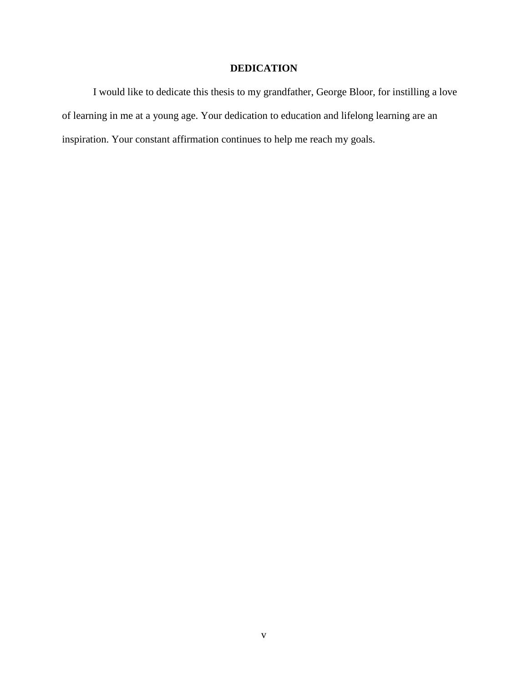# **DEDICATION**

I would like to dedicate this thesis to my grandfather, George Bloor, for instilling a love of learning in me at a young age. Your dedication to education and lifelong learning are an inspiration. Your constant affirmation continues to help me reach my goals.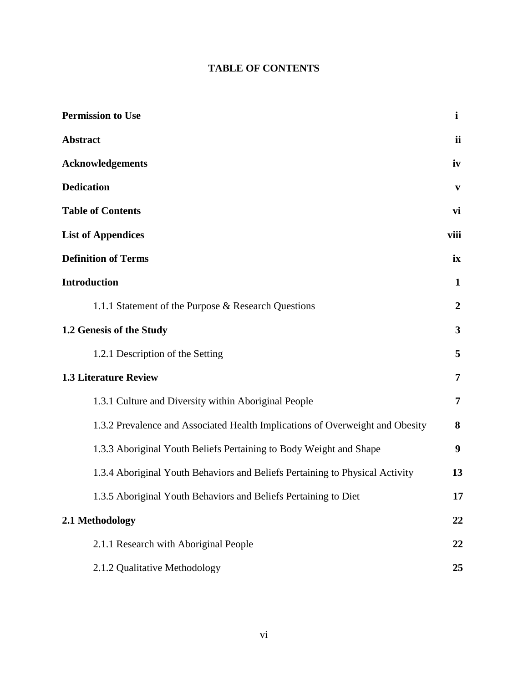# **TABLE OF CONTENTS**

| <b>Permission to Use</b>                                                      | i                |
|-------------------------------------------------------------------------------|------------------|
| <b>Abstract</b>                                                               | ii               |
| <b>Acknowledgements</b>                                                       | iv               |
| <b>Dedication</b>                                                             | V                |
| <b>Table of Contents</b>                                                      | vi               |
| <b>List of Appendices</b>                                                     | viii             |
| <b>Definition of Terms</b>                                                    | ix               |
| <b>Introduction</b>                                                           | 1                |
| 1.1.1 Statement of the Purpose & Research Questions                           | $\boldsymbol{2}$ |
| 1.2 Genesis of the Study                                                      | 3                |
| 1.2.1 Description of the Setting                                              | 5                |
| <b>1.3 Literature Review</b>                                                  | 7                |
| 1.3.1 Culture and Diversity within Aboriginal People                          | 7                |
| 1.3.2 Prevalence and Associated Health Implications of Overweight and Obesity | 8                |
| 1.3.3 Aboriginal Youth Beliefs Pertaining to Body Weight and Shape            | 9                |
| 1.3.4 Aboriginal Youth Behaviors and Beliefs Pertaining to Physical Activity  | 13               |
| 1.3.5 Aboriginal Youth Behaviors and Beliefs Pertaining to Diet               | 17               |
| 2.1 Methodology                                                               | 22               |
| 2.1.1 Research with Aboriginal People                                         | 22               |
| 2.1.2 Qualitative Methodology                                                 | 25               |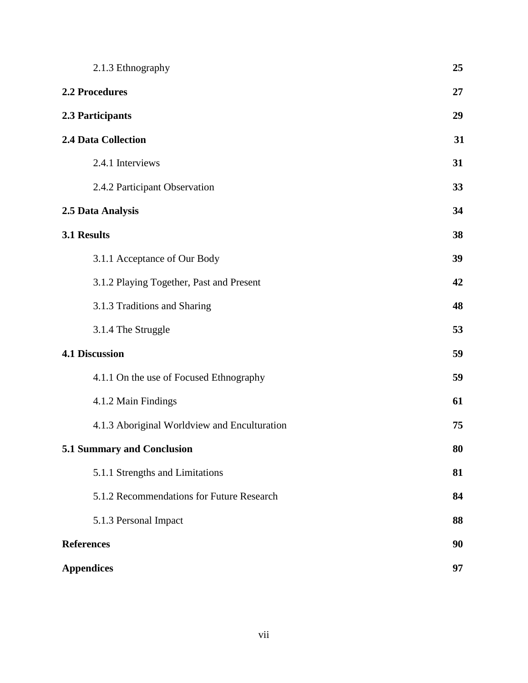| 2.1.3 Ethnography                            | 25 |
|----------------------------------------------|----|
| <b>2.2 Procedures</b>                        | 27 |
| 2.3 Participants                             | 29 |
| <b>2.4 Data Collection</b>                   | 31 |
| 2.4.1 Interviews                             | 31 |
| 2.4.2 Participant Observation                | 33 |
| 2.5 Data Analysis                            | 34 |
| 3.1 Results                                  | 38 |
| 3.1.1 Acceptance of Our Body                 | 39 |
| 3.1.2 Playing Together, Past and Present     | 42 |
| 3.1.3 Traditions and Sharing                 | 48 |
| 3.1.4 The Struggle                           | 53 |
| <b>4.1 Discussion</b>                        | 59 |
| 4.1.1 On the use of Focused Ethnography      | 59 |
| 4.1.2 Main Findings                          | 61 |
| 4.1.3 Aboriginal Worldview and Enculturation | 75 |
| 5.1 Summary and Conclusion                   | 80 |
| 5.1.1 Strengths and Limitations              | 81 |
| 5.1.2 Recommendations for Future Research    | 84 |
| 5.1.3 Personal Impact                        | 88 |
| <b>References</b>                            | 90 |
| <b>Appendices</b>                            | 97 |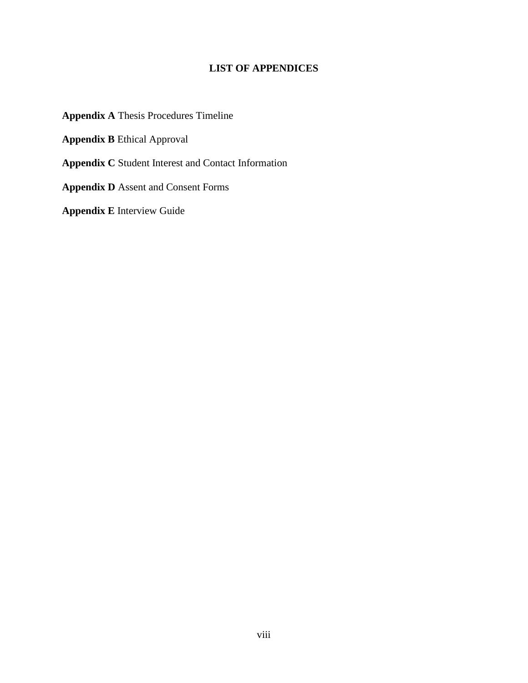# **LIST OF APPENDICES**

**Appendix A** Thesis Procedures Timeline

**Appendix B** Ethical Approval

**Appendix C** Student Interest and Contact Information

**Appendix D** Assent and Consent Forms

**Appendix E** Interview Guide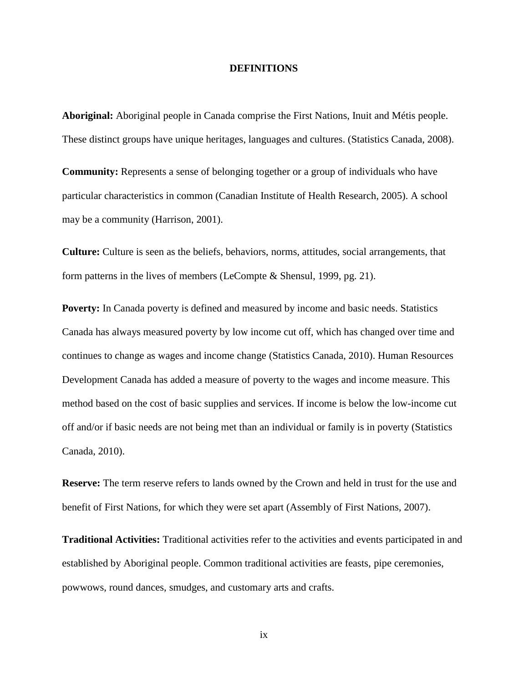### **DEFINITIONS**

**Aboriginal:** Aboriginal people in Canada comprise the First Nations, Inuit and Métis people. These distinct groups have unique heritages, languages and cultures. (Statistics Canada, 2008).

**Community:** Represents a sense of belonging together or a group of individuals who have particular characteristics in common (Canadian Institute of Health Research, 2005). A school may be a community (Harrison, 2001).

**Culture:** Culture is seen as the beliefs, behaviors, norms, attitudes, social arrangements, that form patterns in the lives of members (LeCompte & Shensul, 1999, pg. 21).

**Poverty:** In Canada poverty is defined and measured by income and basic needs. Statistics Canada has always measured poverty by low income cut off, which has changed over time and continues to change as wages and income change (Statistics Canada, 2010). Human Resources Development Canada has added a measure of poverty to the wages and income measure. This method based on the cost of basic supplies and services. If income is below the low-income cut off and/or if basic needs are not being met than an individual or family is in poverty (Statistics Canada, 2010).

**Reserve:** The term reserve refers to lands owned by the Crown and held in trust for the use and benefit of First Nations, for which they were set apart (Assembly of First Nations, 2007).

**Traditional Activities:** Traditional activities refer to the activities and events participated in and established by Aboriginal people. Common traditional activities are feasts, pipe ceremonies, powwows, round dances, smudges, and customary arts and crafts.

ix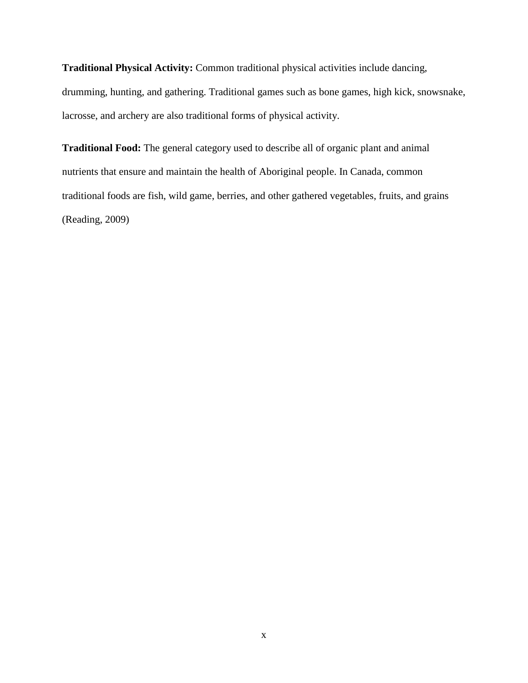**Traditional Physical Activity:** Common traditional physical activities include dancing, drumming, hunting, and gathering. Traditional games such as bone games, high kick, snowsnake, lacrosse, and archery are also traditional forms of physical activity.

**Traditional Food:** The general category used to describe all of organic plant and animal nutrients that ensure and maintain the health of Aboriginal people. In Canada, common traditional foods are fish, wild game, berries, and other gathered vegetables, fruits, and grains (Reading, 2009)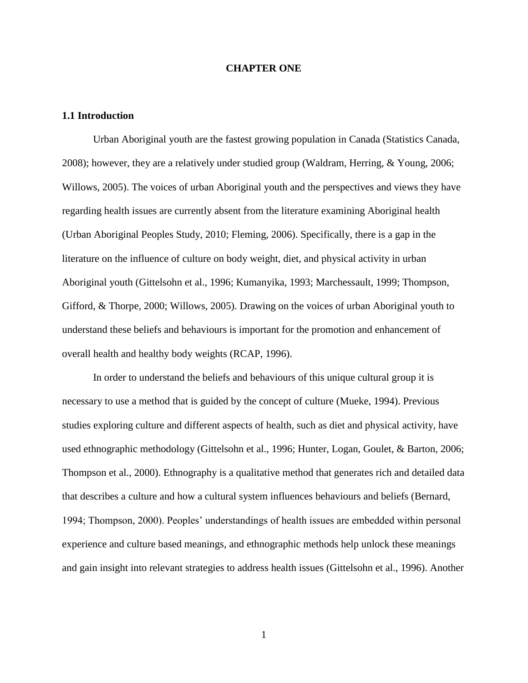## **CHAPTER ONE**

# **1.1 Introduction**

Urban Aboriginal youth are the fastest growing population in Canada (Statistics Canada, 2008); however, they are a relatively under studied group (Waldram, Herring, & Young, 2006; Willows, 2005). The voices of urban Aboriginal youth and the perspectives and views they have regarding health issues are currently absent from the literature examining Aboriginal health (Urban Aboriginal Peoples Study, 2010; Fleming, 2006). Specifically, there is a gap in the literature on the influence of culture on body weight, diet, and physical activity in urban Aboriginal youth (Gittelsohn et al., 1996; Kumanyika, 1993; Marchessault, 1999; Thompson, Gifford, & Thorpe, 2000; Willows, 2005). Drawing on the voices of urban Aboriginal youth to understand these beliefs and behaviours is important for the promotion and enhancement of overall health and healthy body weights (RCAP, 1996).

In order to understand the beliefs and behaviours of this unique cultural group it is necessary to use a method that is guided by the concept of culture (Mueke, 1994). Previous studies exploring culture and different aspects of health, such as diet and physical activity, have used ethnographic methodology (Gittelsohn et al., 1996; Hunter, Logan, Goulet, & Barton, 2006; Thompson et al., 2000). Ethnography is a qualitative method that generates rich and detailed data that describes a culture and how a cultural system influences behaviours and beliefs (Bernard, 1994; Thompson, 2000). Peoples' understandings of health issues are embedded within personal experience and culture based meanings, and ethnographic methods help unlock these meanings and gain insight into relevant strategies to address health issues (Gittelsohn et al., 1996). Another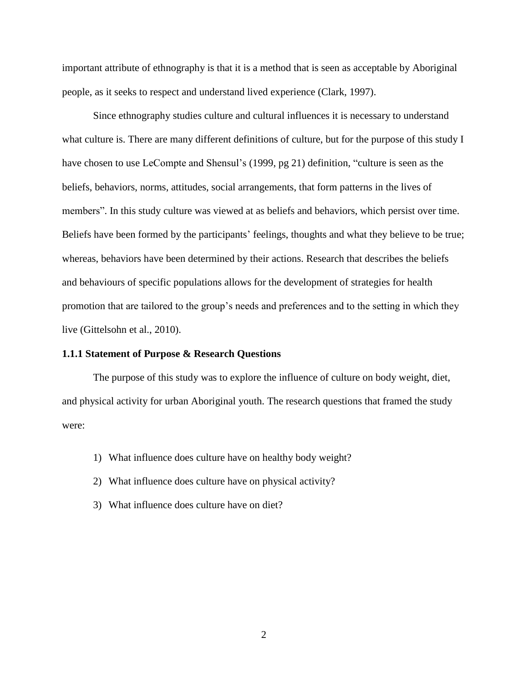important attribute of ethnography is that it is a method that is seen as acceptable by Aboriginal people, as it seeks to respect and understand lived experience (Clark, 1997).

Since ethnography studies culture and cultural influences it is necessary to understand what culture is. There are many different definitions of culture, but for the purpose of this study I have chosen to use LeCompte and Shensul's (1999, pg 21) definition, "culture is seen as the beliefs, behaviors, norms, attitudes, social arrangements, that form patterns in the lives of members". In this study culture was viewed at as beliefs and behaviors, which persist over time. Beliefs have been formed by the participants' feelings, thoughts and what they believe to be true; whereas, behaviors have been determined by their actions. Research that describes the beliefs and behaviours of specific populations allows for the development of strategies for health promotion that are tailored to the group's needs and preferences and to the setting in which they live (Gittelsohn et al., 2010).

# **1.1.1 Statement of Purpose & Research Questions**

The purpose of this study was to explore the influence of culture on body weight, diet, and physical activity for urban Aboriginal youth. The research questions that framed the study were:

- 1) What influence does culture have on healthy body weight?
- 2) What influence does culture have on physical activity?
- 3) What influence does culture have on diet?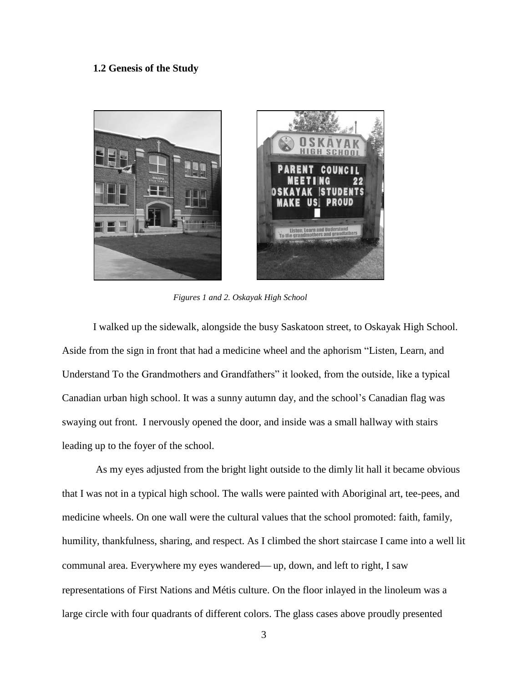# **1.2 Genesis of the Study**



*Figures 1 and 2. Oskayak High School*

I walked up the sidewalk, alongside the busy Saskatoon street, to Oskayak High School. Aside from the sign in front that had a medicine wheel and the aphorism "Listen, Learn, and Understand To the Grandmothers and Grandfathers" it looked, from the outside, like a typical Canadian urban high school. It was a sunny autumn day, and the school's Canadian flag was swaying out front. I nervously opened the door, and inside was a small hallway with stairs leading up to the foyer of the school.

As my eyes adjusted from the bright light outside to the dimly lit hall it became obvious that I was not in a typical high school. The walls were painted with Aboriginal art, tee-pees, and medicine wheels. On one wall were the cultural values that the school promoted: faith, family, humility, thankfulness, sharing, and respect. As I climbed the short staircase I came into a well lit communal area. Everywhere my eyes wandered—up, down, and left to right, I saw representations of First Nations and Métis culture. On the floor inlayed in the linoleum was a large circle with four quadrants of different colors. The glass cases above proudly presented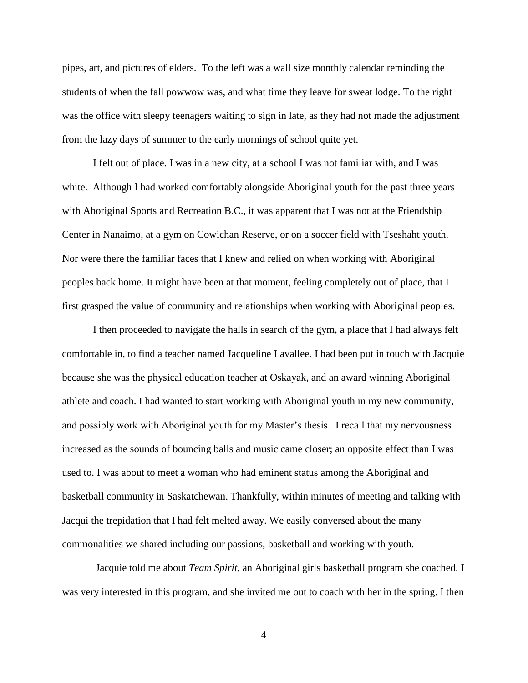pipes, art, and pictures of elders. To the left was a wall size monthly calendar reminding the students of when the fall powwow was, and what time they leave for sweat lodge. To the right was the office with sleepy teenagers waiting to sign in late, as they had not made the adjustment from the lazy days of summer to the early mornings of school quite yet.

I felt out of place. I was in a new city, at a school I was not familiar with, and I was white. Although I had worked comfortably alongside Aboriginal youth for the past three years with Aboriginal Sports and Recreation B.C., it was apparent that I was not at the Friendship Center in Nanaimo, at a gym on Cowichan Reserve, or on a soccer field with Tseshaht youth. Nor were there the familiar faces that I knew and relied on when working with Aboriginal peoples back home. It might have been at that moment, feeling completely out of place, that I first grasped the value of community and relationships when working with Aboriginal peoples.

I then proceeded to navigate the halls in search of the gym, a place that I had always felt comfortable in, to find a teacher named Jacqueline Lavallee. I had been put in touch with Jacquie because she was the physical education teacher at Oskayak, and an award winning Aboriginal athlete and coach. I had wanted to start working with Aboriginal youth in my new community, and possibly work with Aboriginal youth for my Master's thesis. I recall that my nervousness increased as the sounds of bouncing balls and music came closer; an opposite effect than I was used to. I was about to meet a woman who had eminent status among the Aboriginal and basketball community in Saskatchewan. Thankfully, within minutes of meeting and talking with Jacqui the trepidation that I had felt melted away. We easily conversed about the many commonalities we shared including our passions, basketball and working with youth.

Jacquie told me about *Team Spirit*, an Aboriginal girls basketball program she coached. I was very interested in this program, and she invited me out to coach with her in the spring. I then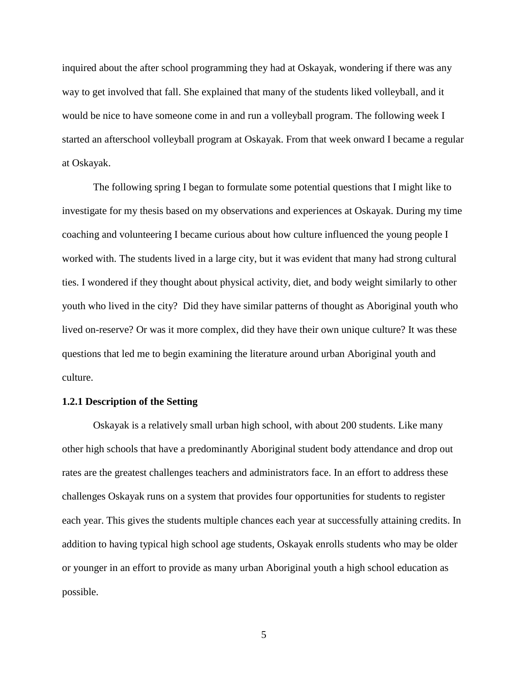inquired about the after school programming they had at Oskayak, wondering if there was any way to get involved that fall. She explained that many of the students liked volleyball, and it would be nice to have someone come in and run a volleyball program. The following week I started an afterschool volleyball program at Oskayak. From that week onward I became a regular at Oskayak.

The following spring I began to formulate some potential questions that I might like to investigate for my thesis based on my observations and experiences at Oskayak. During my time coaching and volunteering I became curious about how culture influenced the young people I worked with. The students lived in a large city, but it was evident that many had strong cultural ties. I wondered if they thought about physical activity, diet, and body weight similarly to other youth who lived in the city? Did they have similar patterns of thought as Aboriginal youth who lived on-reserve? Or was it more complex, did they have their own unique culture? It was these questions that led me to begin examining the literature around urban Aboriginal youth and culture.

# **1.2.1 Description of the Setting**

Oskayak is a relatively small urban high school, with about 200 students. Like many other high schools that have a predominantly Aboriginal student body attendance and drop out rates are the greatest challenges teachers and administrators face. In an effort to address these challenges Oskayak runs on a system that provides four opportunities for students to register each year. This gives the students multiple chances each year at successfully attaining credits. In addition to having typical high school age students, Oskayak enrolls students who may be older or younger in an effort to provide as many urban Aboriginal youth a high school education as possible.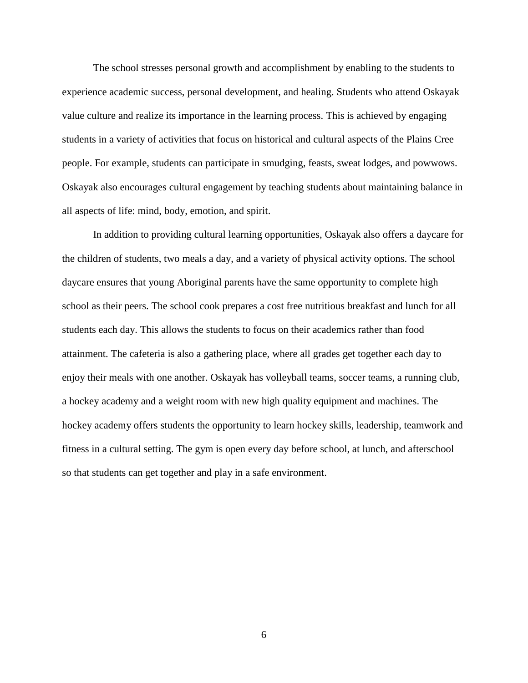The school stresses personal growth and accomplishment by enabling to the students to experience academic success, personal development, and healing. Students who attend Oskayak value culture and realize its importance in the learning process. This is achieved by engaging students in a variety of activities that focus on historical and cultural aspects of the Plains Cree people. For example, students can participate in smudging, feasts, sweat lodges, and powwows. Oskayak also encourages cultural engagement by teaching students about maintaining balance in all aspects of life: mind, body, emotion, and spirit.

In addition to providing cultural learning opportunities, Oskayak also offers a daycare for the children of students, two meals a day, and a variety of physical activity options. The school daycare ensures that young Aboriginal parents have the same opportunity to complete high school as their peers. The school cook prepares a cost free nutritious breakfast and lunch for all students each day. This allows the students to focus on their academics rather than food attainment. The cafeteria is also a gathering place, where all grades get together each day to enjoy their meals with one another. Oskayak has volleyball teams, soccer teams, a running club, a hockey academy and a weight room with new high quality equipment and machines. The hockey academy offers students the opportunity to learn hockey skills, leadership, teamwork and fitness in a cultural setting. The gym is open every day before school, at lunch, and afterschool so that students can get together and play in a safe environment.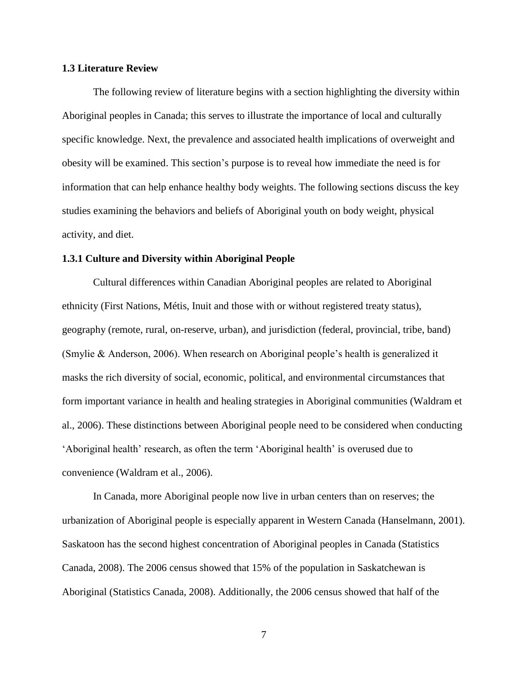# **1.3 Literature Review**

The following review of literature begins with a section highlighting the diversity within Aboriginal peoples in Canada; this serves to illustrate the importance of local and culturally specific knowledge. Next, the prevalence and associated health implications of overweight and obesity will be examined. This section's purpose is to reveal how immediate the need is for information that can help enhance healthy body weights. The following sections discuss the key studies examining the behaviors and beliefs of Aboriginal youth on body weight, physical activity, and diet.

### **1.3.1 Culture and Diversity within Aboriginal People**

Cultural differences within Canadian Aboriginal peoples are related to Aboriginal ethnicity (First Nations, Métis, Inuit and those with or without registered treaty status), geography (remote, rural, on-reserve, urban), and jurisdiction (federal, provincial, tribe, band) (Smylie & Anderson, 2006). When research on Aboriginal people's health is generalized it masks the rich diversity of social, economic, political, and environmental circumstances that form important variance in health and healing strategies in Aboriginal communities (Waldram et al., 2006). These distinctions between Aboriginal people need to be considered when conducting ‗Aboriginal health' research, as often the term ‗Aboriginal health' is overused due to convenience (Waldram et al., 2006).

In Canada, more Aboriginal people now live in urban centers than on reserves; the urbanization of Aboriginal people is especially apparent in Western Canada (Hanselmann, 2001). Saskatoon has the second highest concentration of Aboriginal peoples in Canada (Statistics Canada, 2008). The 2006 census showed that 15% of the population in Saskatchewan is Aboriginal (Statistics Canada, 2008). Additionally, the 2006 census showed that half of the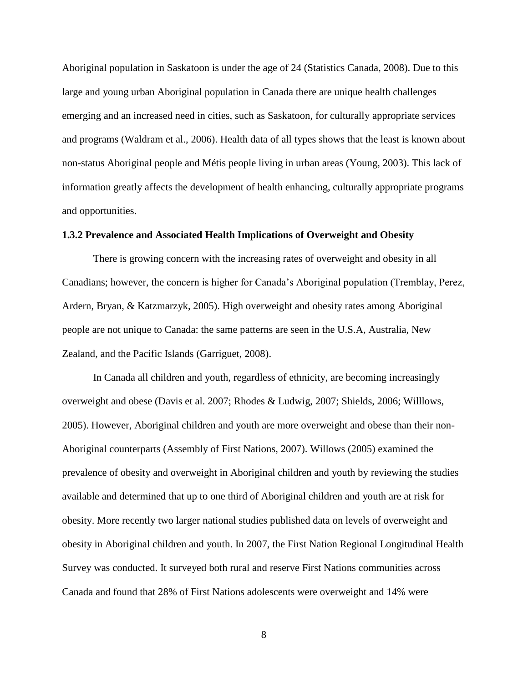Aboriginal population in Saskatoon is under the age of 24 (Statistics Canada, 2008). Due to this large and young urban Aboriginal population in Canada there are unique health challenges emerging and an increased need in cities, such as Saskatoon, for culturally appropriate services and programs (Waldram et al., 2006). Health data of all types shows that the least is known about non-status Aboriginal people and Métis people living in urban areas (Young, 2003). This lack of information greatly affects the development of health enhancing, culturally appropriate programs and opportunities.

#### **1.3.2 Prevalence and Associated Health Implications of Overweight and Obesity**

There is growing concern with the increasing rates of overweight and obesity in all Canadians; however, the concern is higher for Canada's Aboriginal population (Tremblay, Perez, Ardern, Bryan, & Katzmarzyk, 2005). High overweight and obesity rates among Aboriginal people are not unique to Canada: the same patterns are seen in the U.S.A, Australia, New Zealand, and the Pacific Islands (Garriguet, 2008).

In Canada all children and youth, regardless of ethnicity, are becoming increasingly overweight and obese (Davis et al. 2007; Rhodes & Ludwig, 2007; Shields, 2006; Willlows, 2005). However, Aboriginal children and youth are more overweight and obese than their non-Aboriginal counterparts (Assembly of First Nations, 2007). Willows (2005) examined the prevalence of obesity and overweight in Aboriginal children and youth by reviewing the studies available and determined that up to one third of Aboriginal children and youth are at risk for obesity. More recently two larger national studies published data on levels of overweight and obesity in Aboriginal children and youth. In 2007, the First Nation Regional Longitudinal Health Survey was conducted. It surveyed both rural and reserve First Nations communities across Canada and found that 28% of First Nations adolescents were overweight and 14% were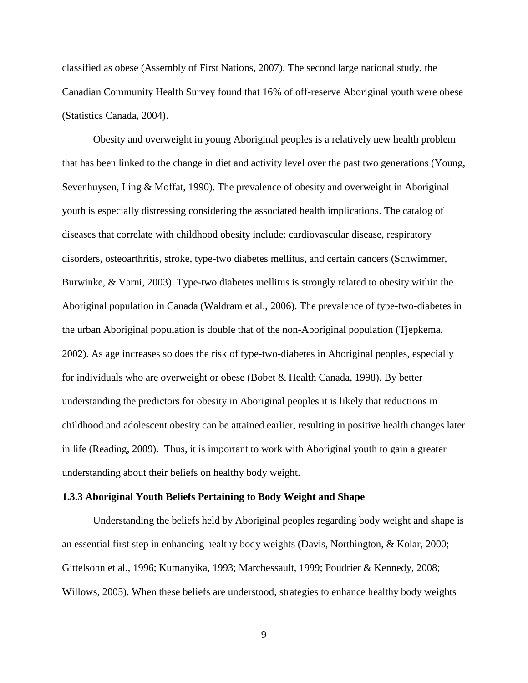classified as obese (Assembly of First Nations, 2007). The second large national study, the Canadian Community Health Survey found that 16% of off-reserve Aboriginal youth were obese (Statistics Canada, 2004).

Obesity and overweight in young Aboriginal peoples is a relatively new health problem that has been linked to the change in diet and activity level over the past two generations (Young, Sevenhuysen, Ling & Moffat, 1990). The prevalence of obesity and overweight in Aboriginal youth is especially distressing considering the associated health implications. The catalog of diseases that correlate with childhood obesity include: cardiovascular disease, respiratory disorders, osteoarthritis, stroke, type-two diabetes mellitus, and certain cancers (Schwimmer, Burwinke, & Varni, 2003). Type-two diabetes mellitus is strongly related to obesity within the Aboriginal population in Canada (Waldram et al., 2006). The prevalence of type-two-diabetes in the urban Aboriginal population is double that of the non-Aboriginal population (Tjepkema, 2002). As age increases so does the risk of type-two-diabetes in Aboriginal peoples, especially for individuals who are overweight or obese (Bobet & Health Canada, 1998). By better understanding the predictors for obesity in Aboriginal peoples it is likely that reductions in childhood and adolescent obesity can be attained earlier, resulting in positive health changes later in life (Reading, 2009). Thus, it is important to work with Aboriginal youth to gain a greater understanding about their beliefs on healthy body weight.

#### **1.3.3 Aboriginal Youth Beliefs Pertaining to Body Weight and Shape**

Understanding the beliefs held by Aboriginal peoples regarding body weight and shape is an essential first step in enhancing healthy body weights (Davis, Northington, & Kolar, 2000; Gittelsohn et al., 1996; Kumanyika, 1993; Marchessault, 1999; Poudrier & Kennedy, 2008; Willows, 2005). When these beliefs are understood, strategies to enhance healthy body weights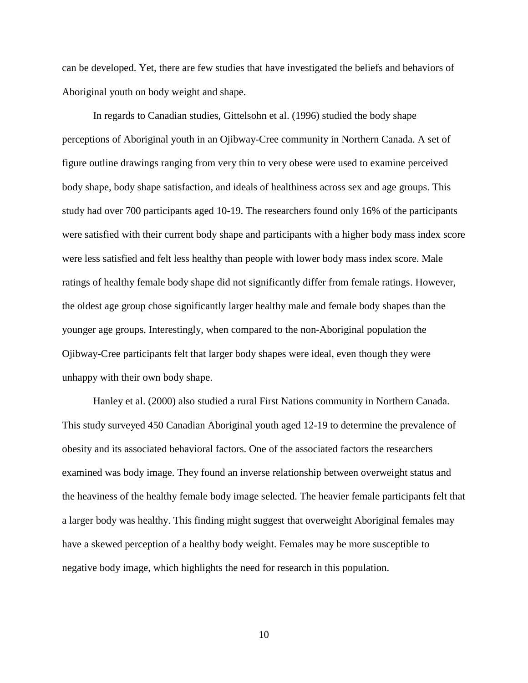can be developed. Yet, there are few studies that have investigated the beliefs and behaviors of Aboriginal youth on body weight and shape.

In regards to Canadian studies, Gittelsohn et al. (1996) studied the body shape perceptions of Aboriginal youth in an Ojibway-Cree community in Northern Canada. A set of figure outline drawings ranging from very thin to very obese were used to examine perceived body shape, body shape satisfaction, and ideals of healthiness across sex and age groups. This study had over 700 participants aged 10-19. The researchers found only 16% of the participants were satisfied with their current body shape and participants with a higher body mass index score were less satisfied and felt less healthy than people with lower body mass index score. Male ratings of healthy female body shape did not significantly differ from female ratings. However, the oldest age group chose significantly larger healthy male and female body shapes than the younger age groups. Interestingly, when compared to the non-Aboriginal population the Ojibway-Cree participants felt that larger body shapes were ideal, even though they were unhappy with their own body shape.

Hanley et al. (2000) also studied a rural First Nations community in Northern Canada. This study surveyed 450 Canadian Aboriginal youth aged 12-19 to determine the prevalence of obesity and its associated behavioral factors. One of the associated factors the researchers examined was body image. They found an inverse relationship between overweight status and the heaviness of the healthy female body image selected. The heavier female participants felt that a larger body was healthy. This finding might suggest that overweight Aboriginal females may have a skewed perception of a healthy body weight. Females may be more susceptible to negative body image, which highlights the need for research in this population.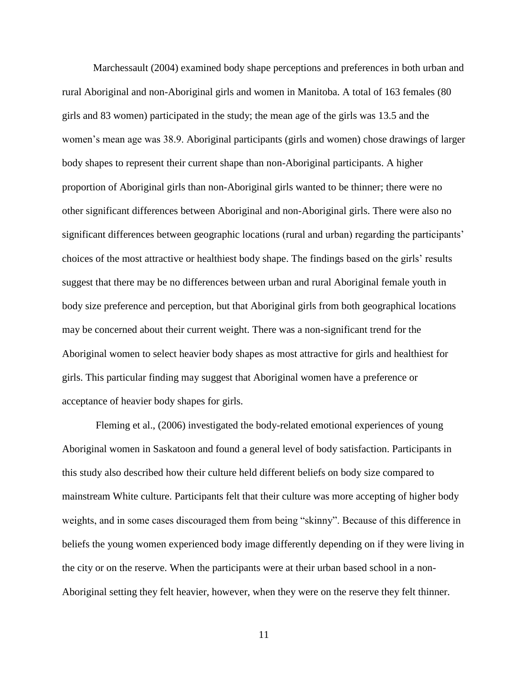Marchessault (2004) examined body shape perceptions and preferences in both urban and rural Aboriginal and non-Aboriginal girls and women in Manitoba. A total of 163 females (80 girls and 83 women) participated in the study; the mean age of the girls was 13.5 and the women's mean age was 38.9. Aboriginal participants (girls and women) chose drawings of larger body shapes to represent their current shape than non-Aboriginal participants. A higher proportion of Aboriginal girls than non-Aboriginal girls wanted to be thinner; there were no other significant differences between Aboriginal and non-Aboriginal girls. There were also no significant differences between geographic locations (rural and urban) regarding the participants' choices of the most attractive or healthiest body shape. The findings based on the girls' results suggest that there may be no differences between urban and rural Aboriginal female youth in body size preference and perception, but that Aboriginal girls from both geographical locations may be concerned about their current weight. There was a non-significant trend for the Aboriginal women to select heavier body shapes as most attractive for girls and healthiest for girls. This particular finding may suggest that Aboriginal women have a preference or acceptance of heavier body shapes for girls.

Fleming et al., (2006) investigated the body-related emotional experiences of young Aboriginal women in Saskatoon and found a general level of body satisfaction. Participants in this study also described how their culture held different beliefs on body size compared to mainstream White culture. Participants felt that their culture was more accepting of higher body weights, and in some cases discouraged them from being "skinny". Because of this difference in beliefs the young women experienced body image differently depending on if they were living in the city or on the reserve. When the participants were at their urban based school in a non-Aboriginal setting they felt heavier, however, when they were on the reserve they felt thinner.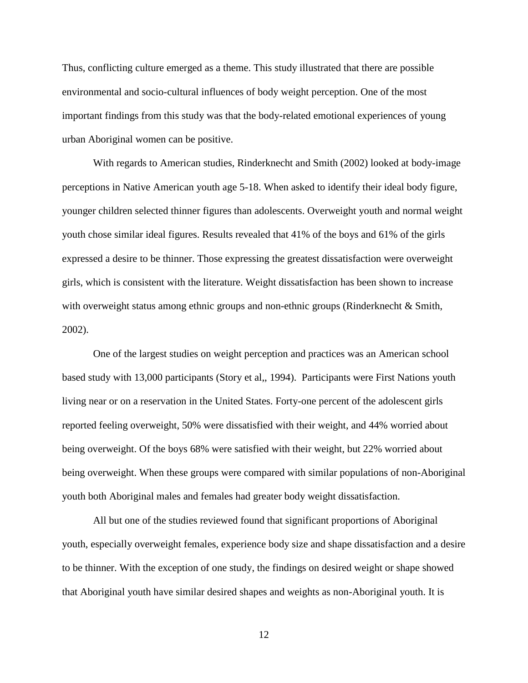Thus, conflicting culture emerged as a theme. This study illustrated that there are possible environmental and socio-cultural influences of body weight perception. One of the most important findings from this study was that the body-related emotional experiences of young urban Aboriginal women can be positive.

With regards to American studies, Rinderknecht and Smith (2002) looked at body-image perceptions in Native American youth age 5-18. When asked to identify their ideal body figure, younger children selected thinner figures than adolescents. Overweight youth and normal weight youth chose similar ideal figures. Results revealed that 41% of the boys and 61% of the girls expressed a desire to be thinner. Those expressing the greatest dissatisfaction were overweight girls, which is consistent with the literature. Weight dissatisfaction has been shown to increase with overweight status among ethnic groups and non-ethnic groups (Rinderknecht & Smith, 2002).

One of the largest studies on weight perception and practices was an American school based study with 13,000 participants (Story et al,, 1994). Participants were First Nations youth living near or on a reservation in the United States. Forty-one percent of the adolescent girls reported feeling overweight, 50% were dissatisfied with their weight, and 44% worried about being overweight. Of the boys 68% were satisfied with their weight, but 22% worried about being overweight. When these groups were compared with similar populations of non-Aboriginal youth both Aboriginal males and females had greater body weight dissatisfaction.

All but one of the studies reviewed found that significant proportions of Aboriginal youth, especially overweight females, experience body size and shape dissatisfaction and a desire to be thinner. With the exception of one study, the findings on desired weight or shape showed that Aboriginal youth have similar desired shapes and weights as non-Aboriginal youth. It is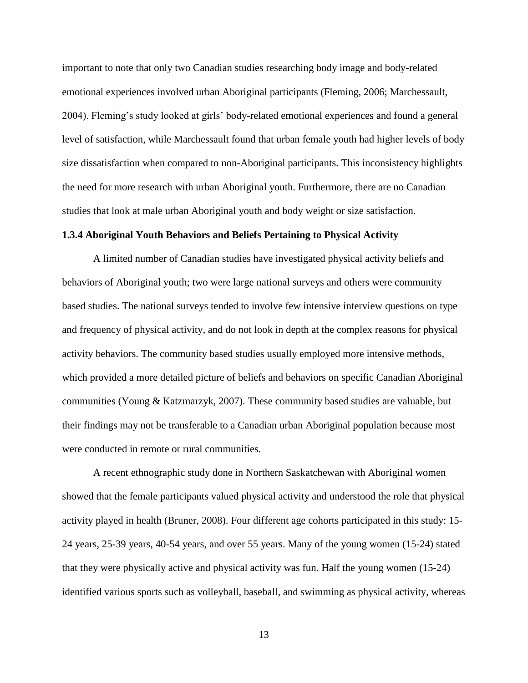important to note that only two Canadian studies researching body image and body-related emotional experiences involved urban Aboriginal participants (Fleming, 2006; Marchessault, 2004). Fleming's study looked at girls' body-related emotional experiences and found a general level of satisfaction, while Marchessault found that urban female youth had higher levels of body size dissatisfaction when compared to non-Aboriginal participants. This inconsistency highlights the need for more research with urban Aboriginal youth. Furthermore, there are no Canadian studies that look at male urban Aboriginal youth and body weight or size satisfaction.

#### **1.3.4 Aboriginal Youth Behaviors and Beliefs Pertaining to Physical Activity**

A limited number of Canadian studies have investigated physical activity beliefs and behaviors of Aboriginal youth; two were large national surveys and others were community based studies. The national surveys tended to involve few intensive interview questions on type and frequency of physical activity, and do not look in depth at the complex reasons for physical activity behaviors. The community based studies usually employed more intensive methods, which provided a more detailed picture of beliefs and behaviors on specific Canadian Aboriginal communities (Young & Katzmarzyk, 2007). These community based studies are valuable, but their findings may not be transferable to a Canadian urban Aboriginal population because most were conducted in remote or rural communities.

A recent ethnographic study done in Northern Saskatchewan with Aboriginal women showed that the female participants valued physical activity and understood the role that physical activity played in health (Bruner, 2008). Four different age cohorts participated in this study: 15- 24 years, 25-39 years, 40-54 years, and over 55 years. Many of the young women (15-24) stated that they were physically active and physical activity was fun. Half the young women (15-24) identified various sports such as volleyball, baseball, and swimming as physical activity, whereas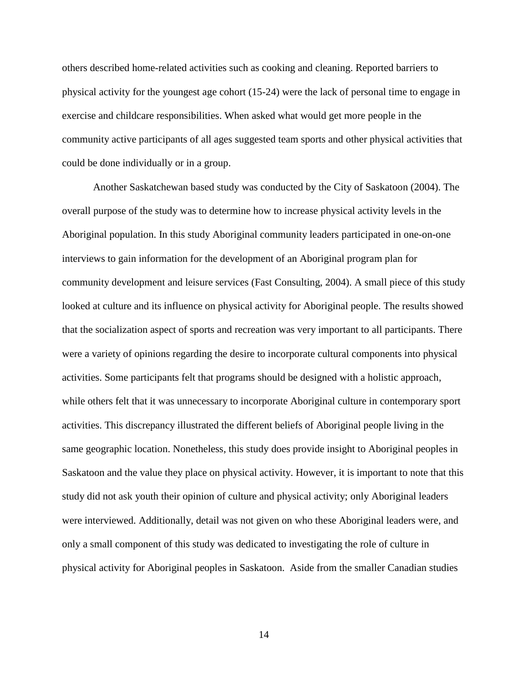others described home-related activities such as cooking and cleaning. Reported barriers to physical activity for the youngest age cohort (15-24) were the lack of personal time to engage in exercise and childcare responsibilities. When asked what would get more people in the community active participants of all ages suggested team sports and other physical activities that could be done individually or in a group.

Another Saskatchewan based study was conducted by the City of Saskatoon (2004). The overall purpose of the study was to determine how to increase physical activity levels in the Aboriginal population. In this study Aboriginal community leaders participated in one-on-one interviews to gain information for the development of an Aboriginal program plan for community development and leisure services (Fast Consulting, 2004). A small piece of this study looked at culture and its influence on physical activity for Aboriginal people. The results showed that the socialization aspect of sports and recreation was very important to all participants. There were a variety of opinions regarding the desire to incorporate cultural components into physical activities. Some participants felt that programs should be designed with a holistic approach, while others felt that it was unnecessary to incorporate Aboriginal culture in contemporary sport activities. This discrepancy illustrated the different beliefs of Aboriginal people living in the same geographic location. Nonetheless, this study does provide insight to Aboriginal peoples in Saskatoon and the value they place on physical activity. However, it is important to note that this study did not ask youth their opinion of culture and physical activity; only Aboriginal leaders were interviewed. Additionally, detail was not given on who these Aboriginal leaders were, and only a small component of this study was dedicated to investigating the role of culture in physical activity for Aboriginal peoples in Saskatoon. Aside from the smaller Canadian studies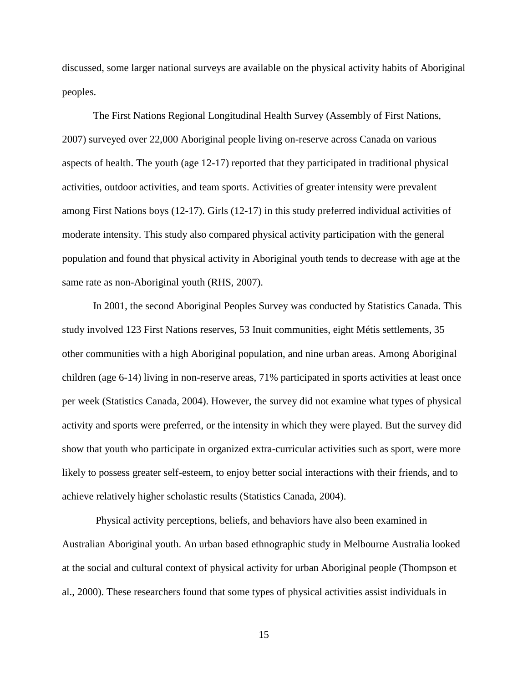discussed, some larger national surveys are available on the physical activity habits of Aboriginal peoples.

The First Nations Regional Longitudinal Health Survey (Assembly of First Nations, 2007) surveyed over 22,000 Aboriginal people living on-reserve across Canada on various aspects of health. The youth (age 12-17) reported that they participated in traditional physical activities, outdoor activities, and team sports. Activities of greater intensity were prevalent among First Nations boys (12-17). Girls (12-17) in this study preferred individual activities of moderate intensity. This study also compared physical activity participation with the general population and found that physical activity in Aboriginal youth tends to decrease with age at the same rate as non-Aboriginal youth (RHS, 2007).

In 2001, the second Aboriginal Peoples Survey was conducted by Statistics Canada. This study involved 123 First Nations reserves, 53 Inuit communities, eight Métis settlements, 35 other communities with a high Aboriginal population, and nine urban areas. Among Aboriginal children (age 6-14) living in non-reserve areas, 71% participated in sports activities at least once per week (Statistics Canada, 2004). However, the survey did not examine what types of physical activity and sports were preferred, or the intensity in which they were played. But the survey did show that youth who participate in organized extra-curricular activities such as sport, were more likely to possess greater self-esteem, to enjoy better social interactions with their friends, and to achieve relatively higher scholastic results (Statistics Canada, 2004).

Physical activity perceptions, beliefs, and behaviors have also been examined in Australian Aboriginal youth. An urban based ethnographic study in Melbourne Australia looked at the social and cultural context of physical activity for urban Aboriginal people (Thompson et al., 2000). These researchers found that some types of physical activities assist individuals in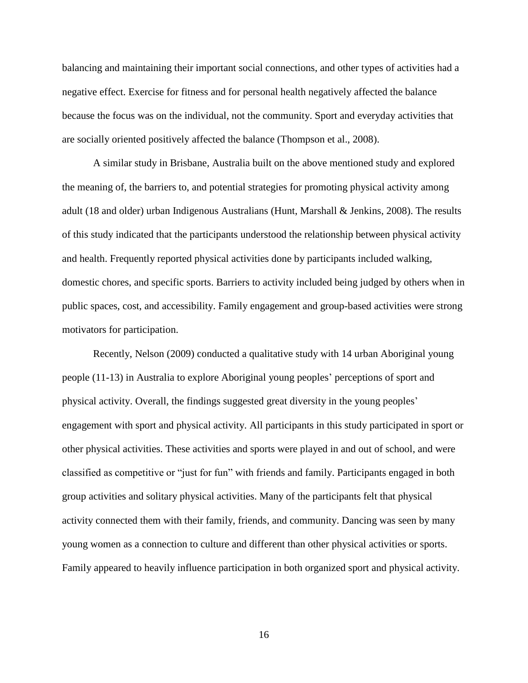balancing and maintaining their important social connections, and other types of activities had a negative effect. Exercise for fitness and for personal health negatively affected the balance because the focus was on the individual, not the community. Sport and everyday activities that are socially oriented positively affected the balance (Thompson et al., 2008).

A similar study in Brisbane, Australia built on the above mentioned study and explored the meaning of, the barriers to, and potential strategies for promoting physical activity among adult (18 and older) urban Indigenous Australians (Hunt, Marshall & Jenkins, 2008). The results of this study indicated that the participants understood the relationship between physical activity and health. Frequently reported physical activities done by participants included walking, domestic chores, and specific sports. Barriers to activity included being judged by others when in public spaces, cost, and accessibility. Family engagement and group-based activities were strong motivators for participation.

Recently, Nelson (2009) conducted a qualitative study with 14 urban Aboriginal young people (11-13) in Australia to explore Aboriginal young peoples' perceptions of sport and physical activity. Overall, the findings suggested great diversity in the young peoples' engagement with sport and physical activity. All participants in this study participated in sport or other physical activities. These activities and sports were played in and out of school, and were classified as competitive or "just for fun" with friends and family. Participants engaged in both group activities and solitary physical activities. Many of the participants felt that physical activity connected them with their family, friends, and community. Dancing was seen by many young women as a connection to culture and different than other physical activities or sports. Family appeared to heavily influence participation in both organized sport and physical activity.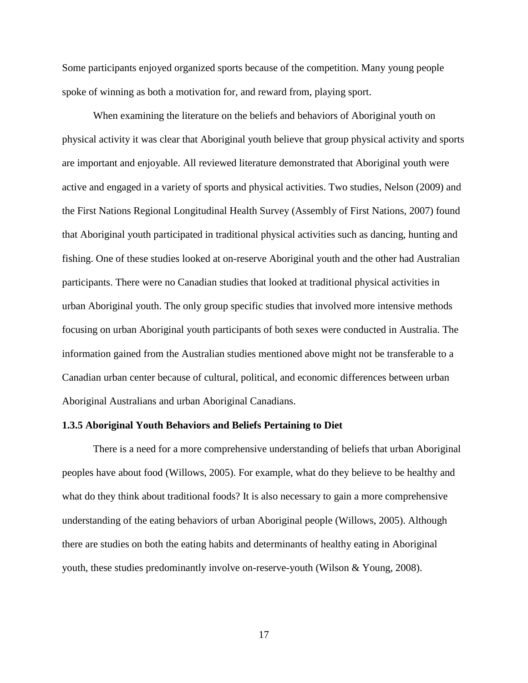Some participants enjoyed organized sports because of the competition. Many young people spoke of winning as both a motivation for, and reward from, playing sport.

When examining the literature on the beliefs and behaviors of Aboriginal youth on physical activity it was clear that Aboriginal youth believe that group physical activity and sports are important and enjoyable. All reviewed literature demonstrated that Aboriginal youth were active and engaged in a variety of sports and physical activities. Two studies, Nelson (2009) and the First Nations Regional Longitudinal Health Survey (Assembly of First Nations, 2007) found that Aboriginal youth participated in traditional physical activities such as dancing, hunting and fishing. One of these studies looked at on-reserve Aboriginal youth and the other had Australian participants. There were no Canadian studies that looked at traditional physical activities in urban Aboriginal youth. The only group specific studies that involved more intensive methods focusing on urban Aboriginal youth participants of both sexes were conducted in Australia. The information gained from the Australian studies mentioned above might not be transferable to a Canadian urban center because of cultural, political, and economic differences between urban Aboriginal Australians and urban Aboriginal Canadians.

#### **1.3.5 Aboriginal Youth Behaviors and Beliefs Pertaining to Diet**

There is a need for a more comprehensive understanding of beliefs that urban Aboriginal peoples have about food (Willows, 2005). For example, what do they believe to be healthy and what do they think about traditional foods? It is also necessary to gain a more comprehensive understanding of the eating behaviors of urban Aboriginal people (Willows, 2005). Although there are studies on both the eating habits and determinants of healthy eating in Aboriginal youth, these studies predominantly involve on-reserve-youth (Wilson & Young, 2008).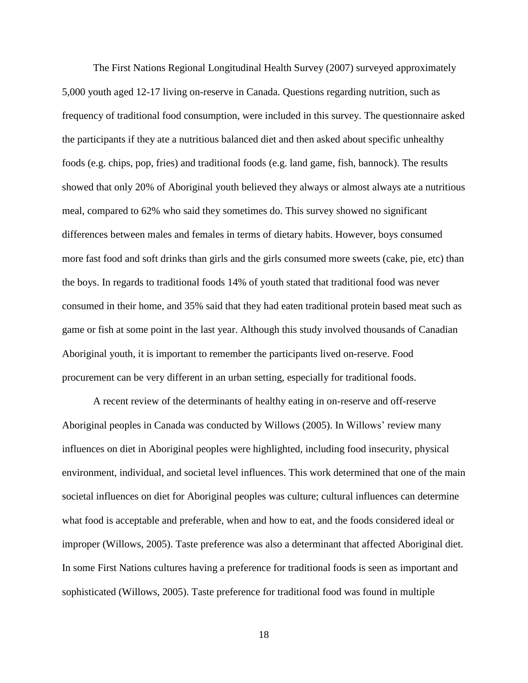The First Nations Regional Longitudinal Health Survey (2007) surveyed approximately 5,000 youth aged 12-17 living on-reserve in Canada. Questions regarding nutrition, such as frequency of traditional food consumption, were included in this survey. The questionnaire asked the participants if they ate a nutritious balanced diet and then asked about specific unhealthy foods (e.g. chips, pop, fries) and traditional foods (e.g. land game, fish, bannock). The results showed that only 20% of Aboriginal youth believed they always or almost always ate a nutritious meal, compared to 62% who said they sometimes do. This survey showed no significant differences between males and females in terms of dietary habits. However, boys consumed more fast food and soft drinks than girls and the girls consumed more sweets (cake, pie, etc) than the boys. In regards to traditional foods 14% of youth stated that traditional food was never consumed in their home, and 35% said that they had eaten traditional protein based meat such as game or fish at some point in the last year. Although this study involved thousands of Canadian Aboriginal youth, it is important to remember the participants lived on-reserve. Food procurement can be very different in an urban setting, especially for traditional foods.

A recent review of the determinants of healthy eating in on-reserve and off-reserve Aboriginal peoples in Canada was conducted by Willows (2005). In Willows' review many influences on diet in Aboriginal peoples were highlighted, including food insecurity, physical environment, individual, and societal level influences. This work determined that one of the main societal influences on diet for Aboriginal peoples was culture; cultural influences can determine what food is acceptable and preferable, when and how to eat, and the foods considered ideal or improper (Willows, 2005). Taste preference was also a determinant that affected Aboriginal diet. In some First Nations cultures having a preference for traditional foods is seen as important and sophisticated (Willows, 2005). Taste preference for traditional food was found in multiple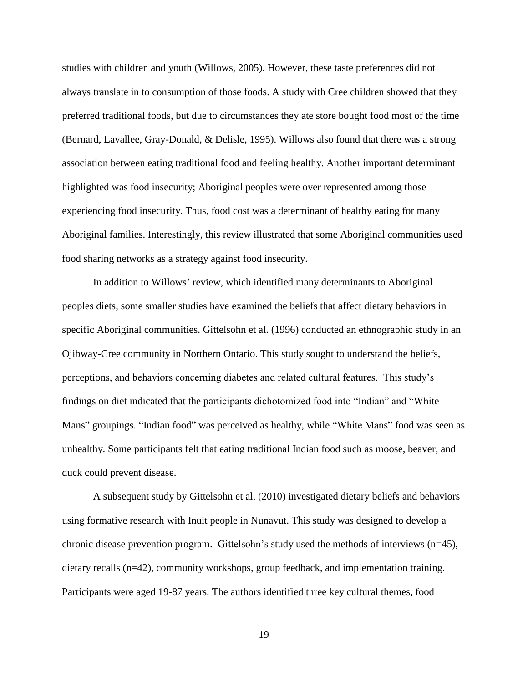studies with children and youth (Willows, 2005). However, these taste preferences did not always translate in to consumption of those foods. A study with Cree children showed that they preferred traditional foods, but due to circumstances they ate store bought food most of the time (Bernard, Lavallee, Gray-Donald, & Delisle, 1995). Willows also found that there was a strong association between eating traditional food and feeling healthy. Another important determinant highlighted was food insecurity; Aboriginal peoples were over represented among those experiencing food insecurity. Thus, food cost was a determinant of healthy eating for many Aboriginal families. Interestingly, this review illustrated that some Aboriginal communities used food sharing networks as a strategy against food insecurity.

In addition to Willows' review, which identified many determinants to Aboriginal peoples diets, some smaller studies have examined the beliefs that affect dietary behaviors in specific Aboriginal communities. Gittelsohn et al. (1996) conducted an ethnographic study in an Ojibway-Cree community in Northern Ontario. This study sought to understand the beliefs, perceptions, and behaviors concerning diabetes and related cultural features. This study's findings on diet indicated that the participants dichotomized food into "Indian" and "White Mans" groupings. "Indian food" was perceived as healthy, while "White Mans" food was seen as unhealthy. Some participants felt that eating traditional Indian food such as moose, beaver, and duck could prevent disease.

A subsequent study by Gittelsohn et al. (2010) investigated dietary beliefs and behaviors using formative research with Inuit people in Nunavut. This study was designed to develop a chronic disease prevention program. Gittelsohn's study used the methods of interviews (n=45), dietary recalls (n=42), community workshops, group feedback, and implementation training. Participants were aged 19-87 years. The authors identified three key cultural themes, food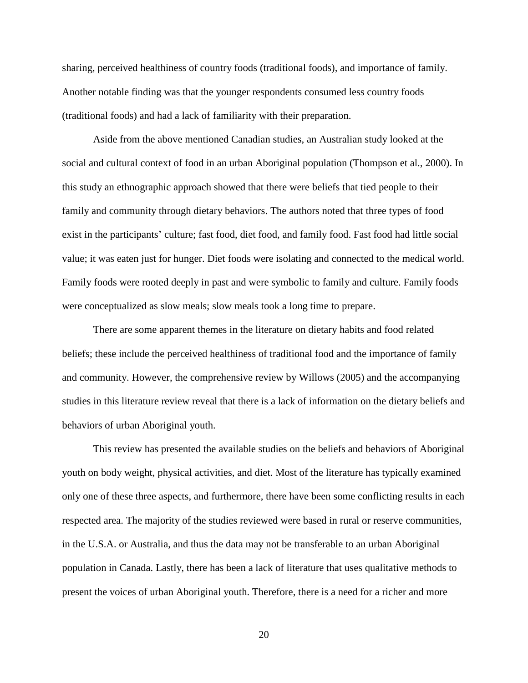sharing, perceived healthiness of country foods (traditional foods), and importance of family. Another notable finding was that the younger respondents consumed less country foods (traditional foods) and had a lack of familiarity with their preparation.

Aside from the above mentioned Canadian studies, an Australian study looked at the social and cultural context of food in an urban Aboriginal population (Thompson et al., 2000). In this study an ethnographic approach showed that there were beliefs that tied people to their family and community through dietary behaviors. The authors noted that three types of food exist in the participants' culture; fast food, diet food, and family food. Fast food had little social value; it was eaten just for hunger. Diet foods were isolating and connected to the medical world. Family foods were rooted deeply in past and were symbolic to family and culture. Family foods were conceptualized as slow meals; slow meals took a long time to prepare.

There are some apparent themes in the literature on dietary habits and food related beliefs; these include the perceived healthiness of traditional food and the importance of family and community. However, the comprehensive review by Willows (2005) and the accompanying studies in this literature review reveal that there is a lack of information on the dietary beliefs and behaviors of urban Aboriginal youth.

This review has presented the available studies on the beliefs and behaviors of Aboriginal youth on body weight, physical activities, and diet. Most of the literature has typically examined only one of these three aspects, and furthermore, there have been some conflicting results in each respected area. The majority of the studies reviewed were based in rural or reserve communities, in the U.S.A. or Australia, and thus the data may not be transferable to an urban Aboriginal population in Canada. Lastly, there has been a lack of literature that uses qualitative methods to present the voices of urban Aboriginal youth. Therefore, there is a need for a richer and more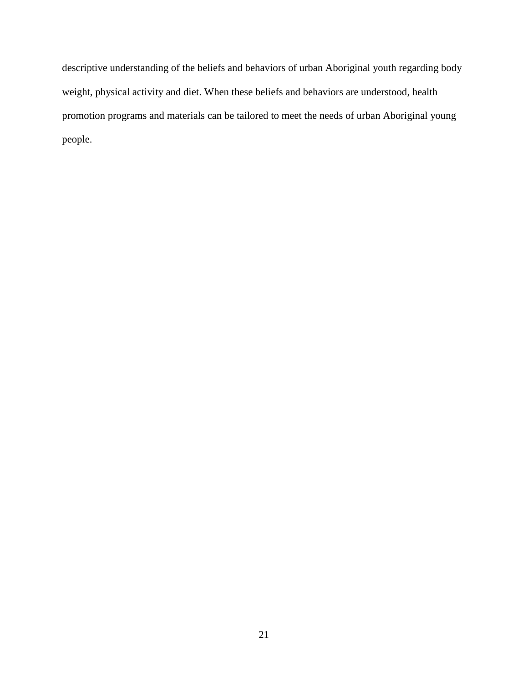descriptive understanding of the beliefs and behaviors of urban Aboriginal youth regarding body weight, physical activity and diet. When these beliefs and behaviors are understood, health promotion programs and materials can be tailored to meet the needs of urban Aboriginal young people.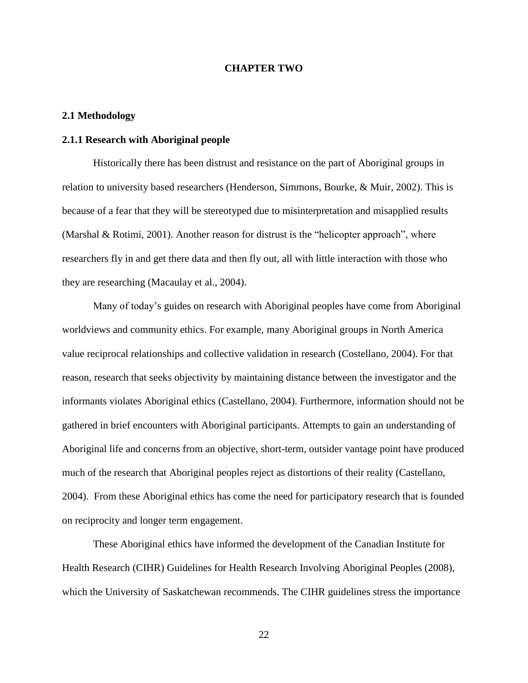## **CHAPTER TWO**

# **2.1 Methodology**

# **2.1.1 Research with Aboriginal people**

Historically there has been distrust and resistance on the part of Aboriginal groups in relation to university based researchers (Henderson, Simmons, Bourke, & Muir, 2002). This is because of a fear that they will be stereotyped due to misinterpretation and misapplied results (Marshal & Rotimi, 2001). Another reason for distrust is the "helicopter approach", where researchers fly in and get there data and then fly out, all with little interaction with those who they are researching (Macaulay et al., 2004).

Many of today's guides on research with Aboriginal peoples have come from Aboriginal worldviews and community ethics. For example, many Aboriginal groups in North America value reciprocal relationships and collective validation in research (Costellano, 2004). For that reason, research that seeks objectivity by maintaining distance between the investigator and the informants violates Aboriginal ethics (Castellano, 2004). Furthermore, information should not be gathered in brief encounters with Aboriginal participants. Attempts to gain an understanding of Aboriginal life and concerns from an objective, short-term, outsider vantage point have produced much of the research that Aboriginal peoples reject as distortions of their reality (Castellano, 2004). From these Aboriginal ethics has come the need for participatory research that is founded on reciprocity and longer term engagement.

These Aboriginal ethics have informed the development of the Canadian Institute for Health Research (CIHR) Guidelines for Health Research Involving Aboriginal Peoples (2008), which the University of Saskatchewan recommends. The CIHR guidelines stress the importance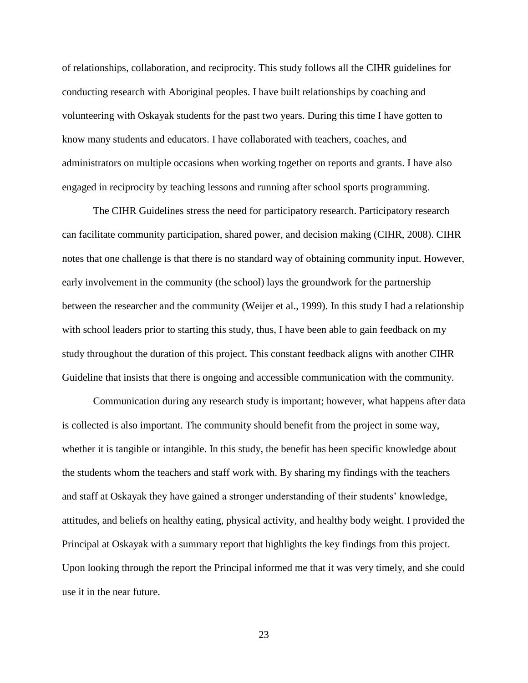of relationships, collaboration, and reciprocity. This study follows all the CIHR guidelines for conducting research with Aboriginal peoples. I have built relationships by coaching and volunteering with Oskayak students for the past two years. During this time I have gotten to know many students and educators. I have collaborated with teachers, coaches, and administrators on multiple occasions when working together on reports and grants. I have also engaged in reciprocity by teaching lessons and running after school sports programming.

The CIHR Guidelines stress the need for participatory research. Participatory research can facilitate community participation, shared power, and decision making (CIHR, 2008). CIHR notes that one challenge is that there is no standard way of obtaining community input. However, early involvement in the community (the school) lays the groundwork for the partnership between the researcher and the community (Weijer et al., 1999). In this study I had a relationship with school leaders prior to starting this study, thus, I have been able to gain feedback on my study throughout the duration of this project. This constant feedback aligns with another CIHR Guideline that insists that there is ongoing and accessible communication with the community.

Communication during any research study is important; however, what happens after data is collected is also important. The community should benefit from the project in some way, whether it is tangible or intangible. In this study, the benefit has been specific knowledge about the students whom the teachers and staff work with. By sharing my findings with the teachers and staff at Oskayak they have gained a stronger understanding of their students' knowledge, attitudes, and beliefs on healthy eating, physical activity, and healthy body weight. I provided the Principal at Oskayak with a summary report that highlights the key findings from this project. Upon looking through the report the Principal informed me that it was very timely, and she could use it in the near future.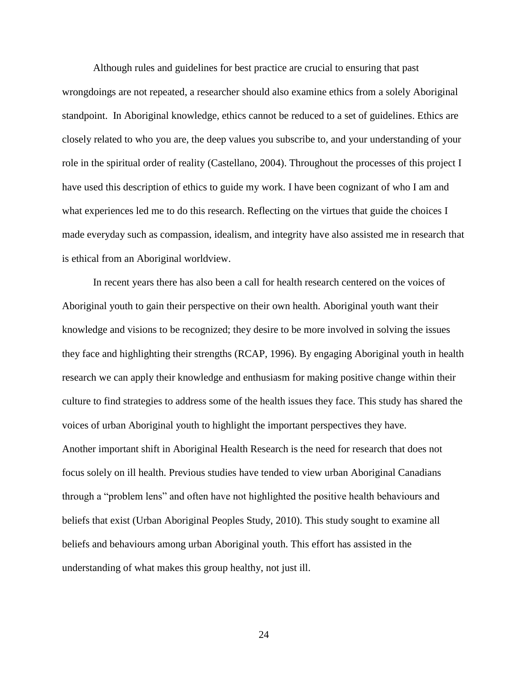Although rules and guidelines for best practice are crucial to ensuring that past wrongdoings are not repeated, a researcher should also examine ethics from a solely Aboriginal standpoint. In Aboriginal knowledge, ethics cannot be reduced to a set of guidelines. Ethics are closely related to who you are, the deep values you subscribe to, and your understanding of your role in the spiritual order of reality (Castellano, 2004). Throughout the processes of this project I have used this description of ethics to guide my work. I have been cognizant of who I am and what experiences led me to do this research. Reflecting on the virtues that guide the choices I made everyday such as compassion, idealism, and integrity have also assisted me in research that is ethical from an Aboriginal worldview.

In recent years there has also been a call for health research centered on the voices of Aboriginal youth to gain their perspective on their own health. Aboriginal youth want their knowledge and visions to be recognized; they desire to be more involved in solving the issues they face and highlighting their strengths (RCAP, 1996). By engaging Aboriginal youth in health research we can apply their knowledge and enthusiasm for making positive change within their culture to find strategies to address some of the health issues they face. This study has shared the voices of urban Aboriginal youth to highlight the important perspectives they have. Another important shift in Aboriginal Health Research is the need for research that does not focus solely on ill health. Previous studies have tended to view urban Aboriginal Canadians through a "problem lens" and often have not highlighted the positive health behaviours and beliefs that exist (Urban Aboriginal Peoples Study, 2010). This study sought to examine all beliefs and behaviours among urban Aboriginal youth. This effort has assisted in the understanding of what makes this group healthy, not just ill.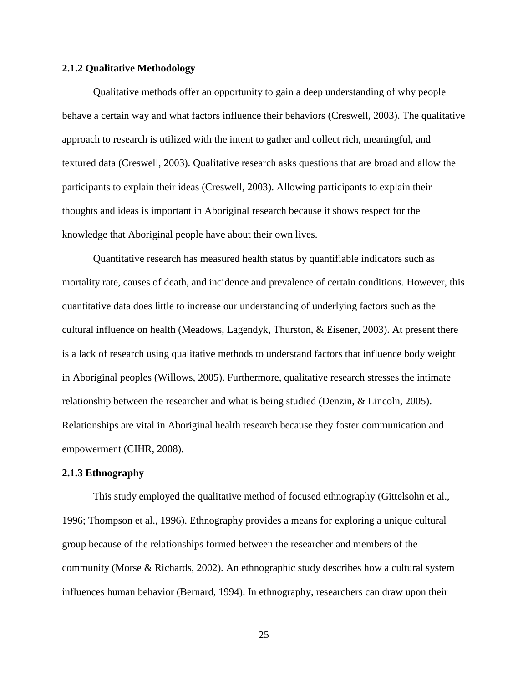# **2.1.2 Qualitative Methodology**

Qualitative methods offer an opportunity to gain a deep understanding of why people behave a certain way and what factors influence their behaviors (Creswell, 2003). The qualitative approach to research is utilized with the intent to gather and collect rich, meaningful, and textured data (Creswell, 2003). Qualitative research asks questions that are broad and allow the participants to explain their ideas (Creswell, 2003). Allowing participants to explain their thoughts and ideas is important in Aboriginal research because it shows respect for the knowledge that Aboriginal people have about their own lives.

Quantitative research has measured health status by quantifiable indicators such as mortality rate, causes of death, and incidence and prevalence of certain conditions. However, this quantitative data does little to increase our understanding of underlying factors such as the cultural influence on health (Meadows, Lagendyk, Thurston, & Eisener, 2003). At present there is a lack of research using qualitative methods to understand factors that influence body weight in Aboriginal peoples (Willows, 2005). Furthermore, qualitative research stresses the intimate relationship between the researcher and what is being studied (Denzin, & Lincoln, 2005). Relationships are vital in Aboriginal health research because they foster communication and empowerment (CIHR, 2008).

### **2.1.3 Ethnography**

This study employed the qualitative method of focused ethnography (Gittelsohn et al., 1996; Thompson et al., 1996). Ethnography provides a means for exploring a unique cultural group because of the relationships formed between the researcher and members of the community (Morse & Richards, 2002). An ethnographic study describes how a cultural system influences human behavior (Bernard, 1994). In ethnography, researchers can draw upon their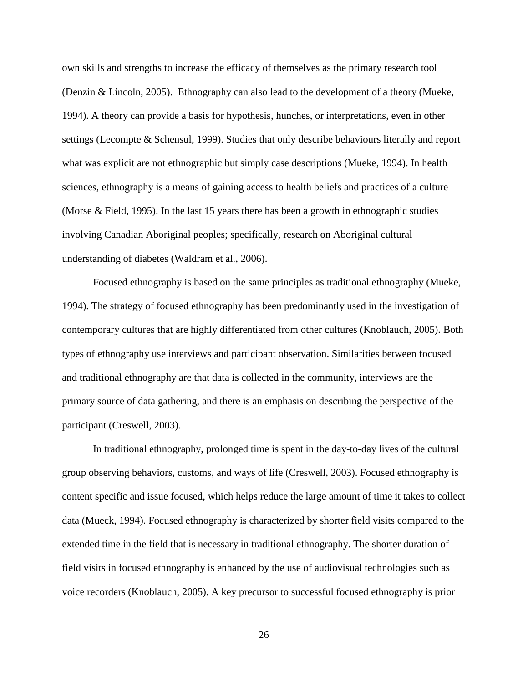own skills and strengths to increase the efficacy of themselves as the primary research tool (Denzin & Lincoln, 2005). Ethnography can also lead to the development of a theory (Mueke, 1994). A theory can provide a basis for hypothesis, hunches, or interpretations, even in other settings (Lecompte & Schensul, 1999). Studies that only describe behaviours literally and report what was explicit are not ethnographic but simply case descriptions (Mueke, 1994). In health sciences, ethnography is a means of gaining access to health beliefs and practices of a culture (Morse & Field, 1995). In the last 15 years there has been a growth in ethnographic studies involving Canadian Aboriginal peoples; specifically, research on Aboriginal cultural understanding of diabetes (Waldram et al., 2006).

Focused ethnography is based on the same principles as traditional ethnography (Mueke, 1994). The strategy of focused ethnography has been predominantly used in the investigation of contemporary cultures that are highly differentiated from other cultures (Knoblauch, 2005). Both types of ethnography use interviews and participant observation. Similarities between focused and traditional ethnography are that data is collected in the community, interviews are the primary source of data gathering, and there is an emphasis on describing the perspective of the participant (Creswell, 2003).

In traditional ethnography, prolonged time is spent in the day-to-day lives of the cultural group observing behaviors, customs, and ways of life (Creswell, 2003). Focused ethnography is content specific and issue focused, which helps reduce the large amount of time it takes to collect data (Mueck, 1994). Focused ethnography is characterized by shorter field visits compared to the extended time in the field that is necessary in traditional ethnography. The shorter duration of field visits in focused ethnography is enhanced by the use of audiovisual technologies such as voice recorders (Knoblauch, 2005). A key precursor to successful focused ethnography is prior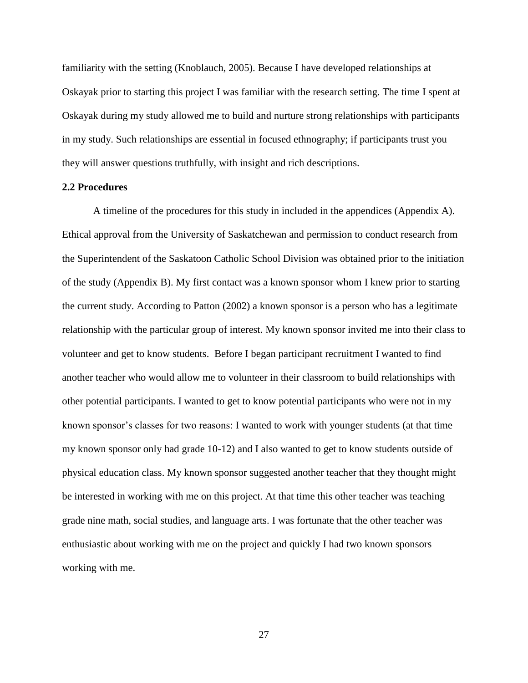familiarity with the setting (Knoblauch, 2005). Because I have developed relationships at Oskayak prior to starting this project I was familiar with the research setting. The time I spent at Oskayak during my study allowed me to build and nurture strong relationships with participants in my study. Such relationships are essential in focused ethnography; if participants trust you they will answer questions truthfully, with insight and rich descriptions.

### **2.2 Procedures**

A timeline of the procedures for this study in included in the appendices (Appendix A). Ethical approval from the University of Saskatchewan and permission to conduct research from the Superintendent of the Saskatoon Catholic School Division was obtained prior to the initiation of the study (Appendix B). My first contact was a known sponsor whom I knew prior to starting the current study. According to Patton (2002) a known sponsor is a person who has a legitimate relationship with the particular group of interest. My known sponsor invited me into their class to volunteer and get to know students. Before I began participant recruitment I wanted to find another teacher who would allow me to volunteer in their classroom to build relationships with other potential participants. I wanted to get to know potential participants who were not in my known sponsor's classes for two reasons: I wanted to work with younger students (at that time my known sponsor only had grade 10-12) and I also wanted to get to know students outside of physical education class. My known sponsor suggested another teacher that they thought might be interested in working with me on this project. At that time this other teacher was teaching grade nine math, social studies, and language arts. I was fortunate that the other teacher was enthusiastic about working with me on the project and quickly I had two known sponsors working with me.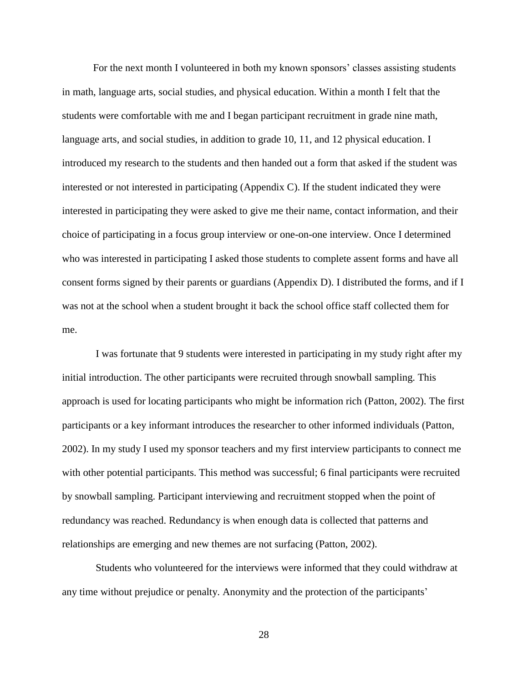For the next month I volunteered in both my known sponsors' classes assisting students in math, language arts, social studies, and physical education. Within a month I felt that the students were comfortable with me and I began participant recruitment in grade nine math, language arts, and social studies, in addition to grade 10, 11, and 12 physical education. I introduced my research to the students and then handed out a form that asked if the student was interested or not interested in participating (Appendix C). If the student indicated they were interested in participating they were asked to give me their name, contact information, and their choice of participating in a focus group interview or one-on-one interview. Once I determined who was interested in participating I asked those students to complete assent forms and have all consent forms signed by their parents or guardians (Appendix D). I distributed the forms, and if I was not at the school when a student brought it back the school office staff collected them for me.

I was fortunate that 9 students were interested in participating in my study right after my initial introduction. The other participants were recruited through snowball sampling. This approach is used for locating participants who might be information rich (Patton, 2002). The first participants or a key informant introduces the researcher to other informed individuals (Patton, 2002). In my study I used my sponsor teachers and my first interview participants to connect me with other potential participants. This method was successful; 6 final participants were recruited by snowball sampling. Participant interviewing and recruitment stopped when the point of redundancy was reached. Redundancy is when enough data is collected that patterns and relationships are emerging and new themes are not surfacing (Patton, 2002).

Students who volunteered for the interviews were informed that they could withdraw at any time without prejudice or penalty. Anonymity and the protection of the participants'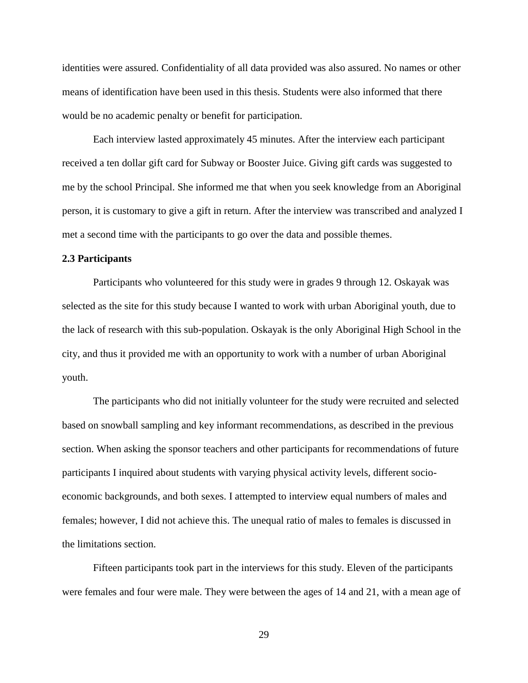identities were assured. Confidentiality of all data provided was also assured. No names or other means of identification have been used in this thesis. Students were also informed that there would be no academic penalty or benefit for participation.

Each interview lasted approximately 45 minutes. After the interview each participant received a ten dollar gift card for Subway or Booster Juice. Giving gift cards was suggested to me by the school Principal. She informed me that when you seek knowledge from an Aboriginal person, it is customary to give a gift in return. After the interview was transcribed and analyzed I met a second time with the participants to go over the data and possible themes.

## **2.3 Participants**

Participants who volunteered for this study were in grades 9 through 12. Oskayak was selected as the site for this study because I wanted to work with urban Aboriginal youth, due to the lack of research with this sub-population. Oskayak is the only Aboriginal High School in the city, and thus it provided me with an opportunity to work with a number of urban Aboriginal youth.

The participants who did not initially volunteer for the study were recruited and selected based on snowball sampling and key informant recommendations, as described in the previous section. When asking the sponsor teachers and other participants for recommendations of future participants I inquired about students with varying physical activity levels, different socioeconomic backgrounds, and both sexes. I attempted to interview equal numbers of males and females; however, I did not achieve this. The unequal ratio of males to females is discussed in the limitations section.

Fifteen participants took part in the interviews for this study. Eleven of the participants were females and four were male. They were between the ages of 14 and 21, with a mean age of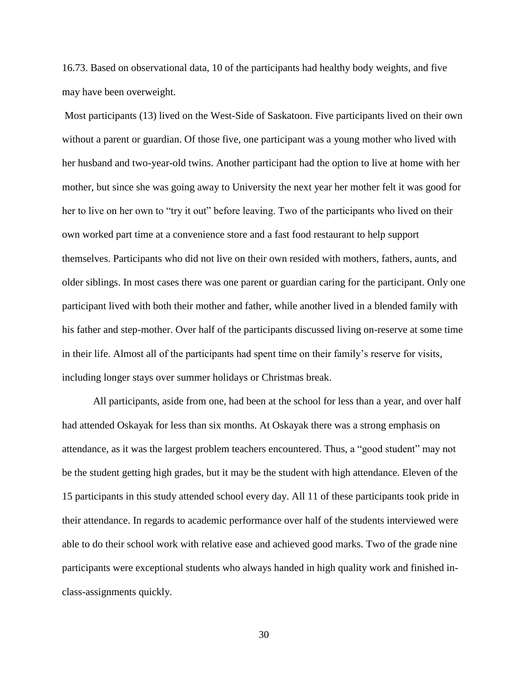16.73. Based on observational data, 10 of the participants had healthy body weights, and five may have been overweight.

Most participants (13) lived on the West-Side of Saskatoon. Five participants lived on their own without a parent or guardian. Of those five, one participant was a young mother who lived with her husband and two-year-old twins. Another participant had the option to live at home with her mother, but since she was going away to University the next year her mother felt it was good for her to live on her own to "try it out" before leaving. Two of the participants who lived on their own worked part time at a convenience store and a fast food restaurant to help support themselves. Participants who did not live on their own resided with mothers, fathers, aunts, and older siblings. In most cases there was one parent or guardian caring for the participant. Only one participant lived with both their mother and father, while another lived in a blended family with his father and step-mother. Over half of the participants discussed living on-reserve at some time in their life. Almost all of the participants had spent time on their family's reserve for visits, including longer stays over summer holidays or Christmas break.

All participants, aside from one, had been at the school for less than a year, and over half had attended Oskayak for less than six months. At Oskayak there was a strong emphasis on attendance, as it was the largest problem teachers encountered. Thus, a "good student" may not be the student getting high grades, but it may be the student with high attendance. Eleven of the 15 participants in this study attended school every day. All 11 of these participants took pride in their attendance. In regards to academic performance over half of the students interviewed were able to do their school work with relative ease and achieved good marks. Two of the grade nine participants were exceptional students who always handed in high quality work and finished inclass-assignments quickly.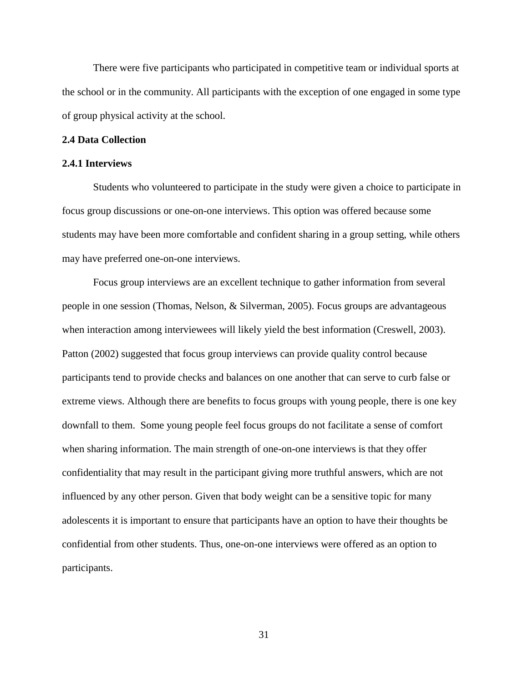There were five participants who participated in competitive team or individual sports at the school or in the community. All participants with the exception of one engaged in some type of group physical activity at the school.

## **2.4 Data Collection**

### **2.4.1 Interviews**

Students who volunteered to participate in the study were given a choice to participate in focus group discussions or one-on-one interviews. This option was offered because some students may have been more comfortable and confident sharing in a group setting, while others may have preferred one-on-one interviews.

Focus group interviews are an excellent technique to gather information from several people in one session (Thomas, Nelson, & Silverman, 2005). Focus groups are advantageous when interaction among interviewees will likely yield the best information (Creswell, 2003). Patton (2002) suggested that focus group interviews can provide quality control because participants tend to provide checks and balances on one another that can serve to curb false or extreme views. Although there are benefits to focus groups with young people, there is one key downfall to them. Some young people feel focus groups do not facilitate a sense of comfort when sharing information. The main strength of one-on-one interviews is that they offer confidentiality that may result in the participant giving more truthful answers, which are not influenced by any other person. Given that body weight can be a sensitive topic for many adolescents it is important to ensure that participants have an option to have their thoughts be confidential from other students. Thus, one-on-one interviews were offered as an option to participants.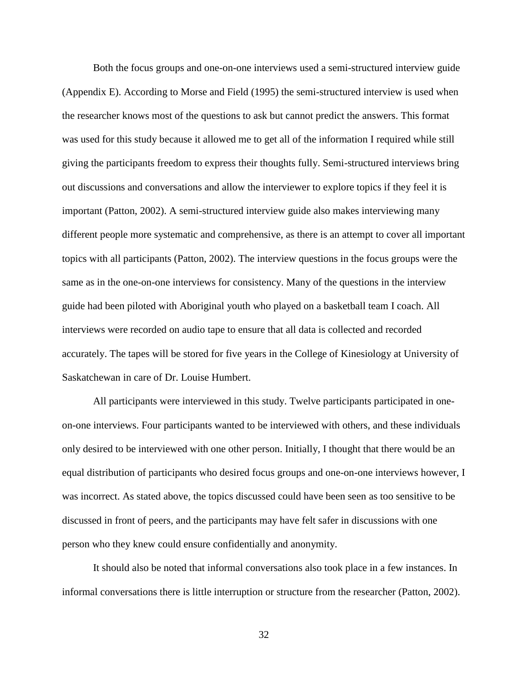Both the focus groups and one-on-one interviews used a semi-structured interview guide (Appendix E). According to Morse and Field (1995) the semi-structured interview is used when the researcher knows most of the questions to ask but cannot predict the answers. This format was used for this study because it allowed me to get all of the information I required while still giving the participants freedom to express their thoughts fully. Semi-structured interviews bring out discussions and conversations and allow the interviewer to explore topics if they feel it is important (Patton, 2002). A semi-structured interview guide also makes interviewing many different people more systematic and comprehensive, as there is an attempt to cover all important topics with all participants (Patton, 2002). The interview questions in the focus groups were the same as in the one-on-one interviews for consistency. Many of the questions in the interview guide had been piloted with Aboriginal youth who played on a basketball team I coach. All interviews were recorded on audio tape to ensure that all data is collected and recorded accurately. The tapes will be stored for five years in the College of Kinesiology at University of Saskatchewan in care of Dr. Louise Humbert.

All participants were interviewed in this study. Twelve participants participated in oneon-one interviews. Four participants wanted to be interviewed with others, and these individuals only desired to be interviewed with one other person. Initially, I thought that there would be an equal distribution of participants who desired focus groups and one-on-one interviews however, I was incorrect. As stated above, the topics discussed could have been seen as too sensitive to be discussed in front of peers, and the participants may have felt safer in discussions with one person who they knew could ensure confidentially and anonymity.

It should also be noted that informal conversations also took place in a few instances. In informal conversations there is little interruption or structure from the researcher (Patton, 2002).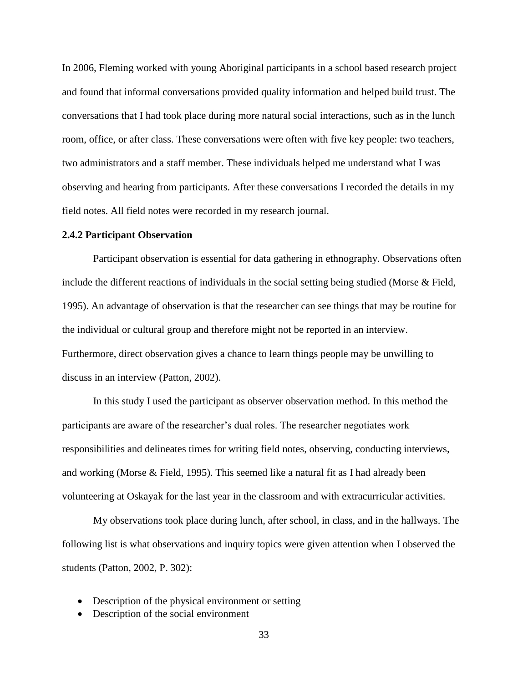In 2006, Fleming worked with young Aboriginal participants in a school based research project and found that informal conversations provided quality information and helped build trust. The conversations that I had took place during more natural social interactions, such as in the lunch room, office, or after class. These conversations were often with five key people: two teachers, two administrators and a staff member. These individuals helped me understand what I was observing and hearing from participants. After these conversations I recorded the details in my field notes. All field notes were recorded in my research journal.

#### **2.4.2 Participant Observation**

Participant observation is essential for data gathering in ethnography. Observations often include the different reactions of individuals in the social setting being studied (Morse & Field, 1995). An advantage of observation is that the researcher can see things that may be routine for the individual or cultural group and therefore might not be reported in an interview. Furthermore, direct observation gives a chance to learn things people may be unwilling to discuss in an interview (Patton, 2002).

In this study I used the participant as observer observation method. In this method the participants are aware of the researcher's dual roles. The researcher negotiates work responsibilities and delineates times for writing field notes, observing, conducting interviews, and working (Morse & Field, 1995). This seemed like a natural fit as I had already been volunteering at Oskayak for the last year in the classroom and with extracurricular activities.

My observations took place during lunch, after school, in class, and in the hallways. The following list is what observations and inquiry topics were given attention when I observed the students (Patton, 2002, P. 302):

- Description of the physical environment or setting
- Description of the social environment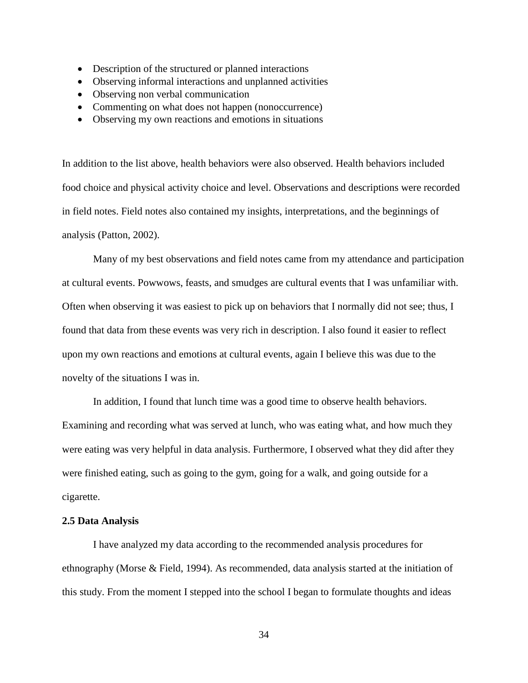- Description of the structured or planned interactions
- Observing informal interactions and unplanned activities
- Observing non verbal communication
- Commenting on what does not happen (nonoccurrence)
- Observing my own reactions and emotions in situations

In addition to the list above, health behaviors were also observed. Health behaviors included food choice and physical activity choice and level. Observations and descriptions were recorded in field notes. Field notes also contained my insights, interpretations, and the beginnings of analysis (Patton, 2002).

Many of my best observations and field notes came from my attendance and participation at cultural events. Powwows, feasts, and smudges are cultural events that I was unfamiliar with. Often when observing it was easiest to pick up on behaviors that I normally did not see; thus, I found that data from these events was very rich in description. I also found it easier to reflect upon my own reactions and emotions at cultural events, again I believe this was due to the novelty of the situations I was in.

In addition, I found that lunch time was a good time to observe health behaviors. Examining and recording what was served at lunch, who was eating what, and how much they were eating was very helpful in data analysis. Furthermore, I observed what they did after they were finished eating, such as going to the gym, going for a walk, and going outside for a cigarette.

# **2.5 Data Analysis**

I have analyzed my data according to the recommended analysis procedures for ethnography (Morse & Field, 1994). As recommended, data analysis started at the initiation of this study. From the moment I stepped into the school I began to formulate thoughts and ideas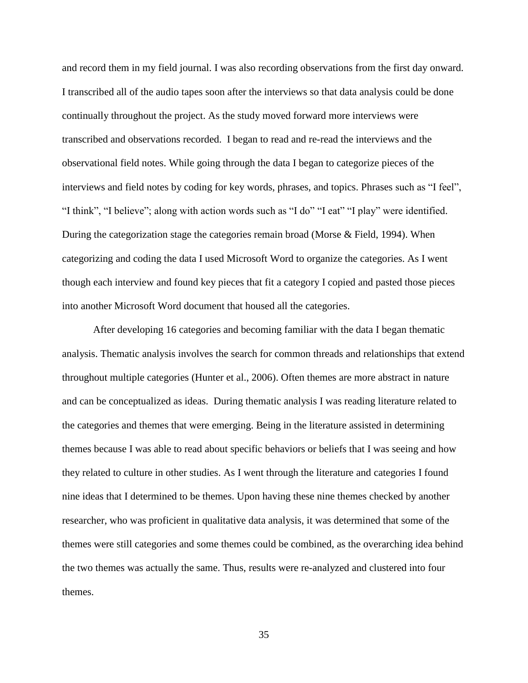and record them in my field journal. I was also recording observations from the first day onward. I transcribed all of the audio tapes soon after the interviews so that data analysis could be done continually throughout the project. As the study moved forward more interviews were transcribed and observations recorded. I began to read and re-read the interviews and the observational field notes. While going through the data I began to categorize pieces of the interviews and field notes by coding for key words, phrases, and topics. Phrases such as "I feel", "I think", "I believe"; along with action words such as "I do" "I eat" "I play" were identified. During the categorization stage the categories remain broad (Morse & Field, 1994). When categorizing and coding the data I used Microsoft Word to organize the categories. As I went though each interview and found key pieces that fit a category I copied and pasted those pieces into another Microsoft Word document that housed all the categories.

After developing 16 categories and becoming familiar with the data I began thematic analysis. Thematic analysis involves the search for common threads and relationships that extend throughout multiple categories (Hunter et al., 2006). Often themes are more abstract in nature and can be conceptualized as ideas. During thematic analysis I was reading literature related to the categories and themes that were emerging. Being in the literature assisted in determining themes because I was able to read about specific behaviors or beliefs that I was seeing and how they related to culture in other studies. As I went through the literature and categories I found nine ideas that I determined to be themes. Upon having these nine themes checked by another researcher, who was proficient in qualitative data analysis, it was determined that some of the themes were still categories and some themes could be combined, as the overarching idea behind the two themes was actually the same. Thus, results were re-analyzed and clustered into four themes.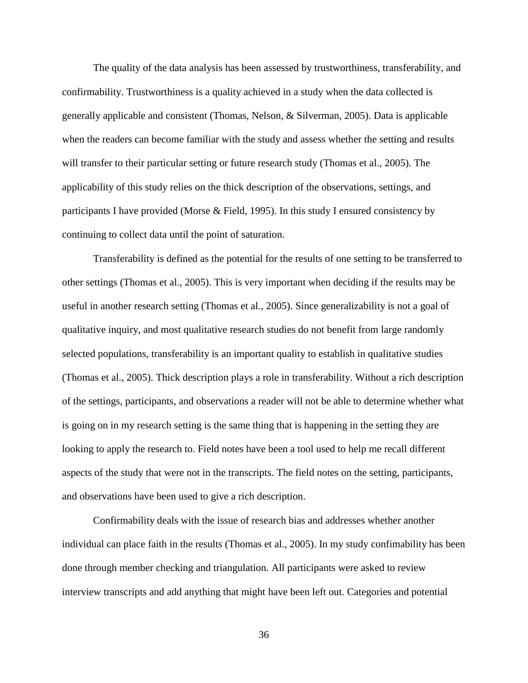The quality of the data analysis has been assessed by trustworthiness, transferability, and confirmability. Trustworthiness is a quality achieved in a study when the data collected is generally applicable and consistent (Thomas, Nelson, & Silverman, 2005). Data is applicable when the readers can become familiar with the study and assess whether the setting and results will transfer to their particular setting or future research study (Thomas et al., 2005). The applicability of this study relies on the thick description of the observations, settings, and participants I have provided (Morse & Field, 1995). In this study I ensured consistency by continuing to collect data until the point of saturation.

Transferability is defined as the potential for the results of one setting to be transferred to other settings (Thomas et al., 2005). This is very important when deciding if the results may be useful in another research setting (Thomas et al., 2005). Since generalizability is not a goal of qualitative inquiry, and most qualitative research studies do not benefit from large randomly selected populations, transferability is an important quality to establish in qualitative studies (Thomas et al., 2005). Thick description plays a role in transferability. Without a rich description of the settings, participants, and observations a reader will not be able to determine whether what is going on in my research setting is the same thing that is happening in the setting they are looking to apply the research to. Field notes have been a tool used to help me recall different aspects of the study that were not in the transcripts. The field notes on the setting, participants, and observations have been used to give a rich description.

Confirmability deals with the issue of research bias and addresses whether another individual can place faith in the results (Thomas et al., 2005). In my study confimability has been done through member checking and triangulation. All participants were asked to review interview transcripts and add anything that might have been left out. Categories and potential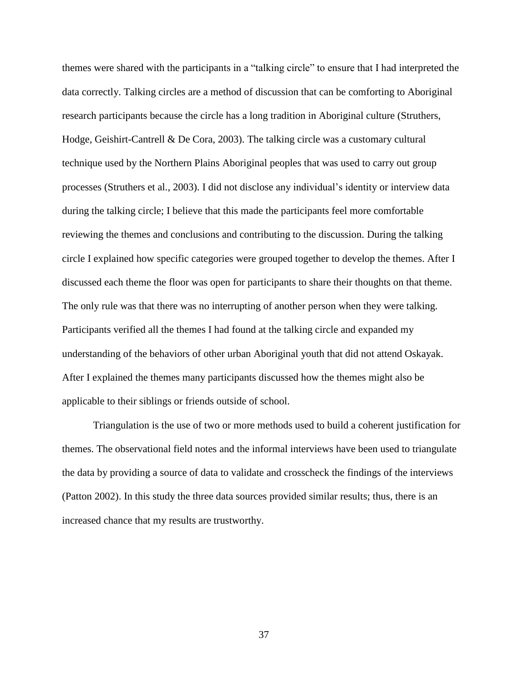themes were shared with the participants in a "talking circle" to ensure that I had interpreted the data correctly. Talking circles are a method of discussion that can be comforting to Aboriginal research participants because the circle has a long tradition in Aboriginal culture (Struthers, Hodge, Geishirt-Cantrell & De Cora, 2003). The talking circle was a customary cultural technique used by the Northern Plains Aboriginal peoples that was used to carry out group processes (Struthers et al., 2003). I did not disclose any individual's identity or interview data during the talking circle; I believe that this made the participants feel more comfortable reviewing the themes and conclusions and contributing to the discussion. During the talking circle I explained how specific categories were grouped together to develop the themes. After I discussed each theme the floor was open for participants to share their thoughts on that theme. The only rule was that there was no interrupting of another person when they were talking. Participants verified all the themes I had found at the talking circle and expanded my understanding of the behaviors of other urban Aboriginal youth that did not attend Oskayak. After I explained the themes many participants discussed how the themes might also be applicable to their siblings or friends outside of school.

Triangulation is the use of two or more methods used to build a coherent justification for themes. The observational field notes and the informal interviews have been used to triangulate the data by providing a source of data to validate and crosscheck the findings of the interviews (Patton 2002). In this study the three data sources provided similar results; thus, there is an increased chance that my results are trustworthy.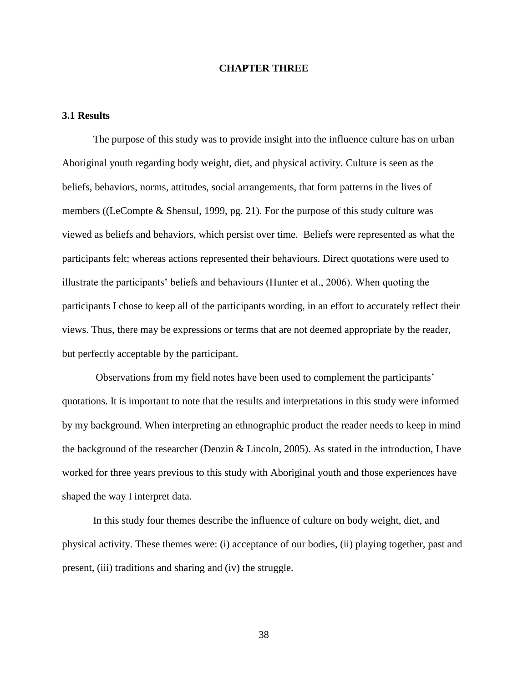## **CHAPTER THREE**

# **3.1 Results**

The purpose of this study was to provide insight into the influence culture has on urban Aboriginal youth regarding body weight, diet, and physical activity. Culture is seen as the beliefs, behaviors, norms, attitudes, social arrangements, that form patterns in the lives of members ((LeCompte & Shensul, 1999, pg. 21). For the purpose of this study culture was viewed as beliefs and behaviors, which persist over time. Beliefs were represented as what the participants felt; whereas actions represented their behaviours. Direct quotations were used to illustrate the participants' beliefs and behaviours (Hunter et al., 2006). When quoting the participants I chose to keep all of the participants wording, in an effort to accurately reflect their views. Thus, there may be expressions or terms that are not deemed appropriate by the reader, but perfectly acceptable by the participant.

Observations from my field notes have been used to complement the participants' quotations. It is important to note that the results and interpretations in this study were informed by my background. When interpreting an ethnographic product the reader needs to keep in mind the background of the researcher (Denzin & Lincoln, 2005). As stated in the introduction, I have worked for three years previous to this study with Aboriginal youth and those experiences have shaped the way I interpret data.

In this study four themes describe the influence of culture on body weight, diet, and physical activity. These themes were: (i) acceptance of our bodies, (ii) playing together, past and present, (iii) traditions and sharing and (iv) the struggle.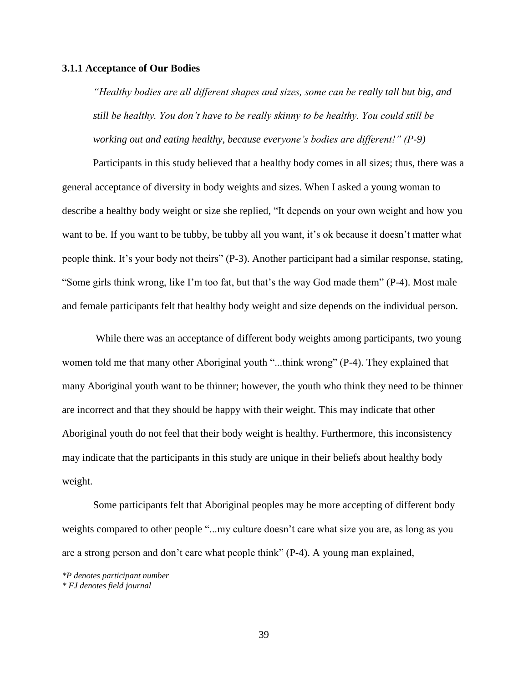## **3.1.1 Acceptance of Our Bodies**

*"Healthy bodies are all different shapes and sizes, some can be really tall but big, and still be healthy. You don't have to be really skinny to be healthy. You could still be working out and eating healthy, because everyone's bodies are different!" (P-9)*

Participants in this study believed that a healthy body comes in all sizes; thus, there was a general acceptance of diversity in body weights and sizes. When I asked a young woman to describe a healthy body weight or size she replied, "It depends on your own weight and how you want to be. If you want to be tubby, be tubby all you want, it's ok because it doesn't matter what people think. It's your body not theirs" (P-3). Another participant had a similar response, stating, "Some girls think wrong, like I'm too fat, but that's the way God made them" (P-4). Most male and female participants felt that healthy body weight and size depends on the individual person.

While there was an acceptance of different body weights among participants, two young women told me that many other Aboriginal youth "...think wrong" (P-4). They explained that many Aboriginal youth want to be thinner; however, the youth who think they need to be thinner are incorrect and that they should be happy with their weight. This may indicate that other Aboriginal youth do not feel that their body weight is healthy. Furthermore, this inconsistency may indicate that the participants in this study are unique in their beliefs about healthy body weight.

Some participants felt that Aboriginal peoples may be more accepting of different body weights compared to other people "...my culture doesn't care what size you are, as long as you are a strong person and don't care what people think" (P-4). A young man explained,

*<sup>\*</sup>P denotes participant number \* FJ denotes field journal*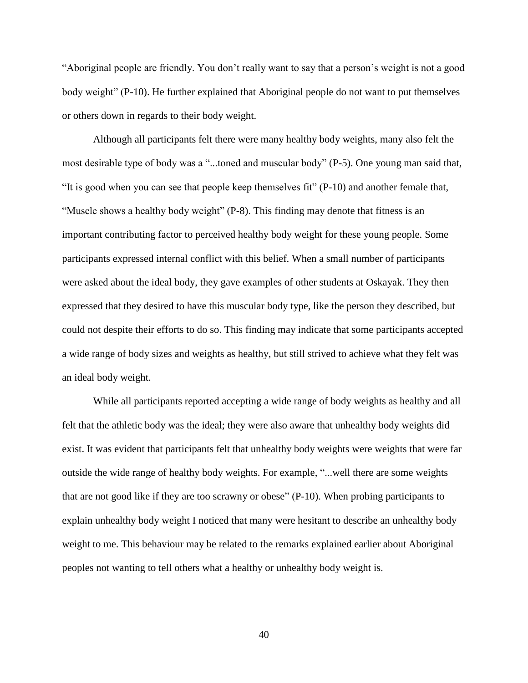―Aboriginal people are friendly. You don't really want to say that a person's weight is not a good body weight" (P-10). He further explained that Aboriginal people do not want to put themselves or others down in regards to their body weight.

Although all participants felt there were many healthy body weights, many also felt the most desirable type of body was a "...toned and muscular body" (P-5). One young man said that, "It is good when you can see that people keep themselves fit"  $(P-10)$  and another female that, "Muscle shows a healthy body weight" (P-8). This finding may denote that fitness is an important contributing factor to perceived healthy body weight for these young people. Some participants expressed internal conflict with this belief. When a small number of participants were asked about the ideal body, they gave examples of other students at Oskayak. They then expressed that they desired to have this muscular body type, like the person they described, but could not despite their efforts to do so. This finding may indicate that some participants accepted a wide range of body sizes and weights as healthy, but still strived to achieve what they felt was an ideal body weight.

While all participants reported accepting a wide range of body weights as healthy and all felt that the athletic body was the ideal; they were also aware that unhealthy body weights did exist. It was evident that participants felt that unhealthy body weights were weights that were far outside the wide range of healthy body weights. For example, "... well there are some weights that are not good like if they are too scrawny or obese"  $(P-10)$ . When probing participants to explain unhealthy body weight I noticed that many were hesitant to describe an unhealthy body weight to me. This behaviour may be related to the remarks explained earlier about Aboriginal peoples not wanting to tell others what a healthy or unhealthy body weight is.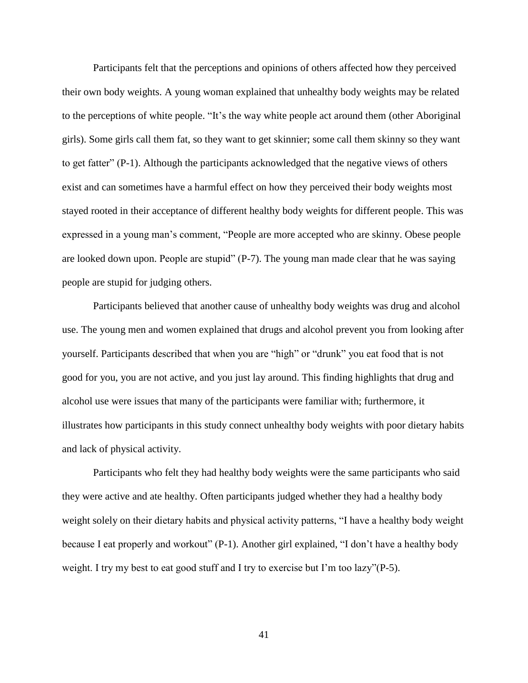Participants felt that the perceptions and opinions of others affected how they perceived their own body weights. A young woman explained that unhealthy body weights may be related to the perceptions of white people. "It's the way white people act around them (other Aboriginal girls). Some girls call them fat, so they want to get skinnier; some call them skinny so they want to get fatter"  $(P-1)$ . Although the participants acknowledged that the negative views of others exist and can sometimes have a harmful effect on how they perceived their body weights most stayed rooted in their acceptance of different healthy body weights for different people. This was expressed in a young man's comment, "People are more accepted who are skinny. Obese people are looked down upon. People are stupid"  $(P-7)$ . The young man made clear that he was saying people are stupid for judging others.

Participants believed that another cause of unhealthy body weights was drug and alcohol use. The young men and women explained that drugs and alcohol prevent you from looking after yourself. Participants described that when you are "high" or "drunk" you eat food that is not good for you, you are not active, and you just lay around. This finding highlights that drug and alcohol use were issues that many of the participants were familiar with; furthermore, it illustrates how participants in this study connect unhealthy body weights with poor dietary habits and lack of physical activity.

Participants who felt they had healthy body weights were the same participants who said they were active and ate healthy. Often participants judged whether they had a healthy body weight solely on their dietary habits and physical activity patterns, "I have a healthy body weight because I eat properly and workout" (P-1). Another girl explained, "I don't have a healthy body weight. I try my best to eat good stuff and I try to exercise but I'm too lazy" $(P-5)$ .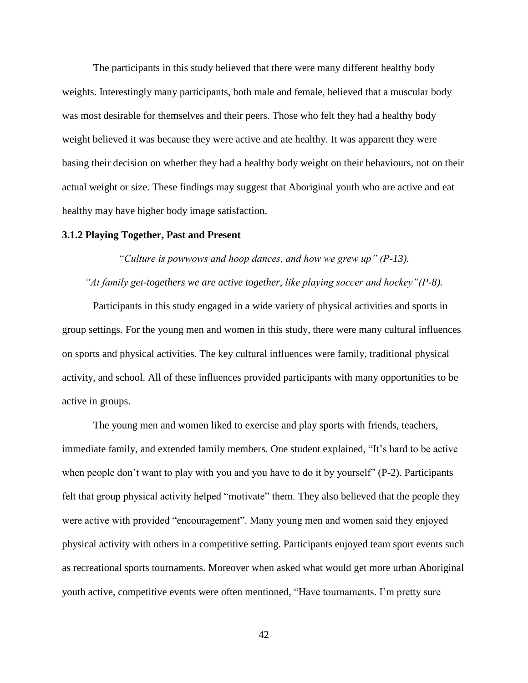The participants in this study believed that there were many different healthy body weights. Interestingly many participants, both male and female, believed that a muscular body was most desirable for themselves and their peers. Those who felt they had a healthy body weight believed it was because they were active and ate healthy. It was apparent they were basing their decision on whether they had a healthy body weight on their behaviours, not on their actual weight or size. These findings may suggest that Aboriginal youth who are active and eat healthy may have higher body image satisfaction.

## **3.1.2 Playing Together, Past and Present**

*"Culture is powwows and hoop dances, and how we grew up" (P-13).*

# *"At family get-togethers we are active together, like playing soccer and hockey"(P-8).*

Participants in this study engaged in a wide variety of physical activities and sports in group settings. For the young men and women in this study, there were many cultural influences on sports and physical activities. The key cultural influences were family, traditional physical activity, and school. All of these influences provided participants with many opportunities to be active in groups.

The young men and women liked to exercise and play sports with friends, teachers, immediate family, and extended family members. One student explained, "It's hard to be active when people don't want to play with you and you have to do it by yourself" (P-2). Participants felt that group physical activity helped "motivate" them. They also believed that the people they were active with provided "encouragement". Many young men and women said they enjoyed physical activity with others in a competitive setting. Participants enjoyed team sport events such as recreational sports tournaments. Moreover when asked what would get more urban Aboriginal youth active, competitive events were often mentioned, "Have tournaments. I'm pretty sure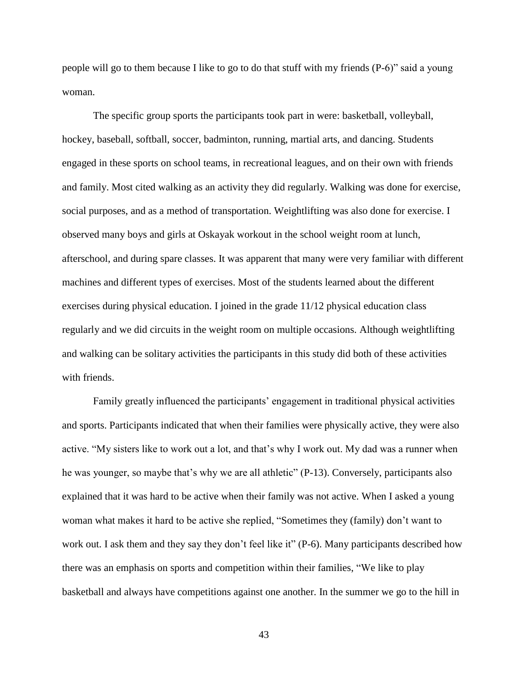people will go to them because I like to go to do that stuff with my friends  $(P-6)$ " said a young woman.

The specific group sports the participants took part in were: basketball, volleyball, hockey, baseball, softball, soccer, badminton, running, martial arts, and dancing. Students engaged in these sports on school teams, in recreational leagues, and on their own with friends and family. Most cited walking as an activity they did regularly. Walking was done for exercise, social purposes, and as a method of transportation. Weightlifting was also done for exercise. I observed many boys and girls at Oskayak workout in the school weight room at lunch, afterschool, and during spare classes. It was apparent that many were very familiar with different machines and different types of exercises. Most of the students learned about the different exercises during physical education. I joined in the grade 11/12 physical education class regularly and we did circuits in the weight room on multiple occasions. Although weightlifting and walking can be solitary activities the participants in this study did both of these activities with friends.

Family greatly influenced the participants' engagement in traditional physical activities and sports. Participants indicated that when their families were physically active, they were also active. "My sisters like to work out a lot, and that's why I work out. My dad was a runner when he was younger, so maybe that's why we are all athletic" (P-13). Conversely, participants also explained that it was hard to be active when their family was not active. When I asked a young woman what makes it hard to be active she replied, "Sometimes they (family) don't want to work out. I ask them and they say they don't feel like it" (P-6). Many participants described how there was an emphasis on sports and competition within their families, "We like to play basketball and always have competitions against one another. In the summer we go to the hill in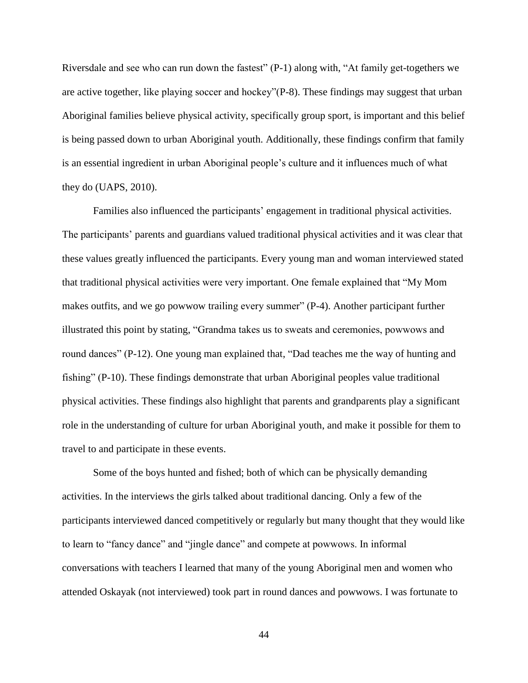Riversdale and see who can run down the fastest"  $(P-1)$  along with, "At family get-togethers we are active together, like playing soccer and hockey"(P-8). These findings may suggest that urban Aboriginal families believe physical activity, specifically group sport, is important and this belief is being passed down to urban Aboriginal youth. Additionally, these findings confirm that family is an essential ingredient in urban Aboriginal people's culture and it influences much of what they do (UAPS, 2010).

Families also influenced the participants' engagement in traditional physical activities. The participants' parents and guardians valued traditional physical activities and it was clear that these values greatly influenced the participants. Every young man and woman interviewed stated that traditional physical activities were very important. One female explained that "My Mom" makes outfits, and we go powwow trailing every summer" (P-4). Another participant further illustrated this point by stating, "Grandma takes us to sweats and ceremonies, powwows and round dances" (P-12). One young man explained that, "Dad teaches me the way of hunting and fishing" ( $P-10$ ). These findings demonstrate that urban Aboriginal peoples value traditional physical activities. These findings also highlight that parents and grandparents play a significant role in the understanding of culture for urban Aboriginal youth, and make it possible for them to travel to and participate in these events.

Some of the boys hunted and fished; both of which can be physically demanding activities. In the interviews the girls talked about traditional dancing. Only a few of the participants interviewed danced competitively or regularly but many thought that they would like to learn to "fancy dance" and "jingle dance" and compete at powwows. In informal conversations with teachers I learned that many of the young Aboriginal men and women who attended Oskayak (not interviewed) took part in round dances and powwows. I was fortunate to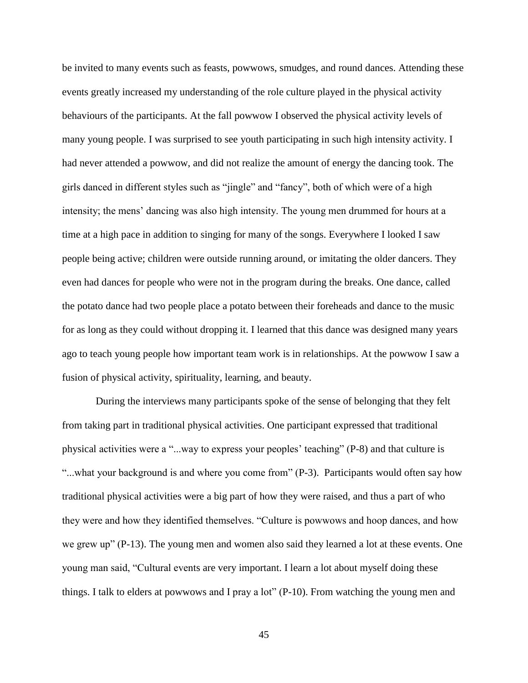be invited to many events such as feasts, powwows, smudges, and round dances. Attending these events greatly increased my understanding of the role culture played in the physical activity behaviours of the participants. At the fall powwow I observed the physical activity levels of many young people. I was surprised to see youth participating in such high intensity activity. I had never attended a powwow, and did not realize the amount of energy the dancing took. The girls danced in different styles such as "jingle" and "fancy", both of which were of a high intensity; the mens' dancing was also high intensity. The young men drummed for hours at a time at a high pace in addition to singing for many of the songs. Everywhere I looked I saw people being active; children were outside running around, or imitating the older dancers. They even had dances for people who were not in the program during the breaks. One dance, called the potato dance had two people place a potato between their foreheads and dance to the music for as long as they could without dropping it. I learned that this dance was designed many years ago to teach young people how important team work is in relationships. At the powwow I saw a fusion of physical activity, spirituality, learning, and beauty.

During the interviews many participants spoke of the sense of belonging that they felt from taking part in traditional physical activities. One participant expressed that traditional physical activities were a "...way to express your peoples' teaching" (P-8) and that culture is "...what your background is and where you come from" (P-3). Participants would often say how traditional physical activities were a big part of how they were raised, and thus a part of who they were and how they identified themselves. "Culture is powwows and hoop dances, and how we grew up" ( $P-13$ ). The young men and women also said they learned a lot at these events. One young man said, "Cultural events are very important. I learn a lot about myself doing these things. I talk to elders at powwows and I pray a lot" (P-10). From watching the young men and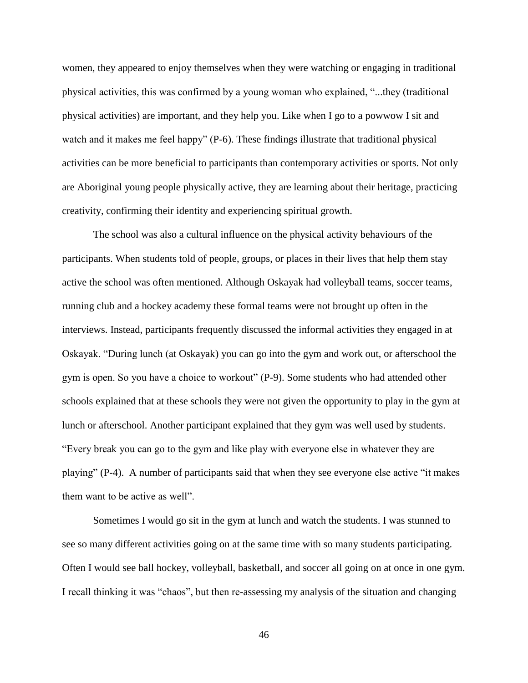women, they appeared to enjoy themselves when they were watching or engaging in traditional physical activities, this was confirmed by a young woman who explained, ―...they (traditional physical activities) are important, and they help you. Like when I go to a powwow I sit and watch and it makes me feel happy"  $(P-6)$ . These findings illustrate that traditional physical activities can be more beneficial to participants than contemporary activities or sports. Not only are Aboriginal young people physically active, they are learning about their heritage, practicing creativity, confirming their identity and experiencing spiritual growth.

The school was also a cultural influence on the physical activity behaviours of the participants. When students told of people, groups, or places in their lives that help them stay active the school was often mentioned. Although Oskayak had volleyball teams, soccer teams, running club and a hockey academy these formal teams were not brought up often in the interviews. Instead, participants frequently discussed the informal activities they engaged in at Oskayak. "During lunch (at Oskayak) you can go into the gym and work out, or afterschool the gym is open. So you have a choice to workout" (P-9). Some students who had attended other schools explained that at these schools they were not given the opportunity to play in the gym at lunch or afterschool. Another participant explained that they gym was well used by students. ―Every break you can go to the gym and like play with everyone else in whatever they are playing" (P-4). A number of participants said that when they see everyone else active "it makes" them want to be active as well".

Sometimes I would go sit in the gym at lunch and watch the students. I was stunned to see so many different activities going on at the same time with so many students participating. Often I would see ball hockey, volleyball, basketball, and soccer all going on at once in one gym. I recall thinking it was "chaos", but then re-assessing my analysis of the situation and changing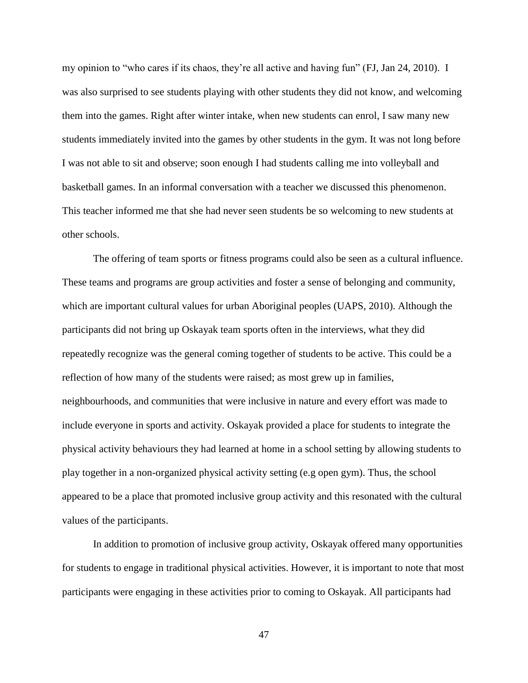my opinion to "who cares if its chaos, they're all active and having fun" (FJ, Jan 24, 2010). I was also surprised to see students playing with other students they did not know, and welcoming them into the games. Right after winter intake, when new students can enrol, I saw many new students immediately invited into the games by other students in the gym. It was not long before I was not able to sit and observe; soon enough I had students calling me into volleyball and basketball games. In an informal conversation with a teacher we discussed this phenomenon. This teacher informed me that she had never seen students be so welcoming to new students at other schools.

The offering of team sports or fitness programs could also be seen as a cultural influence. These teams and programs are group activities and foster a sense of belonging and community, which are important cultural values for urban Aboriginal peoples (UAPS, 2010). Although the participants did not bring up Oskayak team sports often in the interviews, what they did repeatedly recognize was the general coming together of students to be active. This could be a reflection of how many of the students were raised; as most grew up in families, neighbourhoods, and communities that were inclusive in nature and every effort was made to include everyone in sports and activity. Oskayak provided a place for students to integrate the physical activity behaviours they had learned at home in a school setting by allowing students to play together in a non-organized physical activity setting (e.g open gym). Thus, the school appeared to be a place that promoted inclusive group activity and this resonated with the cultural values of the participants.

In addition to promotion of inclusive group activity, Oskayak offered many opportunities for students to engage in traditional physical activities. However, it is important to note that most participants were engaging in these activities prior to coming to Oskayak. All participants had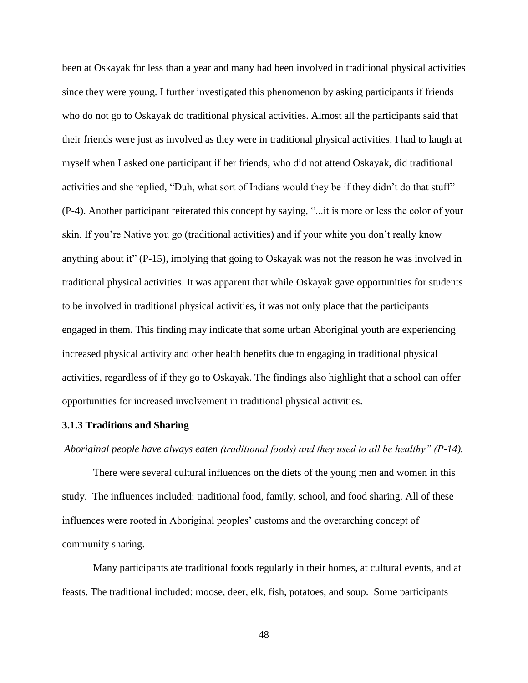been at Oskayak for less than a year and many had been involved in traditional physical activities since they were young. I further investigated this phenomenon by asking participants if friends who do not go to Oskayak do traditional physical activities. Almost all the participants said that their friends were just as involved as they were in traditional physical activities. I had to laugh at myself when I asked one participant if her friends, who did not attend Oskayak, did traditional activities and she replied, "Duh, what sort of Indians would they be if they didn't do that stuff" (P-4). Another participant reiterated this concept by saying, ―...it is more or less the color of your skin. If you're Native you go (traditional activities) and if your white you don't really know anything about it"  $(P-15)$ , implying that going to Oskayak was not the reason he was involved in traditional physical activities. It was apparent that while Oskayak gave opportunities for students to be involved in traditional physical activities, it was not only place that the participants engaged in them. This finding may indicate that some urban Aboriginal youth are experiencing increased physical activity and other health benefits due to engaging in traditional physical activities, regardless of if they go to Oskayak. The findings also highlight that a school can offer opportunities for increased involvement in traditional physical activities.

# **3.1.3 Traditions and Sharing**

*Aboriginal people have always eaten (traditional foods) and they used to all be healthy" (P-14).*

There were several cultural influences on the diets of the young men and women in this study. The influences included: traditional food, family, school, and food sharing. All of these influences were rooted in Aboriginal peoples' customs and the overarching concept of community sharing.

Many participants ate traditional foods regularly in their homes, at cultural events, and at feasts. The traditional included: moose, deer, elk, fish, potatoes, and soup. Some participants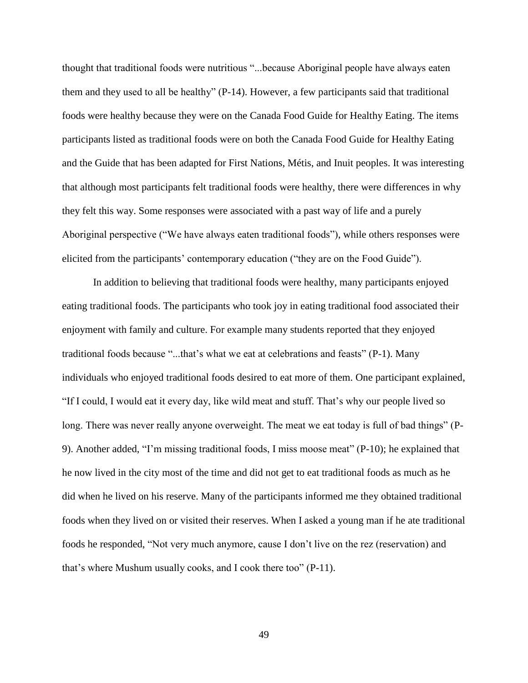thought that traditional foods were nutritious "...because Aboriginal people have always eaten them and they used to all be healthy"  $(P-14)$ . However, a few participants said that traditional foods were healthy because they were on the Canada Food Guide for Healthy Eating. The items participants listed as traditional foods were on both the Canada Food Guide for Healthy Eating and the Guide that has been adapted for First Nations, Métis, and Inuit peoples. It was interesting that although most participants felt traditional foods were healthy, there were differences in why they felt this way. Some responses were associated with a past way of life and a purely Aboriginal perspective ("We have always eaten traditional foods"), while others responses were elicited from the participants' contemporary education ("they are on the Food Guide").

In addition to believing that traditional foods were healthy, many participants enjoyed eating traditional foods. The participants who took joy in eating traditional food associated their enjoyment with family and culture. For example many students reported that they enjoyed traditional foods because "...that's what we eat at celebrations and feasts" (P-1). Many individuals who enjoyed traditional foods desired to eat more of them. One participant explained, ―If I could, I would eat it every day, like wild meat and stuff. That's why our people lived so long. There was never really anyone overweight. The meat we eat today is full of bad things" (P-9). Another added, "I'm missing traditional foods, I miss moose meat"  $(P-10)$ ; he explained that he now lived in the city most of the time and did not get to eat traditional foods as much as he did when he lived on his reserve. Many of the participants informed me they obtained traditional foods when they lived on or visited their reserves. When I asked a young man if he ate traditional foods he responded, "Not very much anymore, cause I don't live on the rez (reservation) and that's where Mushum usually cooks, and I cook there too" (P-11).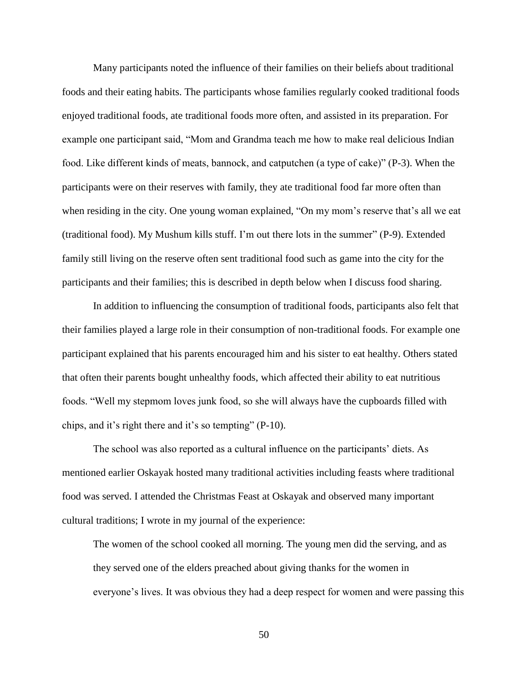Many participants noted the influence of their families on their beliefs about traditional foods and their eating habits. The participants whose families regularly cooked traditional foods enjoyed traditional foods, ate traditional foods more often, and assisted in its preparation. For example one participant said, "Mom and Grandma teach me how to make real delicious Indian food. Like different kinds of meats, bannock, and catputchen (a type of cake)"  $(P-3)$ . When the participants were on their reserves with family, they ate traditional food far more often than when residing in the city. One young woman explained, "On my mom's reserve that's all we eat (traditional food). My Mushum kills stuff. I'm out there lots in the summer"  $(P-9)$ . Extended family still living on the reserve often sent traditional food such as game into the city for the participants and their families; this is described in depth below when I discuss food sharing.

In addition to influencing the consumption of traditional foods, participants also felt that their families played a large role in their consumption of non-traditional foods. For example one participant explained that his parents encouraged him and his sister to eat healthy. Others stated that often their parents bought unhealthy foods, which affected their ability to eat nutritious foods. "Well my stepmom loves junk food, so she will always have the cupboards filled with chips, and it's right there and it's so tempting"  $(P-10)$ .

The school was also reported as a cultural influence on the participants' diets. As mentioned earlier Oskayak hosted many traditional activities including feasts where traditional food was served. I attended the Christmas Feast at Oskayak and observed many important cultural traditions; I wrote in my journal of the experience:

The women of the school cooked all morning. The young men did the serving, and as they served one of the elders preached about giving thanks for the women in everyone's lives. It was obvious they had a deep respect for women and were passing this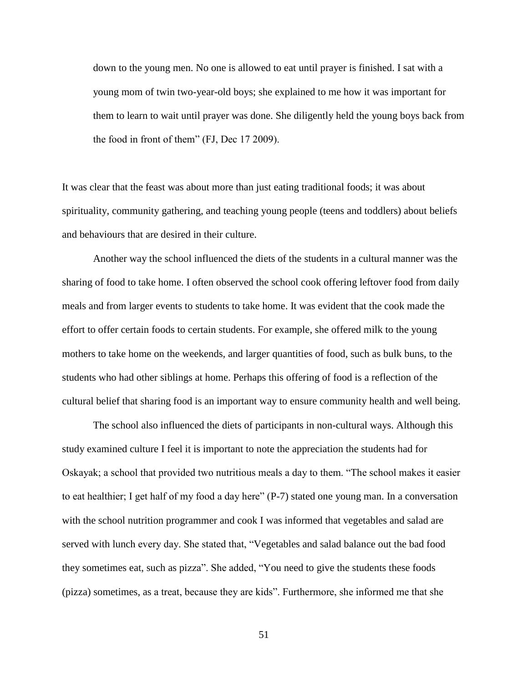down to the young men. No one is allowed to eat until prayer is finished. I sat with a young mom of twin two-year-old boys; she explained to me how it was important for them to learn to wait until prayer was done. She diligently held the young boys back from the food in front of them" (FJ, Dec 17 2009).

It was clear that the feast was about more than just eating traditional foods; it was about spirituality, community gathering, and teaching young people (teens and toddlers) about beliefs and behaviours that are desired in their culture.

Another way the school influenced the diets of the students in a cultural manner was the sharing of food to take home. I often observed the school cook offering leftover food from daily meals and from larger events to students to take home. It was evident that the cook made the effort to offer certain foods to certain students. For example, she offered milk to the young mothers to take home on the weekends, and larger quantities of food, such as bulk buns, to the students who had other siblings at home. Perhaps this offering of food is a reflection of the cultural belief that sharing food is an important way to ensure community health and well being.

The school also influenced the diets of participants in non-cultural ways. Although this study examined culture I feel it is important to note the appreciation the students had for Oskayak; a school that provided two nutritious meals a day to them. "The school makes it easier to eat healthier; I get half of my food a day here" (P-7) stated one young man. In a conversation with the school nutrition programmer and cook I was informed that vegetables and salad are served with lunch every day. She stated that, "Vegetables and salad balance out the bad food they sometimes eat, such as pizza". She added, "You need to give the students these foods (pizza) sometimes, as a treat, because they are kids‖. Furthermore, she informed me that she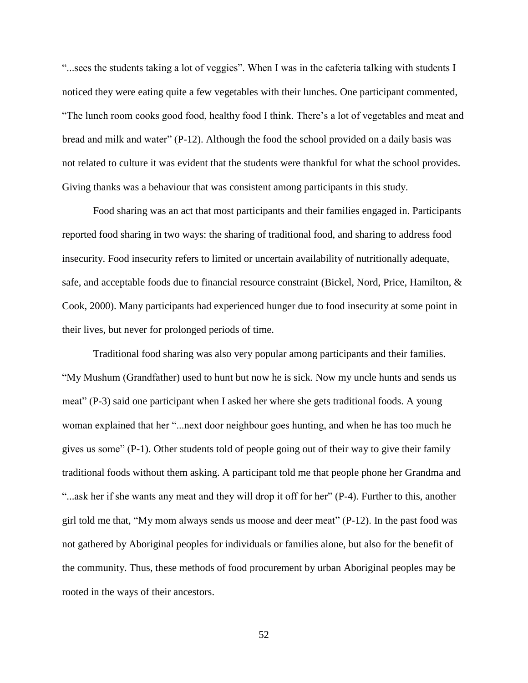"...sees the students taking a lot of veggies". When I was in the cafeteria talking with students I noticed they were eating quite a few vegetables with their lunches. One participant commented, ―The lunch room cooks good food, healthy food I think. There's a lot of vegetables and meat and bread and milk and water"  $(P-12)$ . Although the food the school provided on a daily basis was not related to culture it was evident that the students were thankful for what the school provides. Giving thanks was a behaviour that was consistent among participants in this study.

Food sharing was an act that most participants and their families engaged in. Participants reported food sharing in two ways: the sharing of traditional food, and sharing to address food insecurity. Food insecurity refers to limited or uncertain availability of nutritionally adequate, safe, and acceptable foods due to financial resource constraint (Bickel, Nord, Price, Hamilton, & Cook, 2000). Many participants had experienced hunger due to food insecurity at some point in their lives, but never for prolonged periods of time.

Traditional food sharing was also very popular among participants and their families. ―My Mushum (Grandfather) used to hunt but now he is sick. Now my uncle hunts and sends us meat" ( $P-3$ ) said one participant when I asked her where she gets traditional foods. A young woman explained that her "...next door neighbour goes hunting, and when he has too much he gives us some"  $(P-1)$ . Other students told of people going out of their way to give their family traditional foods without them asking. A participant told me that people phone her Grandma and "...ask her if she wants any meat and they will drop it off for her" (P-4). Further to this, another girl told me that, "My mom always sends us moose and deer meat"  $(P-12)$ . In the past food was not gathered by Aboriginal peoples for individuals or families alone, but also for the benefit of the community. Thus, these methods of food procurement by urban Aboriginal peoples may be rooted in the ways of their ancestors.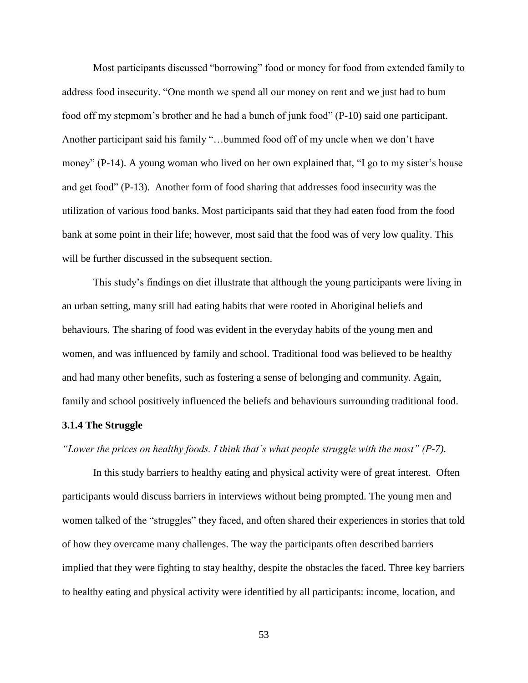Most participants discussed "borrowing" food or money for food from extended family to address food insecurity. "One month we spend all our money on rent and we just had to bum food off my stepmom's brother and he had a bunch of junk food" (P-10) said one participant. Another participant said his family "...bummed food off of my uncle when we don't have money" (P-14). A young woman who lived on her own explained that, "I go to my sister's house and get food" (P-13). Another form of food sharing that addresses food insecurity was the utilization of various food banks. Most participants said that they had eaten food from the food bank at some point in their life; however, most said that the food was of very low quality. This will be further discussed in the subsequent section.

This study's findings on diet illustrate that although the young participants were living in an urban setting, many still had eating habits that were rooted in Aboriginal beliefs and behaviours. The sharing of food was evident in the everyday habits of the young men and women, and was influenced by family and school. Traditional food was believed to be healthy and had many other benefits, such as fostering a sense of belonging and community. Again, family and school positively influenced the beliefs and behaviours surrounding traditional food.

## **3.1.4 The Struggle**

*"Lower the prices on healthy foods. I think that's what people struggle with the most" (P-7).*

In this study barriers to healthy eating and physical activity were of great interest. Often participants would discuss barriers in interviews without being prompted. The young men and women talked of the "struggles" they faced, and often shared their experiences in stories that told of how they overcame many challenges. The way the participants often described barriers implied that they were fighting to stay healthy, despite the obstacles the faced. Three key barriers to healthy eating and physical activity were identified by all participants: income, location, and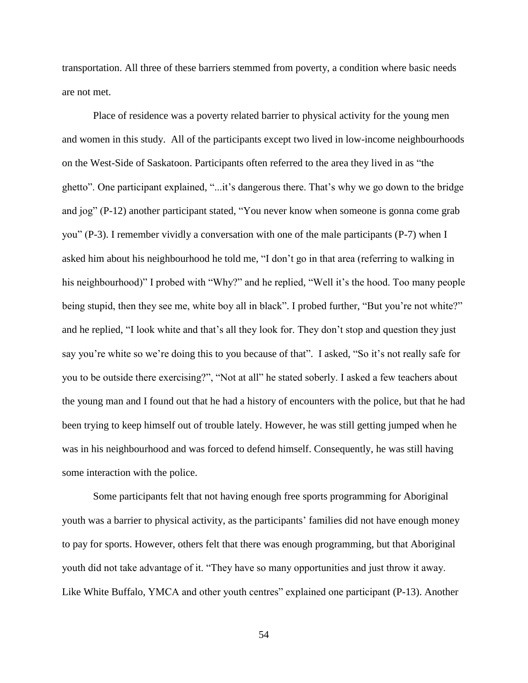transportation. All three of these barriers stemmed from poverty, a condition where basic needs are not met.

Place of residence was a poverty related barrier to physical activity for the young men and women in this study. All of the participants except two lived in low-income neighbourhoods on the West-Side of Saskatoon. Participants often referred to the area they lived in as "the ghetto". One participant explained, "...it's dangerous there. That's why we go down to the bridge and jog" ( $P-12$ ) another participant stated, "You never know when someone is gonna come grab you" (P-3). I remember vividly a conversation with one of the male participants (P-7) when I asked him about his neighbourhood he told me, "I don't go in that area (referring to walking in his neighbourhood)" I probed with "Why?" and he replied, "Well it's the hood. Too many people being stupid, then they see me, white boy all in black". I probed further, "But you're not white?" and he replied, "I look white and that's all they look for. They don't stop and question they just say you're white so we're doing this to you because of that". I asked, "So it's not really safe for you to be outside there exercising?", "Not at all" he stated soberly. I asked a few teachers about the young man and I found out that he had a history of encounters with the police, but that he had been trying to keep himself out of trouble lately. However, he was still getting jumped when he was in his neighbourhood and was forced to defend himself. Consequently, he was still having some interaction with the police.

Some participants felt that not having enough free sports programming for Aboriginal youth was a barrier to physical activity, as the participants' families did not have enough money to pay for sports. However, others felt that there was enough programming, but that Aboriginal youth did not take advantage of it. "They have so many opportunities and just throw it away. Like White Buffalo, YMCA and other youth centres" explained one participant (P-13). Another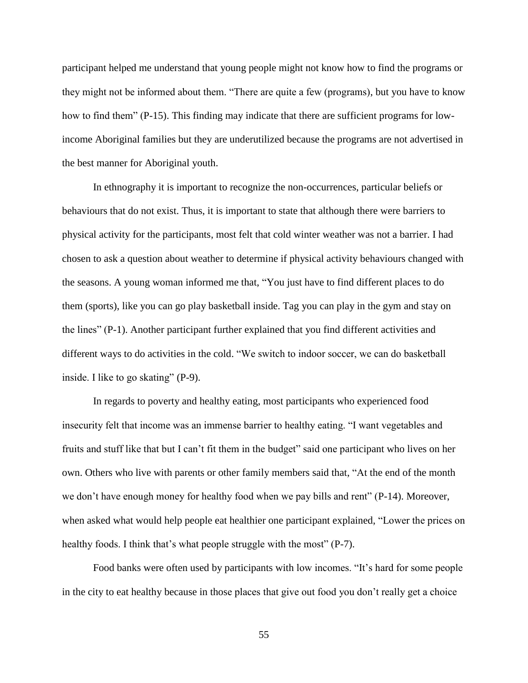participant helped me understand that young people might not know how to find the programs or they might not be informed about them. "There are quite a few (programs), but you have to know how to find them"  $(P-15)$ . This finding may indicate that there are sufficient programs for lowincome Aboriginal families but they are underutilized because the programs are not advertised in the best manner for Aboriginal youth.

In ethnography it is important to recognize the non-occurrences, particular beliefs or behaviours that do not exist. Thus, it is important to state that although there were barriers to physical activity for the participants, most felt that cold winter weather was not a barrier. I had chosen to ask a question about weather to determine if physical activity behaviours changed with the seasons. A young woman informed me that, "You just have to find different places to do them (sports), like you can go play basketball inside. Tag you can play in the gym and stay on the lines" (P-1). Another participant further explained that you find different activities and different ways to do activities in the cold. "We switch to indoor soccer, we can do basketball inside. I like to go skating"  $(P-9)$ .

In regards to poverty and healthy eating, most participants who experienced food insecurity felt that income was an immense barrier to healthy eating. "I want vegetables and fruits and stuff like that but I can't fit them in the budget" said one participant who lives on her own. Others who live with parents or other family members said that, "At the end of the month we don't have enough money for healthy food when we pay bills and rent"  $(P-14)$ . Moreover, when asked what would help people eat healthier one participant explained, "Lower the prices on healthy foods. I think that's what people struggle with the most"  $(P-7)$ .

Food banks were often used by participants with low incomes. "It's hard for some people in the city to eat healthy because in those places that give out food you don't really get a choice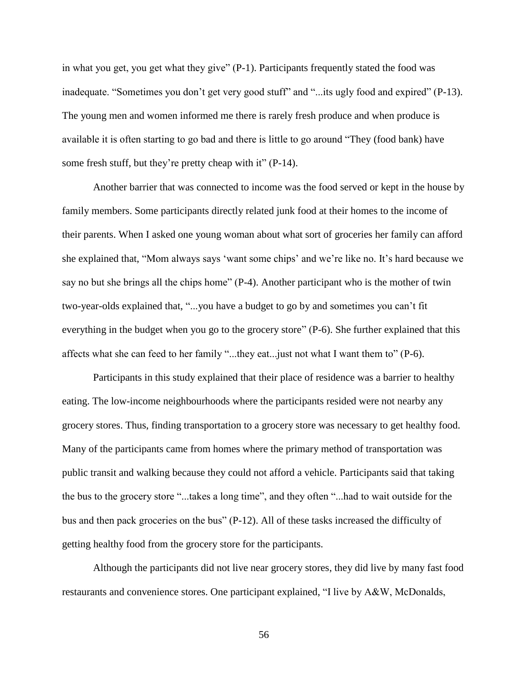in what you get, you get what they give"  $(P-1)$ . Participants frequently stated the food was inadequate. "Sometimes you don't get very good stuff" and "...its ugly food and expired" (P-13). The young men and women informed me there is rarely fresh produce and when produce is available it is often starting to go bad and there is little to go around "They (food bank) have some fresh stuff, but they're pretty cheap with it"  $(P-14)$ .

Another barrier that was connected to income was the food served or kept in the house by family members. Some participants directly related junk food at their homes to the income of their parents. When I asked one young woman about what sort of groceries her family can afford she explained that, "Mom always says 'want some chips' and we're like no. It's hard because we say no but she brings all the chips home"  $(P-4)$ . Another participant who is the mother of twin two-year-olds explained that, "...you have a budget to go by and sometimes you can't fit everything in the budget when you go to the grocery store" (P-6). She further explained that this affects what she can feed to her family "...they eat... just not what I want them to"  $(P-6)$ .

Participants in this study explained that their place of residence was a barrier to healthy eating. The low-income neighbourhoods where the participants resided were not nearby any grocery stores. Thus, finding transportation to a grocery store was necessary to get healthy food. Many of the participants came from homes where the primary method of transportation was public transit and walking because they could not afford a vehicle. Participants said that taking the bus to the grocery store "...takes a long time", and they often "...had to wait outside for the bus and then pack groceries on the bus" (P-12). All of these tasks increased the difficulty of getting healthy food from the grocery store for the participants.

Although the participants did not live near grocery stores, they did live by many fast food restaurants and convenience stores. One participant explained, "I live by  $A\&W$ , McDonalds,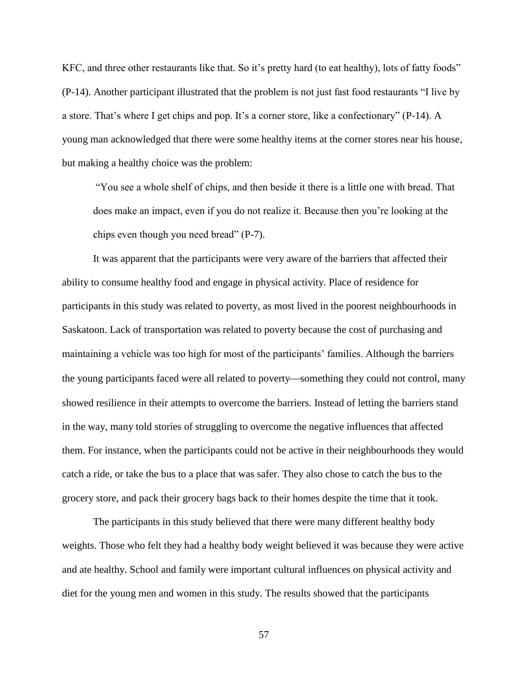KFC, and three other restaurants like that. So it's pretty hard (to eat healthy), lots of fatty foods" (P-14). Another participant illustrated that the problem is not just fast food restaurants "I live by a store. That's where I get chips and pop. It's a corner store, like a confectionary" (P-14). A young man acknowledged that there were some healthy items at the corner stores near his house, but making a healthy choice was the problem:

―You see a whole shelf of chips, and then beside it there is a little one with bread. That does make an impact, even if you do not realize it. Because then you're looking at the chips even though you need bread" (P-7).

It was apparent that the participants were very aware of the barriers that affected their ability to consume healthy food and engage in physical activity. Place of residence for participants in this study was related to poverty, as most lived in the poorest neighbourhoods in Saskatoon. Lack of transportation was related to poverty because the cost of purchasing and maintaining a vehicle was too high for most of the participants' families. Although the barriers the young participants faced were all related to poverty-something they could not control, many showed resilience in their attempts to overcome the barriers. Instead of letting the barriers stand in the way, many told stories of struggling to overcome the negative influences that affected them. For instance, when the participants could not be active in their neighbourhoods they would catch a ride, or take the bus to a place that was safer. They also chose to catch the bus to the grocery store, and pack their grocery bags back to their homes despite the time that it took.

The participants in this study believed that there were many different healthy body weights. Those who felt they had a healthy body weight believed it was because they were active and ate healthy. School and family were important cultural influences on physical activity and diet for the young men and women in this study. The results showed that the participants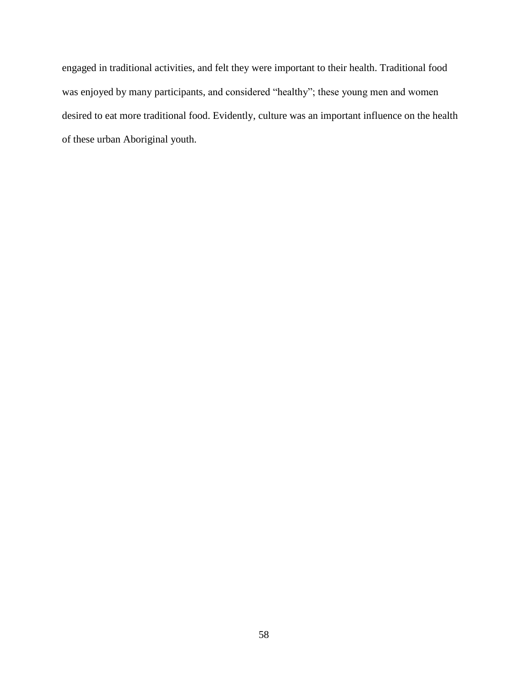engaged in traditional activities, and felt they were important to their health. Traditional food was enjoyed by many participants, and considered "healthy"; these young men and women desired to eat more traditional food. Evidently, culture was an important influence on the health of these urban Aboriginal youth.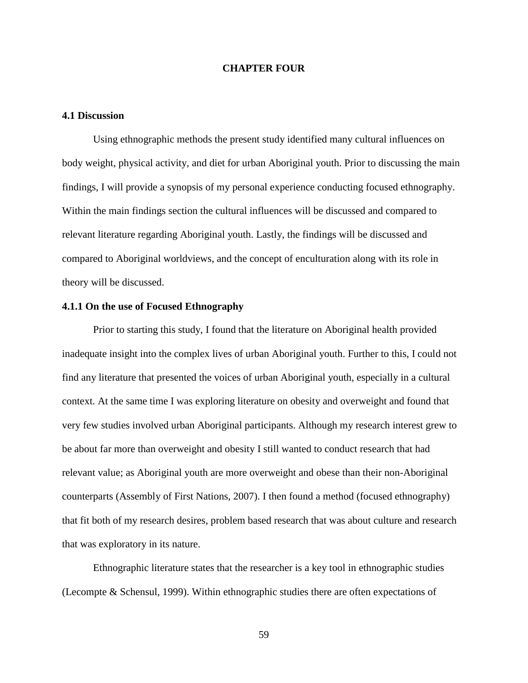# **CHAPTER FOUR**

# **4.1 Discussion**

Using ethnographic methods the present study identified many cultural influences on body weight, physical activity, and diet for urban Aboriginal youth. Prior to discussing the main findings, I will provide a synopsis of my personal experience conducting focused ethnography. Within the main findings section the cultural influences will be discussed and compared to relevant literature regarding Aboriginal youth. Lastly, the findings will be discussed and compared to Aboriginal worldviews, and the concept of enculturation along with its role in theory will be discussed.

## **4.1.1 On the use of Focused Ethnography**

Prior to starting this study, I found that the literature on Aboriginal health provided inadequate insight into the complex lives of urban Aboriginal youth. Further to this, I could not find any literature that presented the voices of urban Aboriginal youth, especially in a cultural context. At the same time I was exploring literature on obesity and overweight and found that very few studies involved urban Aboriginal participants. Although my research interest grew to be about far more than overweight and obesity I still wanted to conduct research that had relevant value; as Aboriginal youth are more overweight and obese than their non-Aboriginal counterparts (Assembly of First Nations, 2007). I then found a method (focused ethnography) that fit both of my research desires, problem based research that was about culture and research that was exploratory in its nature.

Ethnographic literature states that the researcher is a key tool in ethnographic studies (Lecompte & Schensul, 1999). Within ethnographic studies there are often expectations of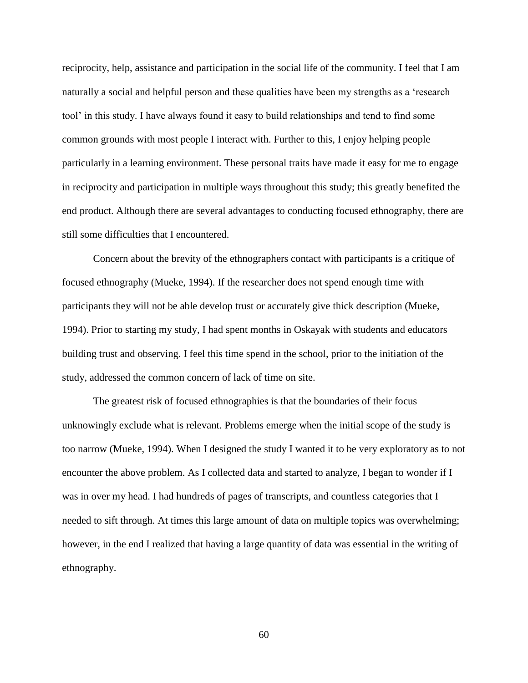reciprocity, help, assistance and participation in the social life of the community. I feel that I am naturally a social and helpful person and these qualities have been my strengths as a 'research tool' in this study. I have always found it easy to build relationships and tend to find some common grounds with most people I interact with. Further to this, I enjoy helping people particularly in a learning environment. These personal traits have made it easy for me to engage in reciprocity and participation in multiple ways throughout this study; this greatly benefited the end product. Although there are several advantages to conducting focused ethnography, there are still some difficulties that I encountered.

Concern about the brevity of the ethnographers contact with participants is a critique of focused ethnography (Mueke, 1994). If the researcher does not spend enough time with participants they will not be able develop trust or accurately give thick description (Mueke, 1994). Prior to starting my study, I had spent months in Oskayak with students and educators building trust and observing. I feel this time spend in the school, prior to the initiation of the study, addressed the common concern of lack of time on site.

The greatest risk of focused ethnographies is that the boundaries of their focus unknowingly exclude what is relevant. Problems emerge when the initial scope of the study is too narrow (Mueke, 1994). When I designed the study I wanted it to be very exploratory as to not encounter the above problem. As I collected data and started to analyze, I began to wonder if I was in over my head. I had hundreds of pages of transcripts, and countless categories that I needed to sift through. At times this large amount of data on multiple topics was overwhelming; however, in the end I realized that having a large quantity of data was essential in the writing of ethnography.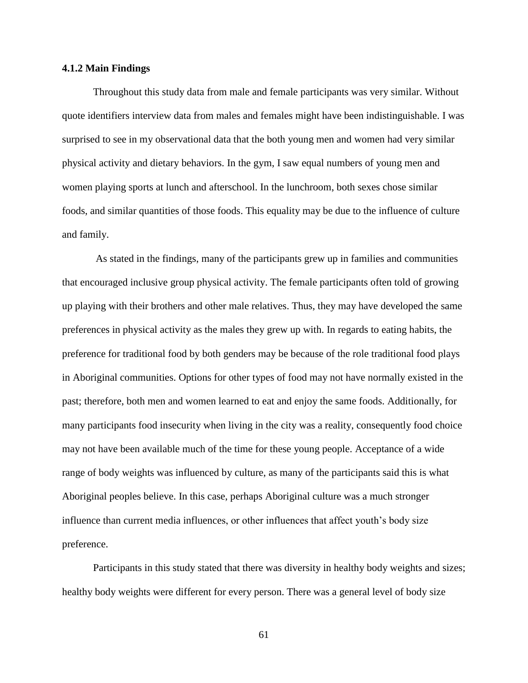## **4.1.2 Main Findings**

Throughout this study data from male and female participants was very similar. Without quote identifiers interview data from males and females might have been indistinguishable. I was surprised to see in my observational data that the both young men and women had very similar physical activity and dietary behaviors. In the gym, I saw equal numbers of young men and women playing sports at lunch and afterschool. In the lunchroom, both sexes chose similar foods, and similar quantities of those foods. This equality may be due to the influence of culture and family.

As stated in the findings, many of the participants grew up in families and communities that encouraged inclusive group physical activity. The female participants often told of growing up playing with their brothers and other male relatives. Thus, they may have developed the same preferences in physical activity as the males they grew up with. In regards to eating habits, the preference for traditional food by both genders may be because of the role traditional food plays in Aboriginal communities. Options for other types of food may not have normally existed in the past; therefore, both men and women learned to eat and enjoy the same foods. Additionally, for many participants food insecurity when living in the city was a reality, consequently food choice may not have been available much of the time for these young people. Acceptance of a wide range of body weights was influenced by culture, as many of the participants said this is what Aboriginal peoples believe. In this case, perhaps Aboriginal culture was a much stronger influence than current media influences, or other influences that affect youth's body size preference.

Participants in this study stated that there was diversity in healthy body weights and sizes; healthy body weights were different for every person. There was a general level of body size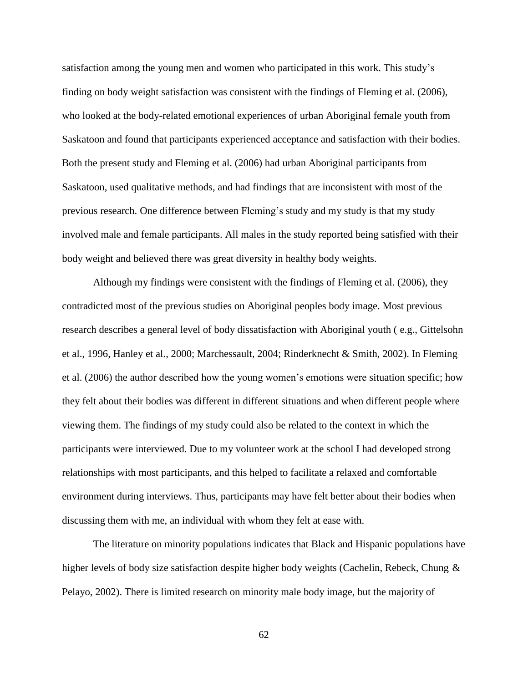satisfaction among the young men and women who participated in this work. This study's finding on body weight satisfaction was consistent with the findings of Fleming et al. (2006), who looked at the body-related emotional experiences of urban Aboriginal female youth from Saskatoon and found that participants experienced acceptance and satisfaction with their bodies. Both the present study and Fleming et al. (2006) had urban Aboriginal participants from Saskatoon, used qualitative methods, and had findings that are inconsistent with most of the previous research. One difference between Fleming's study and my study is that my study involved male and female participants. All males in the study reported being satisfied with their body weight and believed there was great diversity in healthy body weights.

Although my findings were consistent with the findings of Fleming et al. (2006), they contradicted most of the previous studies on Aboriginal peoples body image. Most previous research describes a general level of body dissatisfaction with Aboriginal youth ( e.g., Gittelsohn et al., 1996, Hanley et al., 2000; Marchessault, 2004; Rinderknecht & Smith, 2002). In Fleming et al. (2006) the author described how the young women's emotions were situation specific; how they felt about their bodies was different in different situations and when different people where viewing them. The findings of my study could also be related to the context in which the participants were interviewed. Due to my volunteer work at the school I had developed strong relationships with most participants, and this helped to facilitate a relaxed and comfortable environment during interviews. Thus, participants may have felt better about their bodies when discussing them with me, an individual with whom they felt at ease with.

The literature on minority populations indicates that Black and Hispanic populations have higher levels of body size satisfaction despite higher body weights (Cachelin, Rebeck, Chung & Pelayo, 2002). There is limited research on minority male body image, but the majority of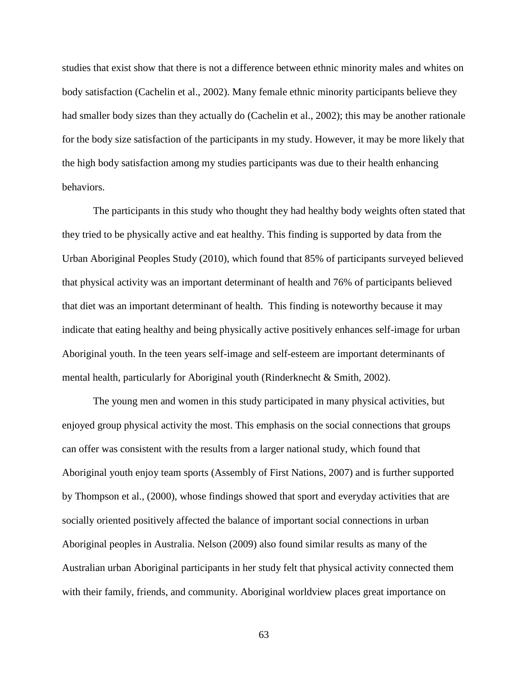studies that exist show that there is not a difference between ethnic minority males and whites on body satisfaction (Cachelin et al., 2002). Many female ethnic minority participants believe they had smaller body sizes than they actually do (Cachelin et al., 2002); this may be another rationale for the body size satisfaction of the participants in my study. However, it may be more likely that the high body satisfaction among my studies participants was due to their health enhancing behaviors.

The participants in this study who thought they had healthy body weights often stated that they tried to be physically active and eat healthy. This finding is supported by data from the Urban Aboriginal Peoples Study (2010), which found that 85% of participants surveyed believed that physical activity was an important determinant of health and 76% of participants believed that diet was an important determinant of health. This finding is noteworthy because it may indicate that eating healthy and being physically active positively enhances self-image for urban Aboriginal youth. In the teen years self-image and self-esteem are important determinants of mental health, particularly for Aboriginal youth (Rinderknecht & Smith, 2002).

The young men and women in this study participated in many physical activities, but enjoyed group physical activity the most. This emphasis on the social connections that groups can offer was consistent with the results from a larger national study, which found that Aboriginal youth enjoy team sports (Assembly of First Nations, 2007) and is further supported by Thompson et al., (2000), whose findings showed that sport and everyday activities that are socially oriented positively affected the balance of important social connections in urban Aboriginal peoples in Australia. Nelson (2009) also found similar results as many of the Australian urban Aboriginal participants in her study felt that physical activity connected them with their family, friends, and community. Aboriginal worldview places great importance on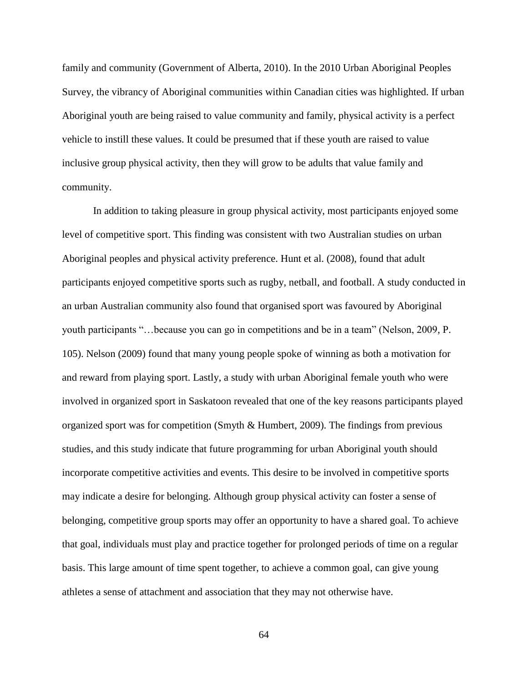family and community (Government of Alberta, 2010). In the 2010 Urban Aboriginal Peoples Survey, the vibrancy of Aboriginal communities within Canadian cities was highlighted. If urban Aboriginal youth are being raised to value community and family, physical activity is a perfect vehicle to instill these values. It could be presumed that if these youth are raised to value inclusive group physical activity, then they will grow to be adults that value family and community.

In addition to taking pleasure in group physical activity, most participants enjoyed some level of competitive sport. This finding was consistent with two Australian studies on urban Aboriginal peoples and physical activity preference. Hunt et al. (2008), found that adult participants enjoyed competitive sports such as rugby, netball, and football. A study conducted in an urban Australian community also found that organised sport was favoured by Aboriginal youth participants "...because you can go in competitions and be in a team" (Nelson, 2009, P. 105). Nelson (2009) found that many young people spoke of winning as both a motivation for and reward from playing sport. Lastly, a study with urban Aboriginal female youth who were involved in organized sport in Saskatoon revealed that one of the key reasons participants played organized sport was for competition (Smyth & Humbert, 2009). The findings from previous studies, and this study indicate that future programming for urban Aboriginal youth should incorporate competitive activities and events. This desire to be involved in competitive sports may indicate a desire for belonging. Although group physical activity can foster a sense of belonging, competitive group sports may offer an opportunity to have a shared goal. To achieve that goal, individuals must play and practice together for prolonged periods of time on a regular basis. This large amount of time spent together, to achieve a common goal, can give young athletes a sense of attachment and association that they may not otherwise have.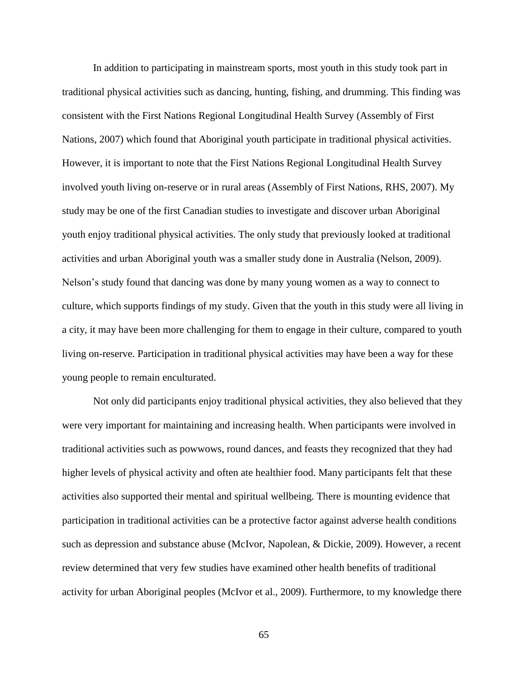In addition to participating in mainstream sports, most youth in this study took part in traditional physical activities such as dancing, hunting, fishing, and drumming. This finding was consistent with the First Nations Regional Longitudinal Health Survey (Assembly of First Nations, 2007) which found that Aboriginal youth participate in traditional physical activities. However, it is important to note that the First Nations Regional Longitudinal Health Survey involved youth living on-reserve or in rural areas (Assembly of First Nations, RHS, 2007). My study may be one of the first Canadian studies to investigate and discover urban Aboriginal youth enjoy traditional physical activities. The only study that previously looked at traditional activities and urban Aboriginal youth was a smaller study done in Australia (Nelson, 2009). Nelson's study found that dancing was done by many young women as a way to connect to culture, which supports findings of my study. Given that the youth in this study were all living in a city, it may have been more challenging for them to engage in their culture, compared to youth living on-reserve. Participation in traditional physical activities may have been a way for these young people to remain enculturated.

Not only did participants enjoy traditional physical activities, they also believed that they were very important for maintaining and increasing health. When participants were involved in traditional activities such as powwows, round dances, and feasts they recognized that they had higher levels of physical activity and often ate healthier food. Many participants felt that these activities also supported their mental and spiritual wellbeing. There is mounting evidence that participation in traditional activities can be a protective factor against adverse health conditions such as depression and substance abuse (McIvor, Napolean, & Dickie, 2009). However, a recent review determined that very few studies have examined other health benefits of traditional activity for urban Aboriginal peoples (McIvor et al., 2009). Furthermore, to my knowledge there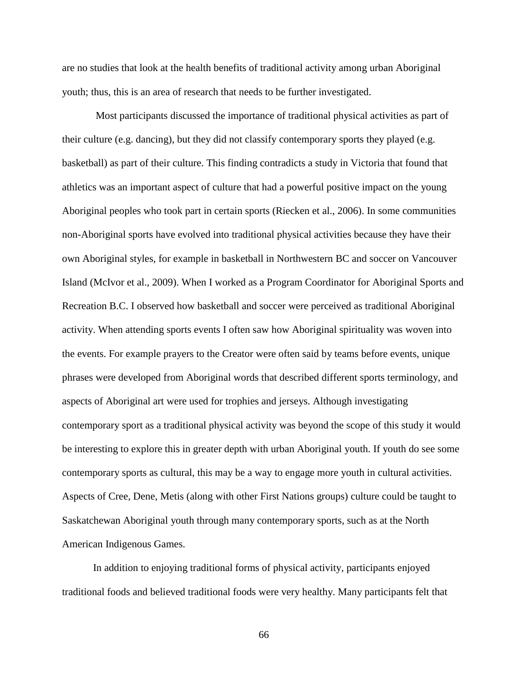are no studies that look at the health benefits of traditional activity among urban Aboriginal youth; thus, this is an area of research that needs to be further investigated.

Most participants discussed the importance of traditional physical activities as part of their culture (e.g. dancing), but they did not classify contemporary sports they played (e.g. basketball) as part of their culture. This finding contradicts a study in Victoria that found that athletics was an important aspect of culture that had a powerful positive impact on the young Aboriginal peoples who took part in certain sports (Riecken et al., 2006). In some communities non-Aboriginal sports have evolved into traditional physical activities because they have their own Aboriginal styles, for example in basketball in Northwestern BC and soccer on Vancouver Island (McIvor et al., 2009). When I worked as a Program Coordinator for Aboriginal Sports and Recreation B.C. I observed how basketball and soccer were perceived as traditional Aboriginal activity. When attending sports events I often saw how Aboriginal spirituality was woven into the events. For example prayers to the Creator were often said by teams before events, unique phrases were developed from Aboriginal words that described different sports terminology, and aspects of Aboriginal art were used for trophies and jerseys. Although investigating contemporary sport as a traditional physical activity was beyond the scope of this study it would be interesting to explore this in greater depth with urban Aboriginal youth. If youth do see some contemporary sports as cultural, this may be a way to engage more youth in cultural activities. Aspects of Cree, Dene, Metis (along with other First Nations groups) culture could be taught to Saskatchewan Aboriginal youth through many contemporary sports, such as at the North American Indigenous Games.

In addition to enjoying traditional forms of physical activity, participants enjoyed traditional foods and believed traditional foods were very healthy. Many participants felt that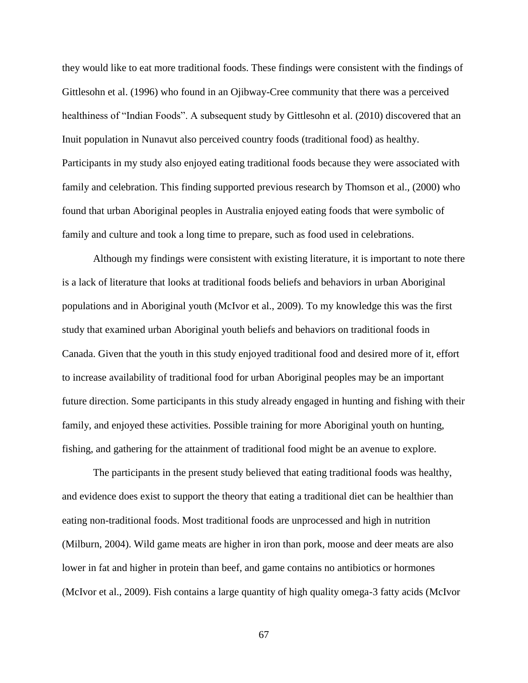they would like to eat more traditional foods. These findings were consistent with the findings of Gittlesohn et al. (1996) who found in an Ojibway-Cree community that there was a perceived healthiness of "Indian Foods". A subsequent study by Gittlesohn et al. (2010) discovered that an Inuit population in Nunavut also perceived country foods (traditional food) as healthy. Participants in my study also enjoyed eating traditional foods because they were associated with family and celebration. This finding supported previous research by Thomson et al., (2000) who found that urban Aboriginal peoples in Australia enjoyed eating foods that were symbolic of family and culture and took a long time to prepare, such as food used in celebrations.

Although my findings were consistent with existing literature, it is important to note there is a lack of literature that looks at traditional foods beliefs and behaviors in urban Aboriginal populations and in Aboriginal youth (McIvor et al., 2009). To my knowledge this was the first study that examined urban Aboriginal youth beliefs and behaviors on traditional foods in Canada. Given that the youth in this study enjoyed traditional food and desired more of it, effort to increase availability of traditional food for urban Aboriginal peoples may be an important future direction. Some participants in this study already engaged in hunting and fishing with their family, and enjoyed these activities. Possible training for more Aboriginal youth on hunting, fishing, and gathering for the attainment of traditional food might be an avenue to explore.

The participants in the present study believed that eating traditional foods was healthy, and evidence does exist to support the theory that eating a traditional diet can be healthier than eating non-traditional foods. Most traditional foods are unprocessed and high in nutrition (Milburn, 2004). Wild game meats are higher in iron than pork, moose and deer meats are also lower in fat and higher in protein than beef, and game contains no antibiotics or hormones (McIvor et al., 2009). Fish contains a large quantity of high quality omega-3 fatty acids (McIvor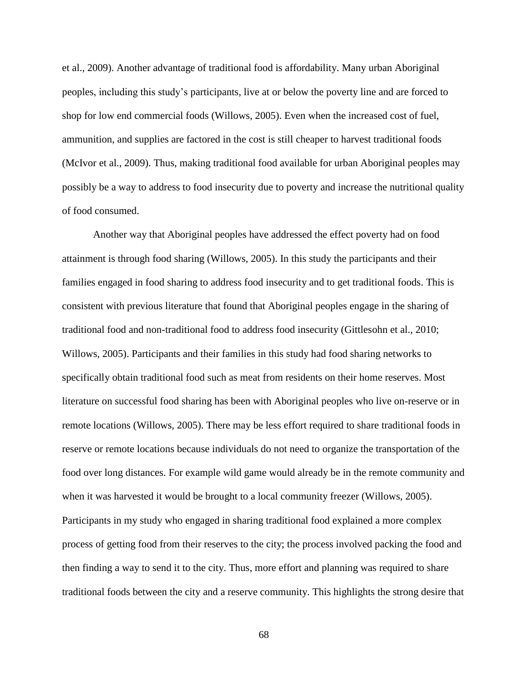et al., 2009). Another advantage of traditional food is affordability. Many urban Aboriginal peoples, including this study's participants, live at or below the poverty line and are forced to shop for low end commercial foods (Willows, 2005). Even when the increased cost of fuel, ammunition, and supplies are factored in the cost is still cheaper to harvest traditional foods (McIvor et al., 2009). Thus, making traditional food available for urban Aboriginal peoples may possibly be a way to address to food insecurity due to poverty and increase the nutritional quality of food consumed.

Another way that Aboriginal peoples have addressed the effect poverty had on food attainment is through food sharing (Willows, 2005). In this study the participants and their families engaged in food sharing to address food insecurity and to get traditional foods. This is consistent with previous literature that found that Aboriginal peoples engage in the sharing of traditional food and non-traditional food to address food insecurity (Gittlesohn et al., 2010; Willows, 2005). Participants and their families in this study had food sharing networks to specifically obtain traditional food such as meat from residents on their home reserves. Most literature on successful food sharing has been with Aboriginal peoples who live on-reserve or in remote locations (Willows, 2005). There may be less effort required to share traditional foods in reserve or remote locations because individuals do not need to organize the transportation of the food over long distances. For example wild game would already be in the remote community and when it was harvested it would be brought to a local community freezer (Willows, 2005). Participants in my study who engaged in sharing traditional food explained a more complex process of getting food from their reserves to the city; the process involved packing the food and then finding a way to send it to the city. Thus, more effort and planning was required to share traditional foods between the city and a reserve community. This highlights the strong desire that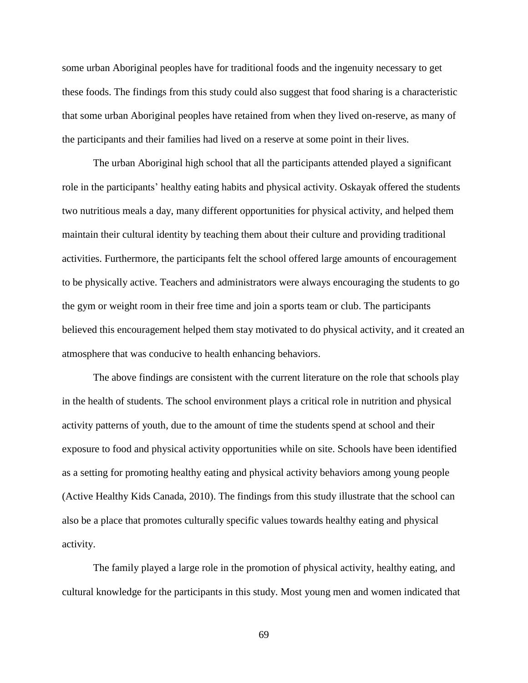some urban Aboriginal peoples have for traditional foods and the ingenuity necessary to get these foods. The findings from this study could also suggest that food sharing is a characteristic that some urban Aboriginal peoples have retained from when they lived on-reserve, as many of the participants and their families had lived on a reserve at some point in their lives.

The urban Aboriginal high school that all the participants attended played a significant role in the participants' healthy eating habits and physical activity. Oskayak offered the students two nutritious meals a day, many different opportunities for physical activity, and helped them maintain their cultural identity by teaching them about their culture and providing traditional activities. Furthermore, the participants felt the school offered large amounts of encouragement to be physically active. Teachers and administrators were always encouraging the students to go the gym or weight room in their free time and join a sports team or club. The participants believed this encouragement helped them stay motivated to do physical activity, and it created an atmosphere that was conducive to health enhancing behaviors.

The above findings are consistent with the current literature on the role that schools play in the health of students. The school environment plays a critical role in nutrition and physical activity patterns of youth, due to the amount of time the students spend at school and their exposure to food and physical activity opportunities while on site. Schools have been identified as a setting for promoting healthy eating and physical activity behaviors among young people (Active Healthy Kids Canada, 2010). The findings from this study illustrate that the school can also be a place that promotes culturally specific values towards healthy eating and physical activity.

The family played a large role in the promotion of physical activity, healthy eating, and cultural knowledge for the participants in this study. Most young men and women indicated that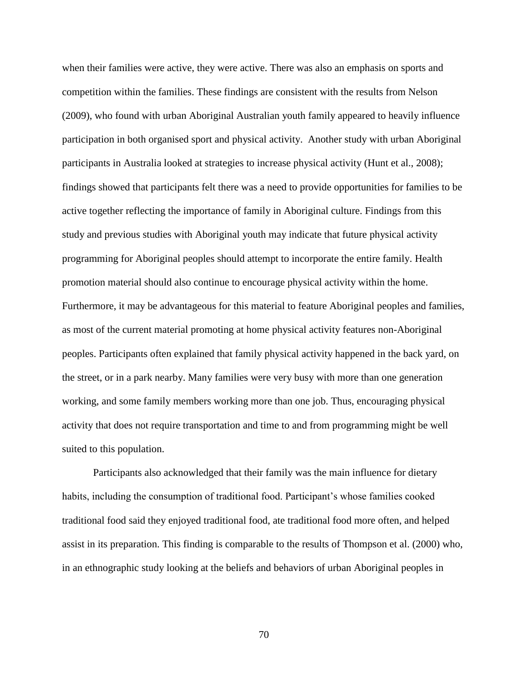when their families were active, they were active. There was also an emphasis on sports and competition within the families. These findings are consistent with the results from Nelson (2009), who found with urban Aboriginal Australian youth family appeared to heavily influence participation in both organised sport and physical activity. Another study with urban Aboriginal participants in Australia looked at strategies to increase physical activity (Hunt et al., 2008); findings showed that participants felt there was a need to provide opportunities for families to be active together reflecting the importance of family in Aboriginal culture. Findings from this study and previous studies with Aboriginal youth may indicate that future physical activity programming for Aboriginal peoples should attempt to incorporate the entire family. Health promotion material should also continue to encourage physical activity within the home. Furthermore, it may be advantageous for this material to feature Aboriginal peoples and families, as most of the current material promoting at home physical activity features non-Aboriginal peoples. Participants often explained that family physical activity happened in the back yard, on the street, or in a park nearby. Many families were very busy with more than one generation working, and some family members working more than one job. Thus, encouraging physical activity that does not require transportation and time to and from programming might be well suited to this population.

Participants also acknowledged that their family was the main influence for dietary habits, including the consumption of traditional food. Participant's whose families cooked traditional food said they enjoyed traditional food, ate traditional food more often, and helped assist in its preparation. This finding is comparable to the results of Thompson et al. (2000) who, in an ethnographic study looking at the beliefs and behaviors of urban Aboriginal peoples in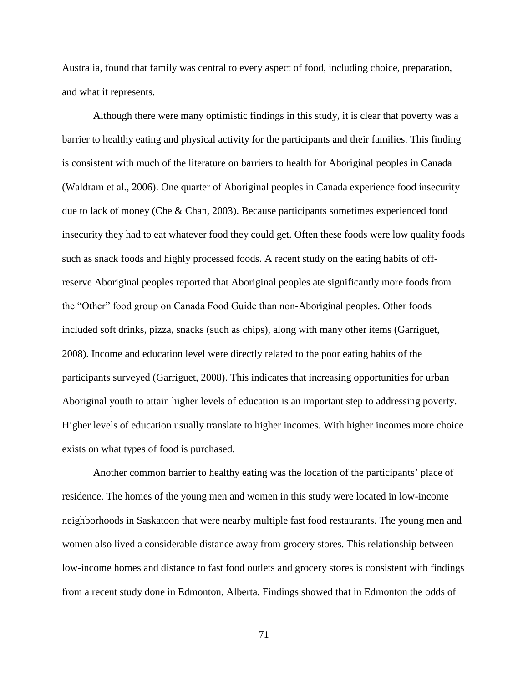Australia, found that family was central to every aspect of food, including choice, preparation, and what it represents.

Although there were many optimistic findings in this study, it is clear that poverty was a barrier to healthy eating and physical activity for the participants and their families. This finding is consistent with much of the literature on barriers to health for Aboriginal peoples in Canada (Waldram et al., 2006). One quarter of Aboriginal peoples in Canada experience food insecurity due to lack of money (Che & Chan, 2003). Because participants sometimes experienced food insecurity they had to eat whatever food they could get. Often these foods were low quality foods such as snack foods and highly processed foods. A recent study on the eating habits of offreserve Aboriginal peoples reported that Aboriginal peoples ate significantly more foods from the "Other" food group on Canada Food Guide than non-Aboriginal peoples. Other foods included soft drinks, pizza, snacks (such as chips), along with many other items (Garriguet, 2008). Income and education level were directly related to the poor eating habits of the participants surveyed (Garriguet, 2008). This indicates that increasing opportunities for urban Aboriginal youth to attain higher levels of education is an important step to addressing poverty. Higher levels of education usually translate to higher incomes. With higher incomes more choice exists on what types of food is purchased.

Another common barrier to healthy eating was the location of the participants' place of residence. The homes of the young men and women in this study were located in low-income neighborhoods in Saskatoon that were nearby multiple fast food restaurants. The young men and women also lived a considerable distance away from grocery stores. This relationship between low-income homes and distance to fast food outlets and grocery stores is consistent with findings from a recent study done in Edmonton, Alberta. Findings showed that in Edmonton the odds of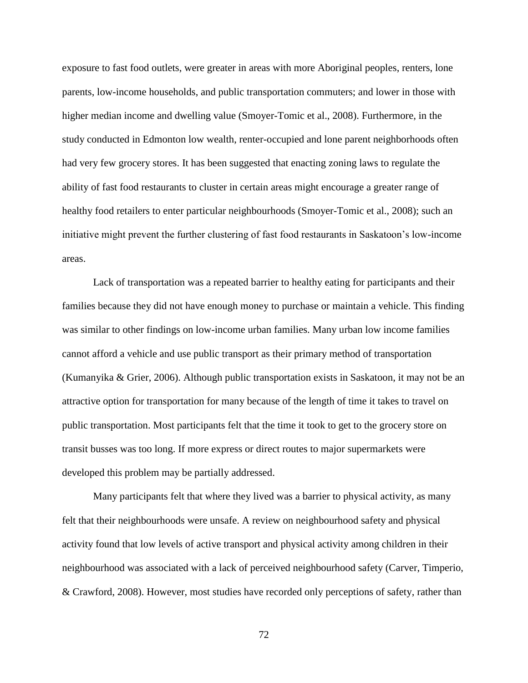exposure to fast food outlets, were greater in areas with more Aboriginal peoples, renters, lone parents, low-income households, and public transportation commuters; and lower in those with higher median income and dwelling value (Smoyer-Tomic et al., 2008). Furthermore, in the study conducted in Edmonton low wealth, renter-occupied and lone parent neighborhoods often had very few grocery stores. It has been suggested that enacting zoning laws to regulate the ability of fast food restaurants to cluster in certain areas might encourage a greater range of healthy food retailers to enter particular neighbourhoods (Smoyer-Tomic et al., 2008); such an initiative might prevent the further clustering of fast food restaurants in Saskatoon's low-income areas.

Lack of transportation was a repeated barrier to healthy eating for participants and their families because they did not have enough money to purchase or maintain a vehicle. This finding was similar to other findings on low-income urban families. Many urban low income families cannot afford a vehicle and use public transport as their primary method of transportation (Kumanyika & Grier, 2006). Although public transportation exists in Saskatoon, it may not be an attractive option for transportation for many because of the length of time it takes to travel on public transportation. Most participants felt that the time it took to get to the grocery store on transit busses was too long. If more express or direct routes to major supermarkets were developed this problem may be partially addressed.

Many participants felt that where they lived was a barrier to physical activity, as many felt that their neighbourhoods were unsafe. A review on neighbourhood safety and physical activity found that low levels of active transport and physical activity among children in their neighbourhood was associated with a lack of perceived neighbourhood safety (Carver, Timperio, & Crawford, 2008). However, most studies have recorded only perceptions of safety, rather than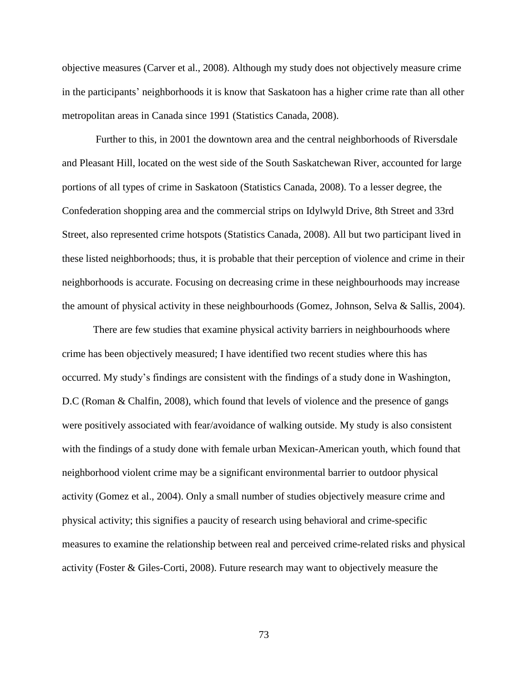objective measures (Carver et al., 2008). Although my study does not objectively measure crime in the participants' neighborhoods it is know that Saskatoon has a higher crime rate than all other metropolitan areas in Canada since 1991 (Statistics Canada, 2008).

Further to this, in 2001 the downtown area and the central neighborhoods of Riversdale and Pleasant Hill, located on the west side of the South Saskatchewan River, accounted for large portions of all types of crime in Saskatoon (Statistics Canada, 2008). To a lesser degree, the Confederation shopping area and the commercial strips on Idylwyld Drive, 8th Street and 33rd Street, also represented crime hotspots (Statistics Canada, 2008). All but two participant lived in these listed neighborhoods; thus, it is probable that their perception of violence and crime in their neighborhoods is accurate. Focusing on decreasing crime in these neighbourhoods may increase the amount of physical activity in these neighbourhoods (Gomez, Johnson, Selva & Sallis, 2004).

There are few studies that examine physical activity barriers in neighbourhoods where crime has been objectively measured; I have identified two recent studies where this has occurred. My study's findings are consistent with the findings of a study done in Washington, D.C (Roman & Chalfin, 2008), which found that levels of violence and the presence of gangs were positively associated with fear/avoidance of walking outside. My study is also consistent with the findings of a study done with female urban Mexican-American youth, which found that neighborhood violent crime may be a significant environmental barrier to outdoor physical activity (Gomez et al., 2004). Only a small number of studies objectively measure crime and physical activity; this signifies a paucity of research using behavioral and crime-specific measures to examine the relationship between real and perceived crime-related risks and physical activity (Foster & Giles-Corti, 2008). Future research may want to objectively measure the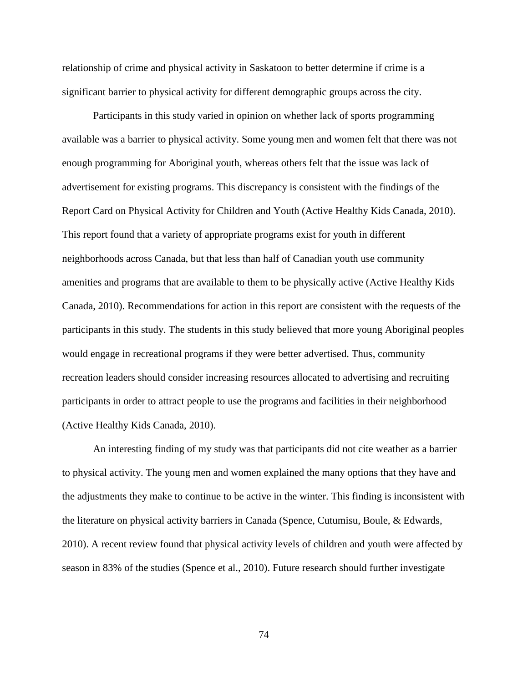relationship of crime and physical activity in Saskatoon to better determine if crime is a significant barrier to physical activity for different demographic groups across the city.

Participants in this study varied in opinion on whether lack of sports programming available was a barrier to physical activity. Some young men and women felt that there was not enough programming for Aboriginal youth, whereas others felt that the issue was lack of advertisement for existing programs. This discrepancy is consistent with the findings of the Report Card on Physical Activity for Children and Youth (Active Healthy Kids Canada, 2010). This report found that a variety of appropriate programs exist for youth in different neighborhoods across Canada, but that less than half of Canadian youth use community amenities and programs that are available to them to be physically active (Active Healthy Kids Canada, 2010). Recommendations for action in this report are consistent with the requests of the participants in this study. The students in this study believed that more young Aboriginal peoples would engage in recreational programs if they were better advertised. Thus, community recreation leaders should consider increasing resources allocated to advertising and recruiting participants in order to attract people to use the programs and facilities in their neighborhood (Active Healthy Kids Canada, 2010).

An interesting finding of my study was that participants did not cite weather as a barrier to physical activity. The young men and women explained the many options that they have and the adjustments they make to continue to be active in the winter. This finding is inconsistent with the literature on physical activity barriers in Canada (Spence, Cutumisu, Boule, & Edwards, 2010). A recent review found that physical activity levels of children and youth were affected by season in 83% of the studies (Spence et al., 2010). Future research should further investigate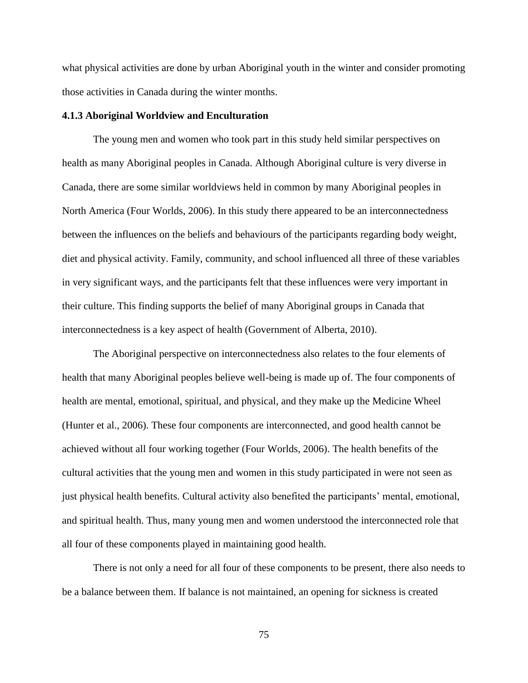what physical activities are done by urban Aboriginal youth in the winter and consider promoting those activities in Canada during the winter months.

#### **4.1.3 Aboriginal Worldview and Enculturation**

The young men and women who took part in this study held similar perspectives on health as many Aboriginal peoples in Canada. Although Aboriginal culture is very diverse in Canada, there are some similar worldviews held in common by many Aboriginal peoples in North America (Four Worlds, 2006). In this study there appeared to be an interconnectedness between the influences on the beliefs and behaviours of the participants regarding body weight, diet and physical activity. Family, community, and school influenced all three of these variables in very significant ways, and the participants felt that these influences were very important in their culture. This finding supports the belief of many Aboriginal groups in Canada that interconnectedness is a key aspect of health (Government of Alberta, 2010).

The Aboriginal perspective on interconnectedness also relates to the four elements of health that many Aboriginal peoples believe well-being is made up of. The four components of health are mental, emotional, spiritual, and physical, and they make up the Medicine Wheel (Hunter et al., 2006). These four components are interconnected, and good health cannot be achieved without all four working together (Four Worlds, 2006). The health benefits of the cultural activities that the young men and women in this study participated in were not seen as just physical health benefits. Cultural activity also benefited the participants' mental, emotional, and spiritual health. Thus, many young men and women understood the interconnected role that all four of these components played in maintaining good health.

There is not only a need for all four of these components to be present, there also needs to be a balance between them. If balance is not maintained, an opening for sickness is created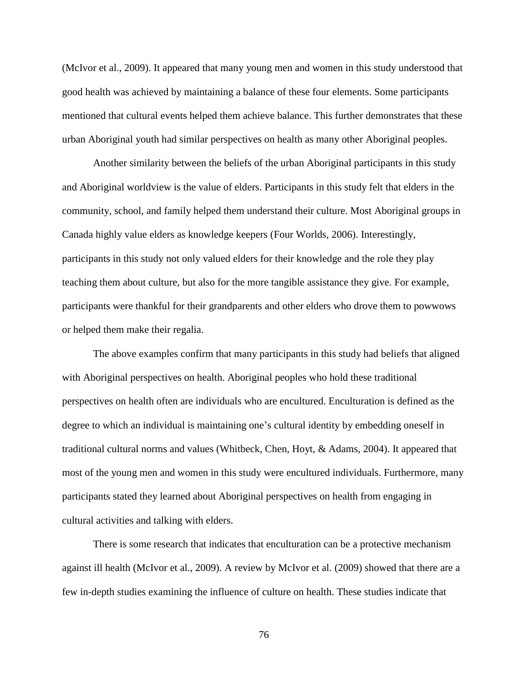(McIvor et al., 2009). It appeared that many young men and women in this study understood that good health was achieved by maintaining a balance of these four elements. Some participants mentioned that cultural events helped them achieve balance. This further demonstrates that these urban Aboriginal youth had similar perspectives on health as many other Aboriginal peoples.

Another similarity between the beliefs of the urban Aboriginal participants in this study and Aboriginal worldview is the value of elders. Participants in this study felt that elders in the community, school, and family helped them understand their culture. Most Aboriginal groups in Canada highly value elders as knowledge keepers (Four Worlds, 2006). Interestingly, participants in this study not only valued elders for their knowledge and the role they play teaching them about culture, but also for the more tangible assistance they give. For example, participants were thankful for their grandparents and other elders who drove them to powwows or helped them make their regalia.

The above examples confirm that many participants in this study had beliefs that aligned with Aboriginal perspectives on health. Aboriginal peoples who hold these traditional perspectives on health often are individuals who are encultured. Enculturation is defined as the degree to which an individual is maintaining one's cultural identity by embedding oneself in traditional cultural norms and values (Whitbeck, Chen, Hoyt, & Adams, 2004). It appeared that most of the young men and women in this study were encultured individuals. Furthermore, many participants stated they learned about Aboriginal perspectives on health from engaging in cultural activities and talking with elders.

There is some research that indicates that enculturation can be a protective mechanism against ill health (McIvor et al., 2009). A review by McIvor et al. (2009) showed that there are a few in-depth studies examining the influence of culture on health. These studies indicate that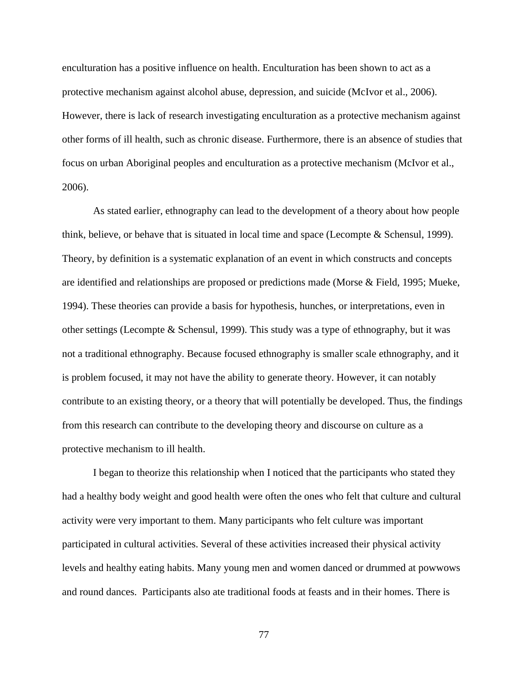enculturation has a positive influence on health. Enculturation has been shown to act as a protective mechanism against alcohol abuse, depression, and suicide (McIvor et al., 2006). However, there is lack of research investigating enculturation as a protective mechanism against other forms of ill health, such as chronic disease. Furthermore, there is an absence of studies that focus on urban Aboriginal peoples and enculturation as a protective mechanism (McIvor et al., 2006).

As stated earlier, ethnography can lead to the development of a theory about how people think, believe, or behave that is situated in local time and space (Lecompte & Schensul, 1999). Theory, by definition is a systematic explanation of an event in which constructs and concepts are identified and relationships are proposed or predictions made (Morse & Field, 1995; Mueke, 1994). These theories can provide a basis for hypothesis, hunches, or interpretations, even in other settings (Lecompte & Schensul, 1999). This study was a type of ethnography, but it was not a traditional ethnography. Because focused ethnography is smaller scale ethnography, and it is problem focused, it may not have the ability to generate theory. However, it can notably contribute to an existing theory, or a theory that will potentially be developed. Thus, the findings from this research can contribute to the developing theory and discourse on culture as a protective mechanism to ill health.

I began to theorize this relationship when I noticed that the participants who stated they had a healthy body weight and good health were often the ones who felt that culture and cultural activity were very important to them. Many participants who felt culture was important participated in cultural activities. Several of these activities increased their physical activity levels and healthy eating habits. Many young men and women danced or drummed at powwows and round dances. Participants also ate traditional foods at feasts and in their homes. There is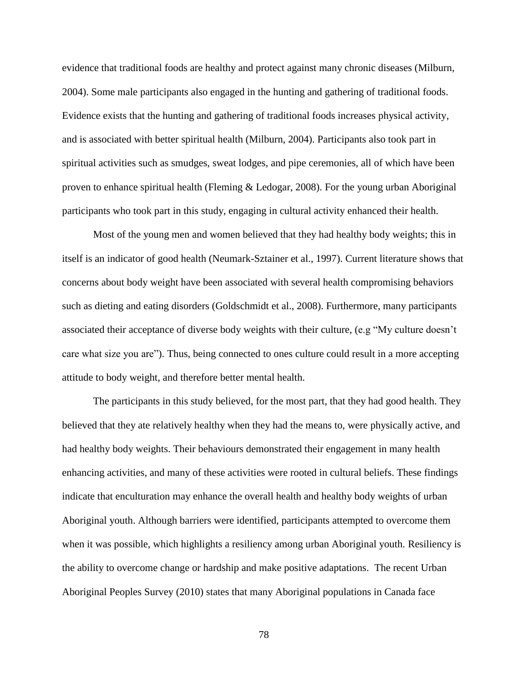evidence that traditional foods are healthy and protect against many chronic diseases (Milburn, 2004). Some male participants also engaged in the hunting and gathering of traditional foods. Evidence exists that the hunting and gathering of traditional foods increases physical activity, and is associated with better spiritual health (Milburn, 2004). Participants also took part in spiritual activities such as smudges, sweat lodges, and pipe ceremonies, all of which have been proven to enhance spiritual health (Fleming & Ledogar, 2008). For the young urban Aboriginal participants who took part in this study, engaging in cultural activity enhanced their health.

Most of the young men and women believed that they had healthy body weights; this in itself is an indicator of good health (Neumark-Sztainer et al., 1997). Current literature shows that concerns about body weight have been associated with several health compromising behaviors such as dieting and eating disorders (Goldschmidt et al., 2008). Furthermore, many participants associated their acceptance of diverse body weights with their culture, (e.g "My culture doesn't care what size you are"). Thus, being connected to ones culture could result in a more accepting attitude to body weight, and therefore better mental health.

The participants in this study believed, for the most part, that they had good health. They believed that they ate relatively healthy when they had the means to, were physically active, and had healthy body weights. Their behaviours demonstrated their engagement in many health enhancing activities, and many of these activities were rooted in cultural beliefs. These findings indicate that enculturation may enhance the overall health and healthy body weights of urban Aboriginal youth. Although barriers were identified, participants attempted to overcome them when it was possible, which highlights a resiliency among urban Aboriginal youth. Resiliency is the ability to overcome change or hardship and make positive adaptations. The recent Urban Aboriginal Peoples Survey (2010) states that many Aboriginal populations in Canada face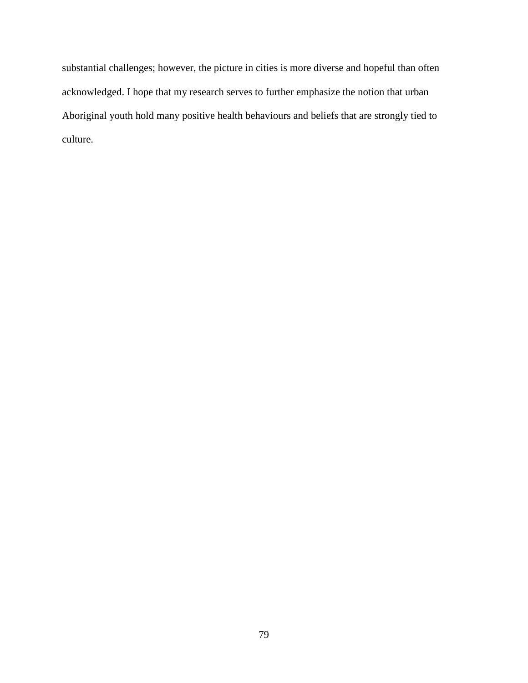substantial challenges; however, the picture in cities is more diverse and hopeful than often acknowledged. I hope that my research serves to further emphasize the notion that urban Aboriginal youth hold many positive health behaviours and beliefs that are strongly tied to culture.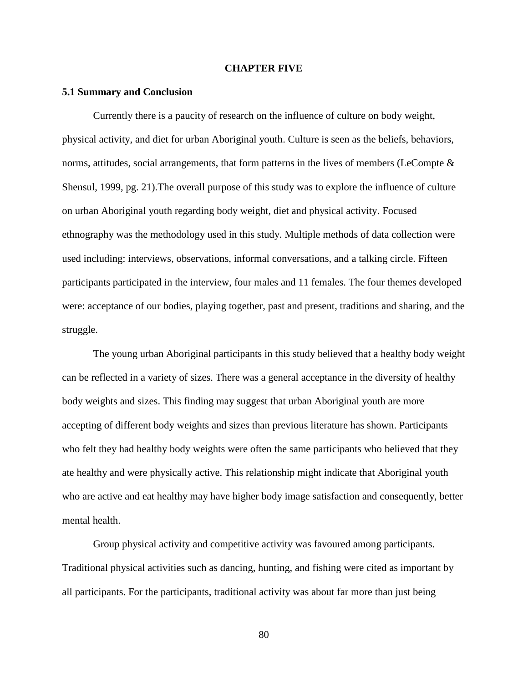#### **CHAPTER FIVE**

#### **5.1 Summary and Conclusion**

Currently there is a paucity of research on the influence of culture on body weight, physical activity, and diet for urban Aboriginal youth. Culture is seen as the beliefs, behaviors, norms, attitudes, social arrangements, that form patterns in the lives of members (LeCompte  $\&$ Shensul, 1999, pg. 21).The overall purpose of this study was to explore the influence of culture on urban Aboriginal youth regarding body weight, diet and physical activity. Focused ethnography was the methodology used in this study. Multiple methods of data collection were used including: interviews, observations, informal conversations, and a talking circle. Fifteen participants participated in the interview, four males and 11 females. The four themes developed were: acceptance of our bodies, playing together, past and present, traditions and sharing, and the struggle.

The young urban Aboriginal participants in this study believed that a healthy body weight can be reflected in a variety of sizes. There was a general acceptance in the diversity of healthy body weights and sizes. This finding may suggest that urban Aboriginal youth are more accepting of different body weights and sizes than previous literature has shown. Participants who felt they had healthy body weights were often the same participants who believed that they ate healthy and were physically active. This relationship might indicate that Aboriginal youth who are active and eat healthy may have higher body image satisfaction and consequently, better mental health.

Group physical activity and competitive activity was favoured among participants. Traditional physical activities such as dancing, hunting, and fishing were cited as important by all participants. For the participants, traditional activity was about far more than just being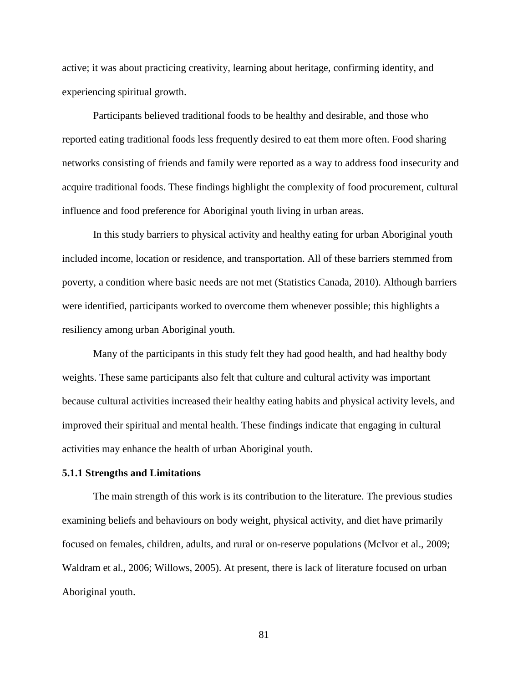active; it was about practicing creativity, learning about heritage, confirming identity, and experiencing spiritual growth.

Participants believed traditional foods to be healthy and desirable, and those who reported eating traditional foods less frequently desired to eat them more often. Food sharing networks consisting of friends and family were reported as a way to address food insecurity and acquire traditional foods. These findings highlight the complexity of food procurement, cultural influence and food preference for Aboriginal youth living in urban areas.

In this study barriers to physical activity and healthy eating for urban Aboriginal youth included income, location or residence, and transportation. All of these barriers stemmed from poverty, a condition where basic needs are not met (Statistics Canada, 2010). Although barriers were identified, participants worked to overcome them whenever possible; this highlights a resiliency among urban Aboriginal youth.

Many of the participants in this study felt they had good health, and had healthy body weights. These same participants also felt that culture and cultural activity was important because cultural activities increased their healthy eating habits and physical activity levels, and improved their spiritual and mental health. These findings indicate that engaging in cultural activities may enhance the health of urban Aboriginal youth.

## **5.1.1 Strengths and Limitations**

The main strength of this work is its contribution to the literature. The previous studies examining beliefs and behaviours on body weight, physical activity, and diet have primarily focused on females, children, adults, and rural or on-reserve populations (McIvor et al., 2009; Waldram et al., 2006; Willows, 2005). At present, there is lack of literature focused on urban Aboriginal youth.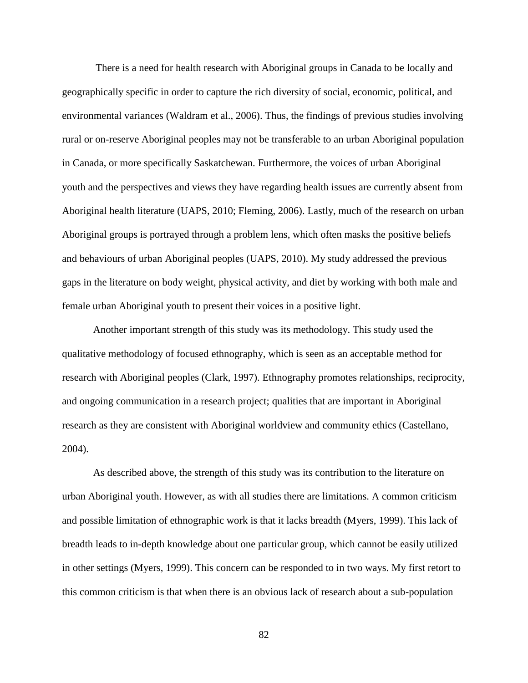There is a need for health research with Aboriginal groups in Canada to be locally and geographically specific in order to capture the rich diversity of social, economic, political, and environmental variances (Waldram et al., 2006). Thus, the findings of previous studies involving rural or on-reserve Aboriginal peoples may not be transferable to an urban Aboriginal population in Canada, or more specifically Saskatchewan. Furthermore, the voices of urban Aboriginal youth and the perspectives and views they have regarding health issues are currently absent from Aboriginal health literature (UAPS, 2010; Fleming, 2006). Lastly, much of the research on urban Aboriginal groups is portrayed through a problem lens, which often masks the positive beliefs and behaviours of urban Aboriginal peoples (UAPS, 2010). My study addressed the previous gaps in the literature on body weight, physical activity, and diet by working with both male and female urban Aboriginal youth to present their voices in a positive light.

Another important strength of this study was its methodology. This study used the qualitative methodology of focused ethnography, which is seen as an acceptable method for research with Aboriginal peoples (Clark, 1997). Ethnography promotes relationships, reciprocity, and ongoing communication in a research project; qualities that are important in Aboriginal research as they are consistent with Aboriginal worldview and community ethics (Castellano, 2004).

As described above, the strength of this study was its contribution to the literature on urban Aboriginal youth. However, as with all studies there are limitations. A common criticism and possible limitation of ethnographic work is that it lacks breadth (Myers, 1999). This lack of breadth leads to in-depth knowledge about one particular group, which cannot be easily utilized in other settings (Myers, 1999). This concern can be responded to in two ways. My first retort to this common criticism is that when there is an obvious lack of research about a sub-population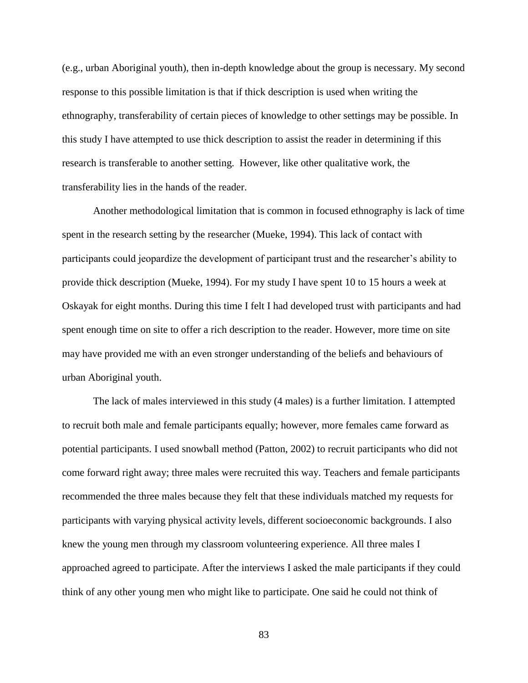(e.g., urban Aboriginal youth), then in-depth knowledge about the group is necessary. My second response to this possible limitation is that if thick description is used when writing the ethnography, transferability of certain pieces of knowledge to other settings may be possible. In this study I have attempted to use thick description to assist the reader in determining if this research is transferable to another setting. However, like other qualitative work, the transferability lies in the hands of the reader.

Another methodological limitation that is common in focused ethnography is lack of time spent in the research setting by the researcher (Mueke, 1994). This lack of contact with participants could jeopardize the development of participant trust and the researcher's ability to provide thick description (Mueke, 1994). For my study I have spent 10 to 15 hours a week at Oskayak for eight months. During this time I felt I had developed trust with participants and had spent enough time on site to offer a rich description to the reader. However, more time on site may have provided me with an even stronger understanding of the beliefs and behaviours of urban Aboriginal youth.

The lack of males interviewed in this study (4 males) is a further limitation. I attempted to recruit both male and female participants equally; however, more females came forward as potential participants. I used snowball method (Patton, 2002) to recruit participants who did not come forward right away; three males were recruited this way. Teachers and female participants recommended the three males because they felt that these individuals matched my requests for participants with varying physical activity levels, different socioeconomic backgrounds. I also knew the young men through my classroom volunteering experience. All three males I approached agreed to participate. After the interviews I asked the male participants if they could think of any other young men who might like to participate. One said he could not think of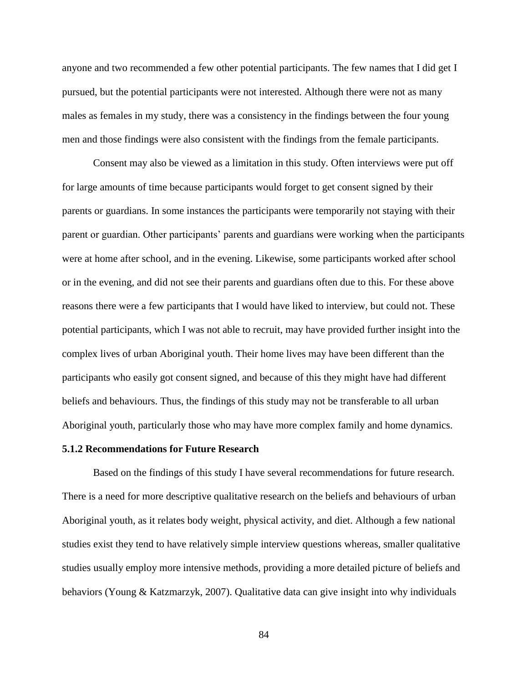anyone and two recommended a few other potential participants. The few names that I did get I pursued, but the potential participants were not interested. Although there were not as many males as females in my study, there was a consistency in the findings between the four young men and those findings were also consistent with the findings from the female participants.

Consent may also be viewed as a limitation in this study. Often interviews were put off for large amounts of time because participants would forget to get consent signed by their parents or guardians. In some instances the participants were temporarily not staying with their parent or guardian. Other participants' parents and guardians were working when the participants were at home after school, and in the evening. Likewise, some participants worked after school or in the evening, and did not see their parents and guardians often due to this. For these above reasons there were a few participants that I would have liked to interview, but could not. These potential participants, which I was not able to recruit, may have provided further insight into the complex lives of urban Aboriginal youth. Their home lives may have been different than the participants who easily got consent signed, and because of this they might have had different beliefs and behaviours. Thus, the findings of this study may not be transferable to all urban Aboriginal youth, particularly those who may have more complex family and home dynamics.

#### **5.1.2 Recommendations for Future Research**

Based on the findings of this study I have several recommendations for future research. There is a need for more descriptive qualitative research on the beliefs and behaviours of urban Aboriginal youth, as it relates body weight, physical activity, and diet. Although a few national studies exist they tend to have relatively simple interview questions whereas, smaller qualitative studies usually employ more intensive methods, providing a more detailed picture of beliefs and behaviors (Young & Katzmarzyk, 2007). Qualitative data can give insight into why individuals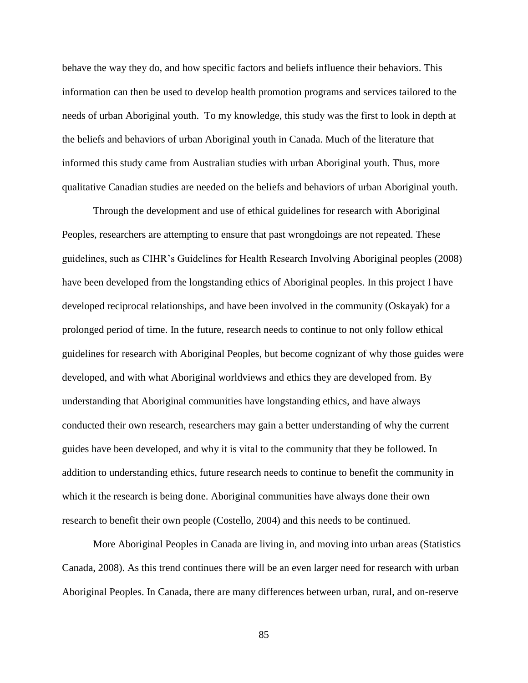behave the way they do, and how specific factors and beliefs influence their behaviors. This information can then be used to develop health promotion programs and services tailored to the needs of urban Aboriginal youth. To my knowledge, this study was the first to look in depth at the beliefs and behaviors of urban Aboriginal youth in Canada. Much of the literature that informed this study came from Australian studies with urban Aboriginal youth. Thus, more qualitative Canadian studies are needed on the beliefs and behaviors of urban Aboriginal youth.

Through the development and use of ethical guidelines for research with Aboriginal Peoples, researchers are attempting to ensure that past wrongdoings are not repeated. These guidelines, such as CIHR's Guidelines for Health Research Involving Aboriginal peoples (2008) have been developed from the longstanding ethics of Aboriginal peoples. In this project I have developed reciprocal relationships, and have been involved in the community (Oskayak) for a prolonged period of time. In the future, research needs to continue to not only follow ethical guidelines for research with Aboriginal Peoples, but become cognizant of why those guides were developed, and with what Aboriginal worldviews and ethics they are developed from. By understanding that Aboriginal communities have longstanding ethics, and have always conducted their own research, researchers may gain a better understanding of why the current guides have been developed, and why it is vital to the community that they be followed. In addition to understanding ethics, future research needs to continue to benefit the community in which it the research is being done. Aboriginal communities have always done their own research to benefit their own people (Costello, 2004) and this needs to be continued.

More Aboriginal Peoples in Canada are living in, and moving into urban areas (Statistics Canada, 2008). As this trend continues there will be an even larger need for research with urban Aboriginal Peoples. In Canada, there are many differences between urban, rural, and on-reserve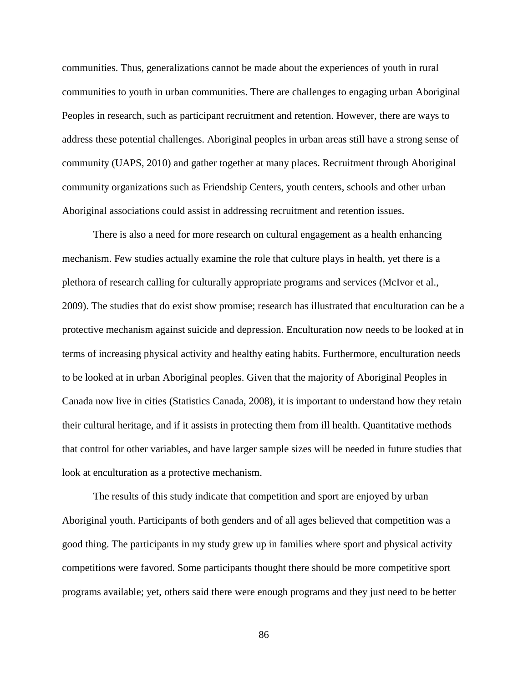communities. Thus, generalizations cannot be made about the experiences of youth in rural communities to youth in urban communities. There are challenges to engaging urban Aboriginal Peoples in research, such as participant recruitment and retention. However, there are ways to address these potential challenges. Aboriginal peoples in urban areas still have a strong sense of community (UAPS, 2010) and gather together at many places. Recruitment through Aboriginal community organizations such as Friendship Centers, youth centers, schools and other urban Aboriginal associations could assist in addressing recruitment and retention issues.

There is also a need for more research on cultural engagement as a health enhancing mechanism. Few studies actually examine the role that culture plays in health, yet there is a plethora of research calling for culturally appropriate programs and services (McIvor et al., 2009). The studies that do exist show promise; research has illustrated that enculturation can be a protective mechanism against suicide and depression. Enculturation now needs to be looked at in terms of increasing physical activity and healthy eating habits. Furthermore, enculturation needs to be looked at in urban Aboriginal peoples. Given that the majority of Aboriginal Peoples in Canada now live in cities (Statistics Canada, 2008), it is important to understand how they retain their cultural heritage, and if it assists in protecting them from ill health. Quantitative methods that control for other variables, and have larger sample sizes will be needed in future studies that look at enculturation as a protective mechanism.

The results of this study indicate that competition and sport are enjoyed by urban Aboriginal youth. Participants of both genders and of all ages believed that competition was a good thing. The participants in my study grew up in families where sport and physical activity competitions were favored. Some participants thought there should be more competitive sport programs available; yet, others said there were enough programs and they just need to be better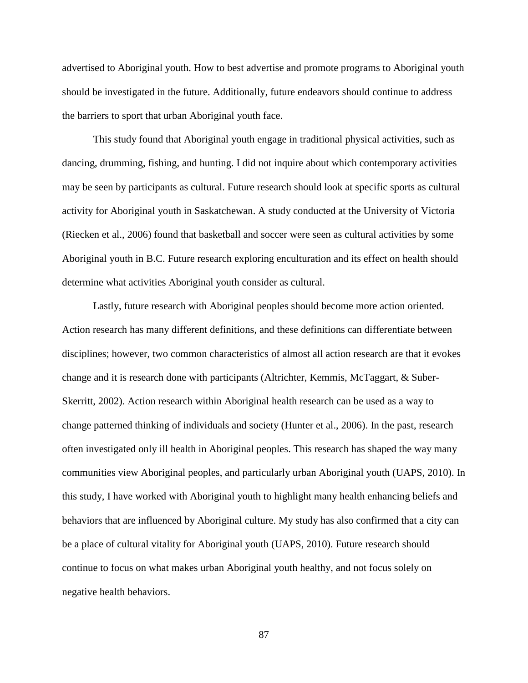advertised to Aboriginal youth. How to best advertise and promote programs to Aboriginal youth should be investigated in the future. Additionally, future endeavors should continue to address the barriers to sport that urban Aboriginal youth face.

This study found that Aboriginal youth engage in traditional physical activities, such as dancing, drumming, fishing, and hunting. I did not inquire about which contemporary activities may be seen by participants as cultural. Future research should look at specific sports as cultural activity for Aboriginal youth in Saskatchewan. A study conducted at the University of Victoria (Riecken et al., 2006) found that basketball and soccer were seen as cultural activities by some Aboriginal youth in B.C. Future research exploring enculturation and its effect on health should determine what activities Aboriginal youth consider as cultural.

Lastly, future research with Aboriginal peoples should become more action oriented. Action research has many different definitions, and these definitions can differentiate between disciplines; however, two common characteristics of almost all action research are that it evokes change and it is research done with participants (Altrichter, Kemmis, McTaggart, & Suber-Skerritt, 2002). Action research within Aboriginal health research can be used as a way to change patterned thinking of individuals and society (Hunter et al., 2006). In the past, research often investigated only ill health in Aboriginal peoples. This research has shaped the way many communities view Aboriginal peoples, and particularly urban Aboriginal youth (UAPS, 2010). In this study, I have worked with Aboriginal youth to highlight many health enhancing beliefs and behaviors that are influenced by Aboriginal culture. My study has also confirmed that a city can be a place of cultural vitality for Aboriginal youth (UAPS, 2010). Future research should continue to focus on what makes urban Aboriginal youth healthy, and not focus solely on negative health behaviors.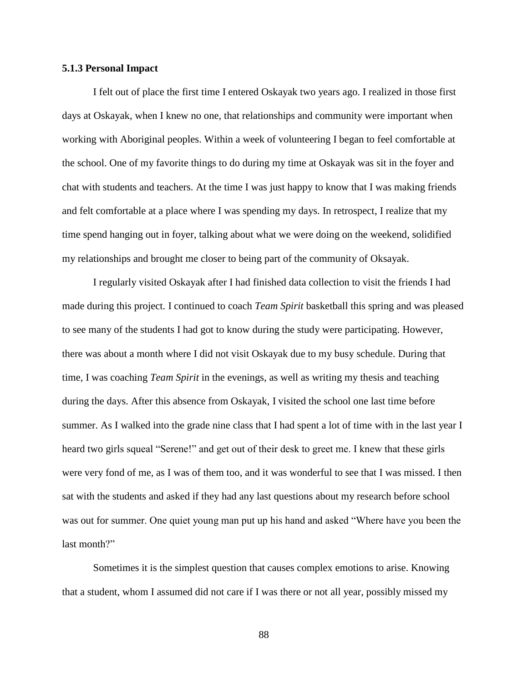## **5.1.3 Personal Impact**

I felt out of place the first time I entered Oskayak two years ago. I realized in those first days at Oskayak, when I knew no one, that relationships and community were important when working with Aboriginal peoples. Within a week of volunteering I began to feel comfortable at the school. One of my favorite things to do during my time at Oskayak was sit in the foyer and chat with students and teachers. At the time I was just happy to know that I was making friends and felt comfortable at a place where I was spending my days. In retrospect, I realize that my time spend hanging out in foyer, talking about what we were doing on the weekend, solidified my relationships and brought me closer to being part of the community of Oksayak.

I regularly visited Oskayak after I had finished data collection to visit the friends I had made during this project. I continued to coach *Team Spirit* basketball this spring and was pleased to see many of the students I had got to know during the study were participating. However, there was about a month where I did not visit Oskayak due to my busy schedule. During that time, I was coaching *Team Spirit* in the evenings, as well as writing my thesis and teaching during the days. After this absence from Oskayak, I visited the school one last time before summer. As I walked into the grade nine class that I had spent a lot of time with in the last year I heard two girls squeal "Serene!" and get out of their desk to greet me. I knew that these girls were very fond of me, as I was of them too, and it was wonderful to see that I was missed. I then sat with the students and asked if they had any last questions about my research before school was out for summer. One quiet young man put up his hand and asked "Where have you been the last month?"

Sometimes it is the simplest question that causes complex emotions to arise. Knowing that a student, whom I assumed did not care if I was there or not all year, possibly missed my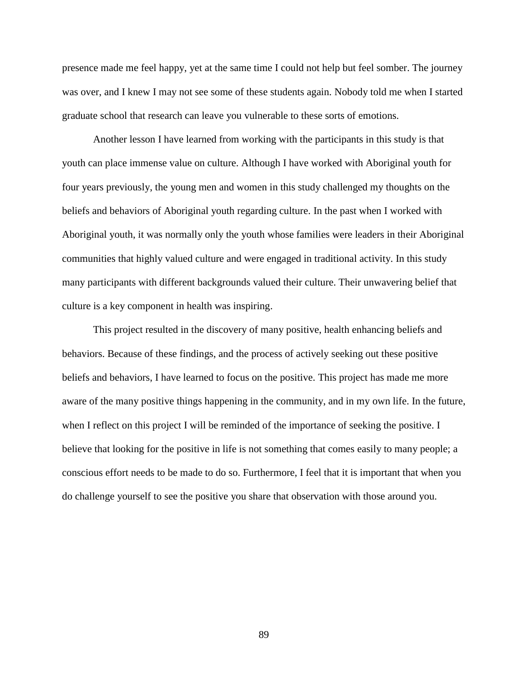presence made me feel happy, yet at the same time I could not help but feel somber. The journey was over, and I knew I may not see some of these students again. Nobody told me when I started graduate school that research can leave you vulnerable to these sorts of emotions.

Another lesson I have learned from working with the participants in this study is that youth can place immense value on culture. Although I have worked with Aboriginal youth for four years previously, the young men and women in this study challenged my thoughts on the beliefs and behaviors of Aboriginal youth regarding culture. In the past when I worked with Aboriginal youth, it was normally only the youth whose families were leaders in their Aboriginal communities that highly valued culture and were engaged in traditional activity. In this study many participants with different backgrounds valued their culture. Their unwavering belief that culture is a key component in health was inspiring.

This project resulted in the discovery of many positive, health enhancing beliefs and behaviors. Because of these findings, and the process of actively seeking out these positive beliefs and behaviors, I have learned to focus on the positive. This project has made me more aware of the many positive things happening in the community, and in my own life. In the future, when I reflect on this project I will be reminded of the importance of seeking the positive. I believe that looking for the positive in life is not something that comes easily to many people; a conscious effort needs to be made to do so. Furthermore, I feel that it is important that when you do challenge yourself to see the positive you share that observation with those around you.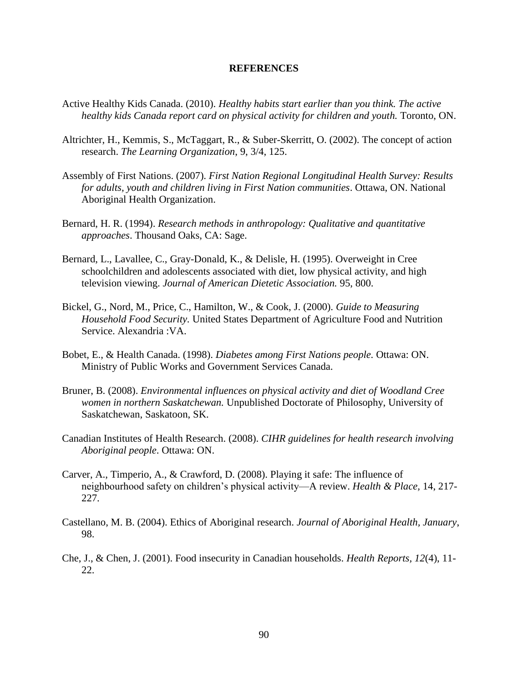### **REFERENCES**

- Active Healthy Kids Canada. (2010). *Healthy habits start earlier than you think. The active healthy kids Canada report card on physical activity for children and youth.* Toronto, ON.
- Altrichter, H., Kemmis, S., McTaggart, R., & Suber-Skerritt, O. (2002). The concept of action research. *The Learning Organization*, 9, 3/4, 125.
- Assembly of First Nations. (2007). *First Nation Regional Longitudinal Health Survey: Results for adults, youth and children living in First Nation communities*. Ottawa, ON. National Aboriginal Health Organization.
- Bernard, H. R. (1994). *Research methods in anthropology: Qualitative and quantitative approaches*. Thousand Oaks, CA: Sage.
- Bernard, L., Lavallee, C., Gray-Donald, K., & Delisle, H. (1995). Overweight in Cree schoolchildren and adolescents associated with diet, low physical activity, and high television viewing. *Journal of American Dietetic Association.* 95, 800.
- Bickel, G., Nord, M., Price, C., Hamilton, W., & Cook, J. (2000). *Guide to Measuring Household Food Security.* United States Department of Agriculture Food and Nutrition Service. Alexandria :VA.
- Bobet, E., & Health Canada. (1998). *Diabetes among First Nations people.* Ottawa: ON. Ministry of Public Works and Government Services Canada.
- Bruner, B. (2008). *Environmental influences on physical activity and diet of Woodland Cree women in northern Saskatchewan.* Unpublished Doctorate of Philosophy, University of Saskatchewan, Saskatoon, SK.
- Canadian Institutes of Health Research. (2008). *CIHR guidelines for health research involving Aboriginal people*. Ottawa: ON.
- Carver, A., Timperio, A., & Crawford, D. (2008). Playing it safe: The influence of neighbourhood safety on children's physical activity—A review. *Health & Place,* 14, 217- 227.
- Castellano, M. B. (2004). Ethics of Aboriginal research. *Journal of Aboriginal Health, January*, 98.
- Che, J., & Chen, J. (2001). Food insecurity in Canadian households. *Health Reports, 12*(4), 11- 22.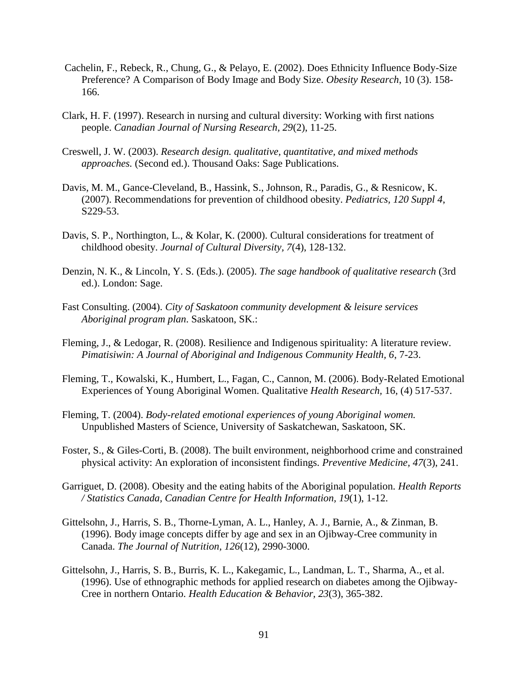- Cachelin, F., Rebeck, R., Chung, G., & Pelayo, E. (2002). Does Ethnicity Influence Body-Size Preference? A Comparison of Body Image and Body Size. *Obesity Research*, 10 (3). 158- 166.
- Clark, H. F. (1997). Research in nursing and cultural diversity: Working with first nations people. *Canadian Journal of Nursing Research, 29*(2), 11-25.
- Creswell, J. W. (2003). *Research design. qualitative, quantitative, and mixed methods approaches.* (Second ed.). Thousand Oaks: Sage Publications.
- Davis, M. M., Gance-Cleveland, B., Hassink, S., Johnson, R., Paradis, G., & Resnicow, K. (2007). Recommendations for prevention of childhood obesity. *Pediatrics, 120 Suppl 4*, S229-53.
- Davis, S. P., Northington, L., & Kolar, K. (2000). Cultural considerations for treatment of childhood obesity. *Journal of Cultural Diversity, 7*(4), 128-132.
- Denzin, N. K., & Lincoln, Y. S. (Eds.). (2005). *The sage handbook of qualitative research* (3rd ed.). London: Sage.
- Fast Consulting. (2004). *City of Saskatoon community development & leisure services Aboriginal program plan*. Saskatoon, SK.:
- Fleming, J., & Ledogar, R. (2008). Resilience and Indigenous spirituality: A literature review. *Pimatisiwin: A Journal of Aboriginal and Indigenous Community Health, 6*, 7-23.
- Fleming, T., Kowalski, K., Humbert, L., Fagan, C., Cannon, M. (2006). Body-Related Emotional Experiences of Young Aboriginal Women. Qualitative *Health Research,* 16, (4) 517-537.
- Fleming, T. (2004). *Body-related emotional experiences of young Aboriginal women.*  Unpublished Masters of Science, University of Saskatchewan, Saskatoon, SK.
- Foster, S., & Giles-Corti, B. (2008). The built environment, neighborhood crime and constrained physical activity: An exploration of inconsistent findings. *Preventive Medicine, 47*(3), 241.
- Garriguet, D. (2008). Obesity and the eating habits of the Aboriginal population. *Health Reports / Statistics Canada, Canadian Centre for Health Information, 19*(1), 1-12.
- Gittelsohn, J., Harris, S. B., Thorne-Lyman, A. L., Hanley, A. J., Barnie, A., & Zinman, B. (1996). Body image concepts differ by age and sex in an Ojibway-Cree community in Canada. *The Journal of Nutrition, 126*(12), 2990-3000.
- Gittelsohn, J., Harris, S. B., Burris, K. L., Kakegamic, L., Landman, L. T., Sharma, A., et al. (1996). Use of ethnographic methods for applied research on diabetes among the Ojibway-Cree in northern Ontario. *Health Education & Behavior, 23*(3), 365-382.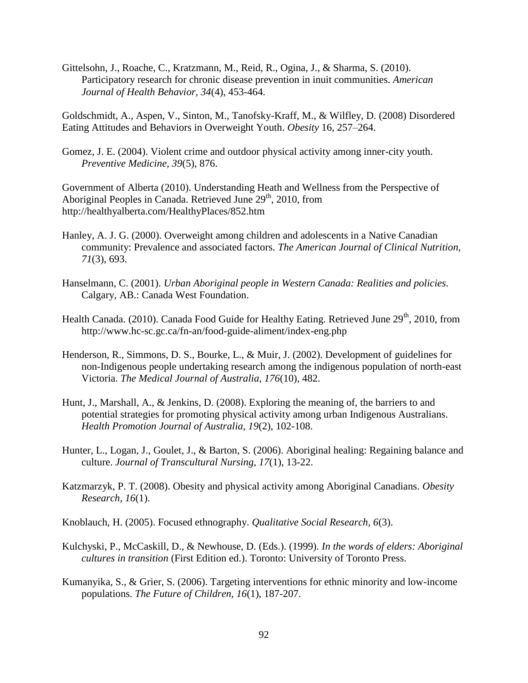Gittelsohn, J., Roache, C., Kratzmann, M., Reid, R., Ogina, J., & Sharma, S. (2010). Participatory research for chronic disease prevention in inuit communities. *American Journal of Health Behavior, 34*(4), 453-464.

Goldschmidt, A., Aspen, V., Sinton, M., Tanofsky-Kraff, M., & Wilfley, D. (2008) Disordered Eating Attitudes and Behaviors in Overweight Youth. *Obesity* 16, 257–264.

Gomez, J. E. (2004). Violent crime and outdoor physical activity among inner-city youth. *Preventive Medicine, 39*(5), 876.

Government of Alberta (2010). Understanding Heath and Wellness from the Perspective of Aboriginal Peoples in Canada. Retrieved June 29<sup>th</sup>, 2010, from http://healthyalberta.com/HealthyPlaces/852.htm

- Hanley, A. J. G. (2000). Overweight among children and adolescents in a Native Canadian community: Prevalence and associated factors. *The American Journal of Clinical Nutrition, 71*(3), 693.
- Hanselmann, C. (2001). *Urban Aboriginal people in Western Canada: Realities and policies*. Calgary, AB.: Canada West Foundation.
- Health Canada. (2010). Canada Food Guide for Healthy Eating. Retrieved June  $29<sup>th</sup>$ , 2010, from http://www.hc-sc.gc.ca/fn-an/food-guide-aliment/index-eng.php
- Henderson, R., Simmons, D. S., Bourke, L., & Muir, J. (2002). Development of guidelines for non-Indigenous people undertaking research among the indigenous population of north-east Victoria. *The Medical Journal of Australia, 176*(10), 482.
- Hunt, J., Marshall, A., & Jenkins, D. (2008). Exploring the meaning of, the barriers to and potential strategies for promoting physical activity among urban Indigenous Australians. *Health Promotion Journal of Australia, 19*(2), 102-108.
- Hunter, L., Logan, J., Goulet, J., & Barton, S. (2006). Aboriginal healing: Regaining balance and culture. *Journal of Transcultural Nursing, 17*(1), 13-22.
- Katzmarzyk, P. T. (2008). Obesity and physical activity among Aboriginal Canadians. *Obesity Research, 16*(1).
- Knoblauch, H. (2005). Focused ethnography. *Qualitative Social Research, 6*(3).
- Kulchyski, P., McCaskill, D., & Newhouse, D. (Eds.). (1999). *In the words of elders: Aboriginal cultures in transition* (First Edition ed.). Toronto: University of Toronto Press.
- Kumanyika, S., & Grier, S. (2006). Targeting interventions for ethnic minority and low-income populations. *The Future of Children, 16*(1), 187-207.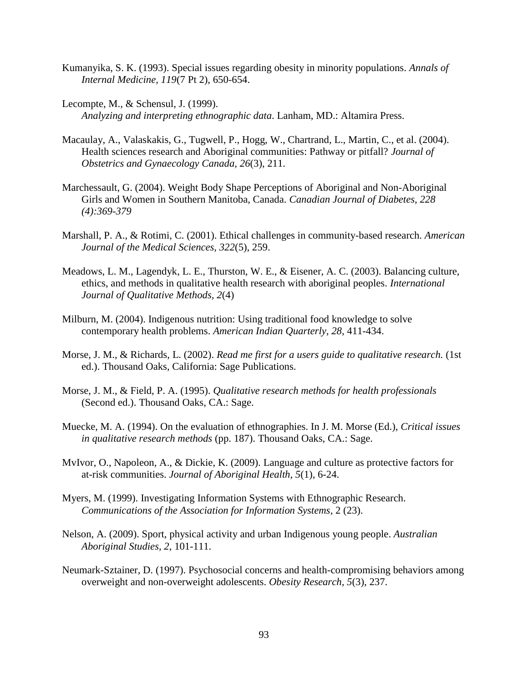- Kumanyika, S. K. (1993). Special issues regarding obesity in minority populations. *Annals of Internal Medicine, 119*(7 Pt 2), 650-654.
- Lecompte, M., & Schensul, J. (1999). *Analyzing and interpreting ethnographic data*. Lanham, MD.: Altamira Press.
- Macaulay, A., Valaskakis, G., Tugwell, P., Hogg, W., Chartrand, L., Martin, C., et al. (2004). Health sciences research and Aboriginal communities: Pathway or pitfall? *Journal of Obstetrics and Gynaecology Canada, 26*(3), 211.
- Marchessault, G. (2004). Weight Body Shape Perceptions of Aboriginal and Non-Aboriginal Girls and Women in Southern Manitoba, Canada. *Canadian Journal of Diabetes, 228 (4):369-379*
- Marshall, P. A., & Rotimi, C. (2001). Ethical challenges in community-based research. *American Journal of the Medical Sciences, 322*(5), 259.
- Meadows, L. M., Lagendyk, L. E., Thurston, W. E., & Eisener, A. C. (2003). Balancing culture, ethics, and methods in qualitative health research with aboriginal peoples. *International Journal of Qualitative Methods, 2*(4)
- Milburn, M. (2004). Indigenous nutrition: Using traditional food knowledge to solve contemporary health problems. *American Indian Quarterly, 28*, 411-434.
- Morse, J. M., & Richards, L. (2002). *Read me first for a users guide to qualitative research.* (1st ed.). Thousand Oaks, California: Sage Publications.
- Morse, J. M., & Field, P. A. (1995). *Qualitative research methods for health professionals* (Second ed.). Thousand Oaks, CA.: Sage.
- Muecke, M. A. (1994). On the evaluation of ethnographies. In J. M. Morse (Ed.), *Critical issues in qualitative research methods* (pp. 187). Thousand Oaks, CA.: Sage.
- MvIvor, O., Napoleon, A., & Dickie, K. (2009). Language and culture as protective factors for at-risk communities. *Journal of Aboriginal Health, 5*(1), 6-24.
- Myers, M. (1999). Investigating Information Systems with Ethnographic Research. *Communications of the Association for Information Systems*, 2 (23).
- Nelson, A. (2009). Sport, physical activity and urban Indigenous young people. *Australian Aboriginal Studies, 2*, 101-111.
- Neumark-Sztainer, D. (1997). Psychosocial concerns and health-compromising behaviors among overweight and non-overweight adolescents. *Obesity Research, 5*(3), 237.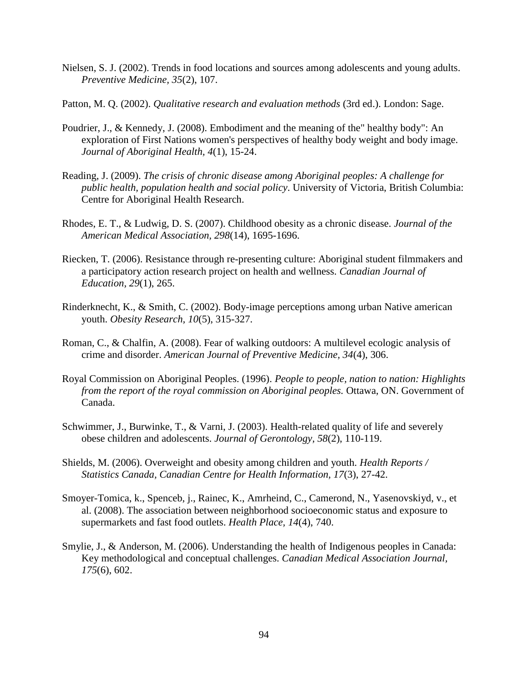- Nielsen, S. J. (2002). Trends in food locations and sources among adolescents and young adults. *Preventive Medicine, 35*(2), 107.
- Patton, M. Q. (2002). *Qualitative research and evaluation methods* (3rd ed.). London: Sage.
- Poudrier, J., & Kennedy, J. (2008). Embodiment and the meaning of the" healthy body": An exploration of First Nations women's perspectives of healthy body weight and body image. *Journal of Aboriginal Health, 4*(1), 15-24.
- Reading, J. (2009). *The crisis of chronic disease among Aboriginal peoples: A challenge for public health, population health and social policy*. University of Victoria, British Columbia: Centre for Aboriginal Health Research.
- Rhodes, E. T., & Ludwig, D. S. (2007). Childhood obesity as a chronic disease. *Journal of the American Medical Association, 298*(14), 1695-1696.
- Riecken, T. (2006). Resistance through re-presenting culture: Aboriginal student filmmakers and a participatory action research project on health and wellness. *Canadian Journal of Education, 29*(1), 265.
- Rinderknecht, K., & Smith, C. (2002). Body-image perceptions among urban Native american youth. *Obesity Research, 10*(5), 315-327.
- Roman, C., & Chalfin, A. (2008). Fear of walking outdoors: A multilevel ecologic analysis of crime and disorder. *American Journal of Preventive Medicine, 34*(4), 306.
- Royal Commission on Aboriginal Peoples. (1996). *People to people, nation to nation: Highlights from the report of the royal commission on Aboriginal peoples.* Ottawa, ON. Government of Canada.
- Schwimmer, J., Burwinke, T., & Varni, J. (2003). Health-related quality of life and severely obese children and adolescents. *Journal of Gerontology, 58*(2), 110-119.
- Shields, M. (2006). Overweight and obesity among children and youth. *Health Reports / Statistics Canada, Canadian Centre for Health Information, 17*(3), 27-42.
- Smoyer-Tomica, k., Spenceb, j., Rainec, K., Amrheind, C., Camerond, N., Yasenovskiyd, v., et al. (2008). The association between neighborhood socioeconomic status and exposure to supermarkets and fast food outlets. *Health Place, 14*(4), 740.
- Smylie, J., & Anderson, M. (2006). Understanding the health of Indigenous peoples in Canada: Key methodological and conceptual challenges. *Canadian Medical Association Journal, 175*(6), 602.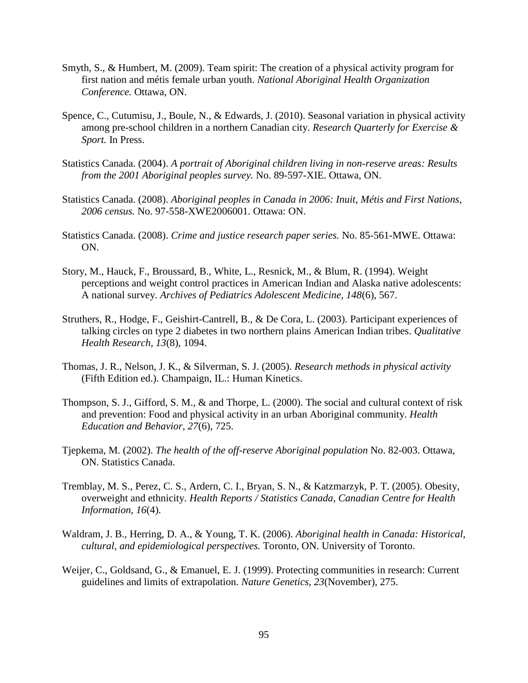- Smyth, S., & Humbert, M. (2009). Team spirit: The creation of a physical activity program for first nation and métis female urban youth. *National Aboriginal Health Organization Conference.* Ottawa, ON.
- Spence, C., Cutumisu, J., Boule, N., & Edwards, J. (2010). Seasonal variation in physical activity among pre-school children in a northern Canadian city. *Research Quarterly for Exercise & Sport.* In Press.
- Statistics Canada. (2004). *A portrait of Aboriginal children living in non-reserve areas: Results from the 2001 Aboriginal peoples survey.* No. 89-597-XIE. Ottawa, ON.
- Statistics Canada. (2008). *Aboriginal peoples in Canada in 2006: Inuit, Métis and First Nations, 2006 census.* No. 97-558-XWE2006001. Ottawa: ON.
- Statistics Canada. (2008). *Crime and justice research paper series.* No. 85-561-MWE. Ottawa: ON.
- Story, M., Hauck, F., Broussard, B., White, L., Resnick, M., & Blum, R. (1994). Weight perceptions and weight control practices in American Indian and Alaska native adolescents: A national survey. *Archives of Pediatrics Adolescent Medicine, 148*(6), 567.
- Struthers, R., Hodge, F., Geishirt-Cantrell, B., & De Cora, L. (2003). Participant experiences of talking circles on type 2 diabetes in two northern plains American Indian tribes. *Qualitative Health Research, 13*(8), 1094.
- Thomas, J. R., Nelson, J. K., & Silverman, S. J. (2005). *Research methods in physical activity* (Fifth Edition ed.). Champaign, IL.: Human Kinetics.
- Thompson, S. J., Gifford, S. M., & and Thorpe, L. (2000). The social and cultural context of risk and prevention: Food and physical activity in an urban Aboriginal community. *Health Education and Behavior, 27*(6), 725.
- Tjepkema, M. (2002). *The health of the off-reserve Aboriginal population* No. 82-003. Ottawa, ON. Statistics Canada.
- Tremblay, M. S., Perez, C. S., Ardern, C. I., Bryan, S. N., & Katzmarzyk, P. T. (2005). Obesity, overweight and ethnicity. *Health Reports / Statistics Canada, Canadian Centre for Health Information, 16*(4).
- Waldram, J. B., Herring, D. A., & Young, T. K. (2006). *Aboriginal health in Canada: Historical, cultural, and epidemiological perspectives.* Toronto, ON. University of Toronto.
- Weijer, C., Goldsand, G., & Emanuel, E. J. (1999). Protecting communities in research: Current guidelines and limits of extrapolation. *Nature Genetics, 23*(November), 275.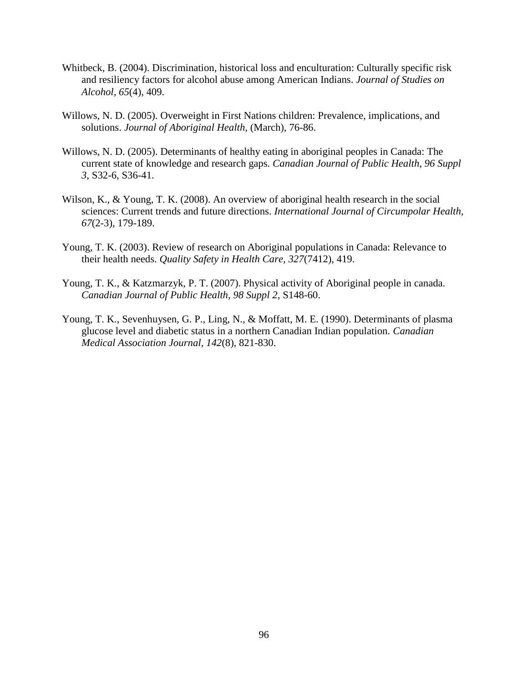- Whitbeck, B. (2004). Discrimination, historical loss and enculturation: Culturally specific risk and resiliency factors for alcohol abuse among American Indians. *Journal of Studies on Alcohol, 65*(4), 409.
- Willows, N. D. (2005). Overweight in First Nations children: Prevalence, implications, and solutions. *Journal of Aboriginal Health,* (March), 76-86.
- Willows, N. D. (2005). Determinants of healthy eating in aboriginal peoples in Canada: The current state of knowledge and research gaps. *Canadian Journal of Public Health, 96 Suppl 3*, S32-6, S36-41.
- Wilson, K., & Young, T. K. (2008). An overview of aboriginal health research in the social sciences: Current trends and future directions. *International Journal of Circumpolar Health, 67*(2-3), 179-189.
- Young, T. K. (2003). Review of research on Aboriginal populations in Canada: Relevance to their health needs. *Quality Safety in Health Care, 327*(7412), 419.
- Young, T. K., & Katzmarzyk, P. T. (2007). Physical activity of Aboriginal people in canada. *Canadian Journal of Public Health, 98 Suppl 2*, S148-60.
- Young, T. K., Sevenhuysen, G. P., Ling, N., & Moffatt, M. E. (1990). Determinants of plasma glucose level and diabetic status in a northern Canadian Indian population. *Canadian Medical Association Journal, 142*(8), 821-830.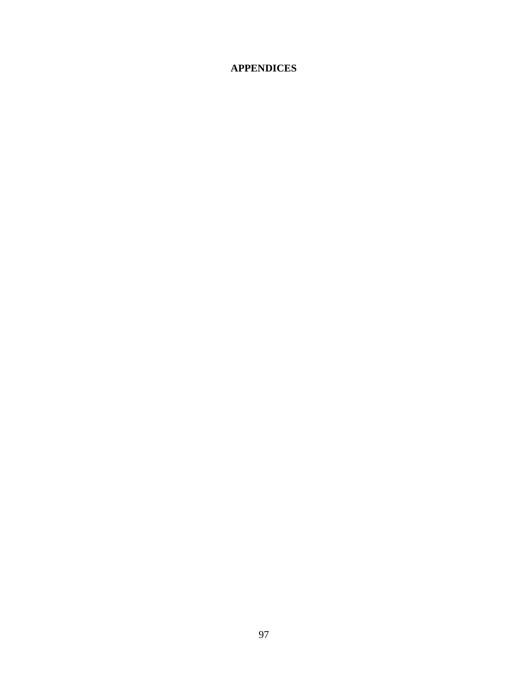# **APPENDICES**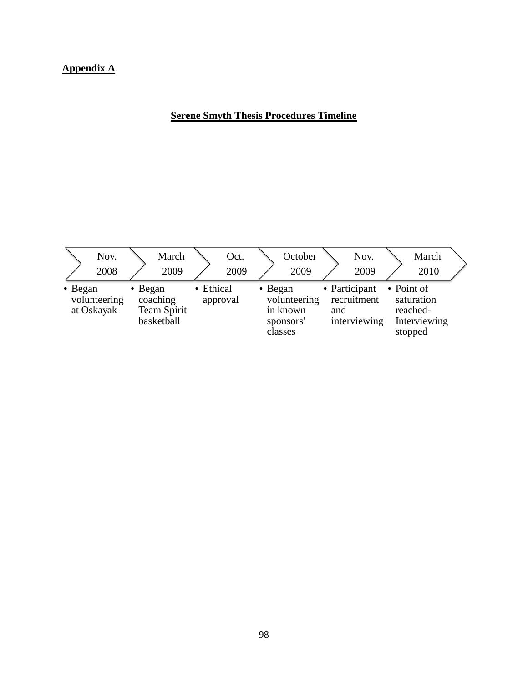# **Appendix A**

# **Serene Smyth Thesis Procedures Timeline**

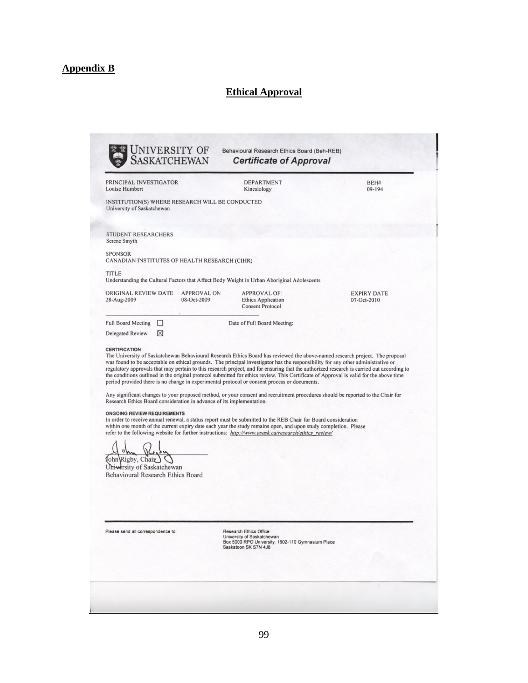# **Appendix B**

# **Ethical Approval**

| PRINCIPAL INVESTIGATOR<br>Louise Humbert                                                                                                                                                                                          | <b>DEPARTMENT</b><br>Kinesiology                                                                                                                                                                                                                                                                                                                                                                                                                                                                                                                                                                                                                        | BEH#<br>09-194                    |
|-----------------------------------------------------------------------------------------------------------------------------------------------------------------------------------------------------------------------------------|---------------------------------------------------------------------------------------------------------------------------------------------------------------------------------------------------------------------------------------------------------------------------------------------------------------------------------------------------------------------------------------------------------------------------------------------------------------------------------------------------------------------------------------------------------------------------------------------------------------------------------------------------------|-----------------------------------|
| INSTITUTION(S) WHERE RESEARCH WILL BE CONDUCTED<br>University of Saskatchewan                                                                                                                                                     |                                                                                                                                                                                                                                                                                                                                                                                                                                                                                                                                                                                                                                                         |                                   |
| <b>STUDENT RESEARCHERS</b><br>Serene Smyth                                                                                                                                                                                        |                                                                                                                                                                                                                                                                                                                                                                                                                                                                                                                                                                                                                                                         |                                   |
| <b>SPONSOR</b><br>CANADIAN INSTITUTES OF HEALTH RESEARCH (CIHR)                                                                                                                                                                   |                                                                                                                                                                                                                                                                                                                                                                                                                                                                                                                                                                                                                                                         |                                   |
| <b>TITLE</b>                                                                                                                                                                                                                      | Understanding the Cultural Factors that Affect Body Weight in Urban Aboriginal Adolescents                                                                                                                                                                                                                                                                                                                                                                                                                                                                                                                                                              |                                   |
| ORIGINAL REVIEW DATE<br>28-Aug-2009<br>08-Oct-2009                                                                                                                                                                                | <b>APPROVAL ON</b><br><b>APPROVAL OF:</b><br><b>Ethics Application</b><br><b>Consent Protocol</b>                                                                                                                                                                                                                                                                                                                                                                                                                                                                                                                                                       | <b>EXPIRY DATE</b><br>07-Oct-2010 |
| <b>Full Board Meeting</b><br>$\Box$                                                                                                                                                                                               | Date of Full Board Meeting:                                                                                                                                                                                                                                                                                                                                                                                                                                                                                                                                                                                                                             |                                   |
|                                                                                                                                                                                                                                   |                                                                                                                                                                                                                                                                                                                                                                                                                                                                                                                                                                                                                                                         |                                   |
| ⊠                                                                                                                                                                                                                                 | The University of Saskatchewan Behavioural Research Ethics Board has reviewed the above-named research project. The proposal<br>was found to be acceptable on ethical grounds. The principal investigator has the responsibility for any other administrative or<br>regulatory approvals that may pertain to this research project, and for ensuring that the authorized research is carried out according to<br>the conditions outlined in the original protocol submitted for ethics review. This Certificate of Approval is valid for the above time<br>period provided there is no change in experimental protocol or consent process or documents. |                                   |
|                                                                                                                                                                                                                                   | Any significant changes to your proposed method, or your consent and recruitment procedures should be reported to the Chair for<br>In order to receive annual renewal, a status report must be submitted to the REB Chair for Board consideration<br>within one month of the current expiry date each year the study remains open, and upon study completion. Please<br>refer to the following website for further instructions: http://www.usask.ca/research/ethics review/                                                                                                                                                                            |                                   |
| Rigby, Chair                                                                                                                                                                                                                      |                                                                                                                                                                                                                                                                                                                                                                                                                                                                                                                                                                                                                                                         |                                   |
|                                                                                                                                                                                                                                   |                                                                                                                                                                                                                                                                                                                                                                                                                                                                                                                                                                                                                                                         |                                   |
| <b>Delegated Review</b><br><b>CERTIFICATION</b><br>Research Ethics Board consideration in advance of its implementation.<br><b>ONGOING REVIEW REQUIREMENTS</b><br>University of Saskatchewan<br>Behavioural Research Ethics Board |                                                                                                                                                                                                                                                                                                                                                                                                                                                                                                                                                                                                                                                         |                                   |
|                                                                                                                                                                                                                                   |                                                                                                                                                                                                                                                                                                                                                                                                                                                                                                                                                                                                                                                         |                                   |
| Please send all correspondence to:                                                                                                                                                                                                | <b>Research Ethics Office</b><br>University of Saskatchewan<br>Box 5000 RPO University, 1602-110 Gymnasium Place<br>Saskatoon SK S7N 4J8                                                                                                                                                                                                                                                                                                                                                                                                                                                                                                                |                                   |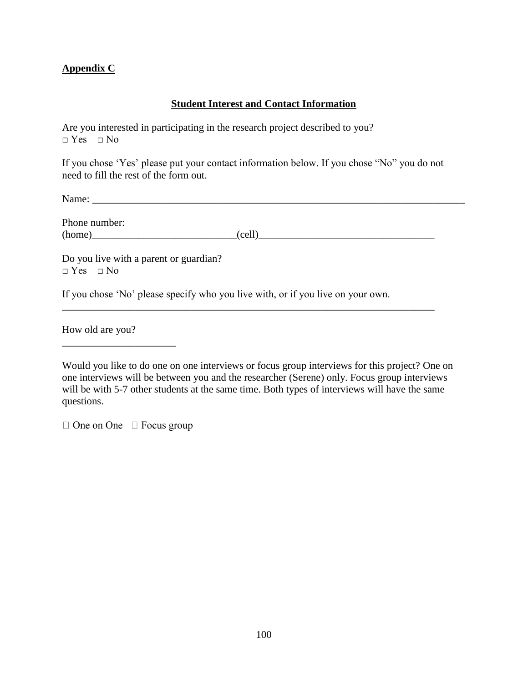### **Appendix C**

### **Student Interest and Contact Information**

Are you interested in participating in the research project described to you?  $\neg$  Yes  $\neg$  No

If you chose 'Yes' please put your contact information below. If you chose "No" you do not need to fill the rest of the form out.

Name: \_\_\_\_\_\_\_\_\_\_\_\_\_\_\_\_\_\_\_\_\_\_\_\_\_\_\_\_\_\_\_\_\_\_\_\_\_\_\_\_\_\_\_\_\_\_\_\_\_\_\_\_\_\_\_\_\_\_\_\_\_\_\_\_\_\_\_\_\_\_\_\_

Phone number:  $(home)$ 

Do you live with a parent or guardian?  $\neg$  Yes  $\neg$  No

If you chose 'No' please specify who you live with, or if you live on your own.

\_\_\_\_\_\_\_\_\_\_\_\_\_\_\_\_\_\_\_\_\_\_\_\_\_\_\_\_\_\_\_\_\_\_\_\_\_\_\_\_\_\_\_\_\_\_\_\_\_\_\_\_\_\_\_\_\_\_\_\_\_\_\_\_\_\_\_\_\_\_\_\_

How old are you?

\_\_\_\_\_\_\_\_\_\_\_\_\_\_\_\_\_\_\_\_\_\_

 $\Box$  One on One  $\Box$  Focus group

Would you like to do one on one interviews or focus group interviews for this project? One on one interviews will be between you and the researcher (Serene) only. Focus group interviews will be with 5-7 other students at the same time. Both types of interviews will have the same questions.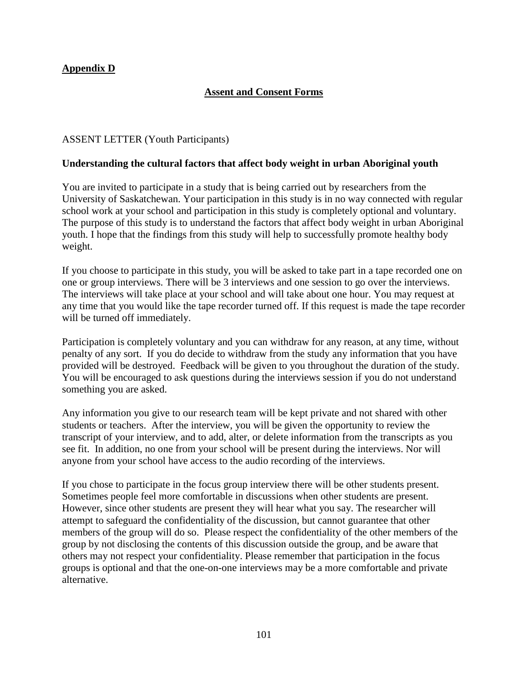# **Appendix D**

# **Assent and Consent Forms**

### ASSENT LETTER (Youth Participants)

### **Understanding the cultural factors that affect body weight in urban Aboriginal youth**

You are invited to participate in a study that is being carried out by researchers from the University of Saskatchewan. Your participation in this study is in no way connected with regular school work at your school and participation in this study is completely optional and voluntary. The purpose of this study is to understand the factors that affect body weight in urban Aboriginal youth. I hope that the findings from this study will help to successfully promote healthy body weight.

If you choose to participate in this study, you will be asked to take part in a tape recorded one on one or group interviews. There will be 3 interviews and one session to go over the interviews. The interviews will take place at your school and will take about one hour. You may request at any time that you would like the tape recorder turned off. If this request is made the tape recorder will be turned off immediately.

Participation is completely voluntary and you can withdraw for any reason, at any time, without penalty of any sort. If you do decide to withdraw from the study any information that you have provided will be destroyed. Feedback will be given to you throughout the duration of the study. You will be encouraged to ask questions during the interviews session if you do not understand something you are asked.

Any information you give to our research team will be kept private and not shared with other students or teachers. After the interview, you will be given the opportunity to review the transcript of your interview, and to add, alter, or delete information from the transcripts as you see fit. In addition, no one from your school will be present during the interviews. Nor will anyone from your school have access to the audio recording of the interviews.

If you chose to participate in the focus group interview there will be other students present. Sometimes people feel more comfortable in discussions when other students are present. However, since other students are present they will hear what you say. The researcher will attempt to safeguard the confidentiality of the discussion, but cannot guarantee that other members of the group will do so. Please respect the confidentiality of the other members of the group by not disclosing the contents of this discussion outside the group, and be aware that others may not respect your confidentiality. Please remember that participation in the focus groups is optional and that the one-on-one interviews may be a more comfortable and private alternative.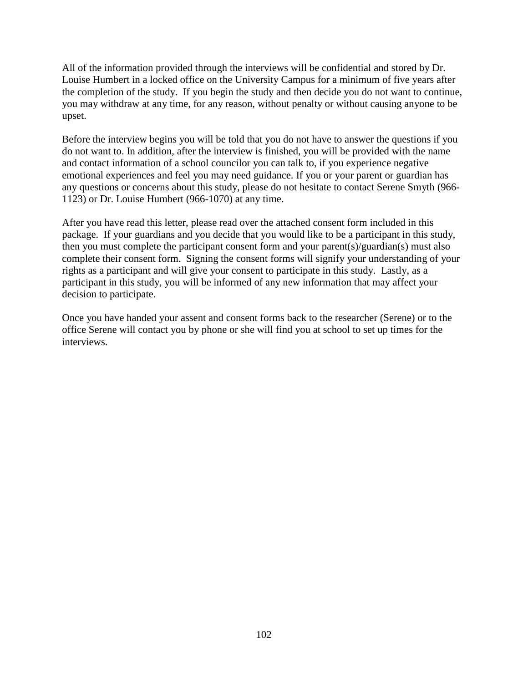All of the information provided through the interviews will be confidential and stored by Dr. Louise Humbert in a locked office on the University Campus for a minimum of five years after the completion of the study. If you begin the study and then decide you do not want to continue, you may withdraw at any time, for any reason, without penalty or without causing anyone to be upset.

Before the interview begins you will be told that you do not have to answer the questions if you do not want to. In addition, after the interview is finished, you will be provided with the name and contact information of a school councilor you can talk to, if you experience negative emotional experiences and feel you may need guidance. If you or your parent or guardian has any questions or concerns about this study, please do not hesitate to contact Serene Smyth (966- 1123) or Dr. Louise Humbert (966-1070) at any time.

After you have read this letter, please read over the attached consent form included in this package. If your guardians and you decide that you would like to be a participant in this study, then you must complete the participant consent form and your parent(s)/guardian(s) must also complete their consent form. Signing the consent forms will signify your understanding of your rights as a participant and will give your consent to participate in this study. Lastly, as a participant in this study, you will be informed of any new information that may affect your decision to participate.

Once you have handed your assent and consent forms back to the researcher (Serene) or to the office Serene will contact you by phone or she will find you at school to set up times for the interviews.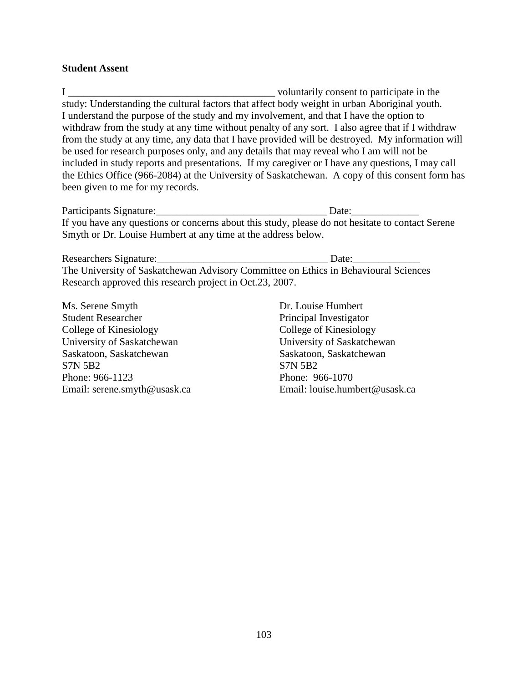#### **Student Assent**

I \_\_\_\_\_\_\_\_\_\_\_\_\_\_\_\_\_\_\_\_\_\_\_\_\_\_\_\_\_\_\_\_\_\_\_\_\_\_\_\_ voluntarily consent to participate in the study: Understanding the cultural factors that affect body weight in urban Aboriginal youth. I understand the purpose of the study and my involvement, and that I have the option to withdraw from the study at any time without penalty of any sort. I also agree that if I withdraw from the study at any time, any data that I have provided will be destroyed. My information will be used for research purposes only, and any details that may reveal who I am will not be included in study reports and presentations. If my caregiver or I have any questions, I may call the Ethics Office (966-2084) at the University of Saskatchewan. A copy of this consent form has been given to me for my records.

Participants Signature:\_\_\_\_\_\_\_\_\_\_\_\_\_\_\_\_\_\_\_\_\_\_\_\_\_\_\_\_\_\_\_\_\_ Date:\_\_\_\_\_\_\_\_\_\_\_\_\_ If you have any questions or concerns about this study, please do not hesitate to contact Serene Smyth or Dr. Louise Humbert at any time at the address below.

Researchers Signature:\_\_\_\_\_\_\_\_\_\_\_\_\_\_\_\_\_\_\_\_\_\_\_\_\_\_\_\_\_\_\_\_\_ Date:\_\_\_\_\_\_\_\_\_\_\_\_\_ The University of Saskatchewan Advisory Committee on Ethics in Behavioural Sciences Research approved this research project in Oct.23, 2007.

Ms. Serene Smyth Dr. Louise Humbert Student Researcher Principal Investigator College of Kinesiology College of Kinesiology University of Saskatchewan University of Saskatchewan Saskatoon, Saskatchewan Saskatoon, Saskatoon, Saskatchewan S7N 5B2 S7N 5B2 Phone: 966-1123 Phone: 966-1070

Email: serene.smyth@usask.ca Email: louise.humbert@usask.ca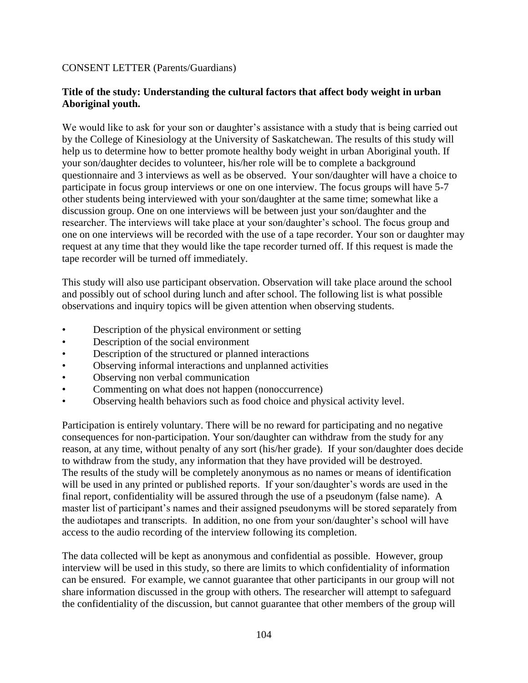### CONSENT LETTER (Parents/Guardians)

### **Title of the study: Understanding the cultural factors that affect body weight in urban Aboriginal youth.**

We would like to ask for your son or daughter's assistance with a study that is being carried out by the College of Kinesiology at the University of Saskatchewan. The results of this study will help us to determine how to better promote healthy body weight in urban Aboriginal youth. If your son/daughter decides to volunteer, his/her role will be to complete a background questionnaire and 3 interviews as well as be observed. Your son/daughter will have a choice to participate in focus group interviews or one on one interview. The focus groups will have 5-7 other students being interviewed with your son/daughter at the same time; somewhat like a discussion group. One on one interviews will be between just your son/daughter and the researcher. The interviews will take place at your son/daughter's school. The focus group and one on one interviews will be recorded with the use of a tape recorder. Your son or daughter may request at any time that they would like the tape recorder turned off. If this request is made the tape recorder will be turned off immediately.

This study will also use participant observation. Observation will take place around the school and possibly out of school during lunch and after school. The following list is what possible observations and inquiry topics will be given attention when observing students.

- Description of the physical environment or setting
- Description of the social environment
- Description of the structured or planned interactions
- Observing informal interactions and unplanned activities
- Observing non verbal communication
- Commenting on what does not happen (nonoccurrence)
- Observing health behaviors such as food choice and physical activity level.

Participation is entirely voluntary. There will be no reward for participating and no negative consequences for non-participation. Your son/daughter can withdraw from the study for any reason, at any time, without penalty of any sort (his/her grade). If your son/daughter does decide to withdraw from the study, any information that they have provided will be destroyed. The results of the study will be completely anonymous as no names or means of identification will be used in any printed or published reports. If your son/daughter's words are used in the final report, confidentiality will be assured through the use of a pseudonym (false name). A master list of participant's names and their assigned pseudonyms will be stored separately from the audiotapes and transcripts. In addition, no one from your son/daughter's school will have access to the audio recording of the interview following its completion.

The data collected will be kept as anonymous and confidential as possible. However, group interview will be used in this study, so there are limits to which confidentiality of information can be ensured. For example, we cannot guarantee that other participants in our group will not share information discussed in the group with others. The researcher will attempt to safeguard the confidentiality of the discussion, but cannot guarantee that other members of the group will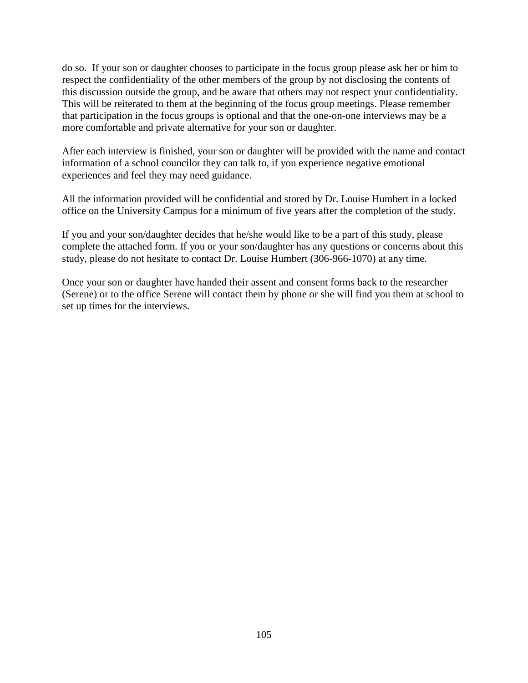do so. If your son or daughter chooses to participate in the focus group please ask her or him to respect the confidentiality of the other members of the group by not disclosing the contents of this discussion outside the group, and be aware that others may not respect your confidentiality. This will be reiterated to them at the beginning of the focus group meetings. Please remember that participation in the focus groups is optional and that the one-on-one interviews may be a more comfortable and private alternative for your son or daughter.

After each interview is finished, your son or daughter will be provided with the name and contact information of a school councilor they can talk to, if you experience negative emotional experiences and feel they may need guidance.

All the information provided will be confidential and stored by Dr. Louise Humbert in a locked office on the University Campus for a minimum of five years after the completion of the study.

If you and your son/daughter decides that he/she would like to be a part of this study, please complete the attached form. If you or your son/daughter has any questions or concerns about this study, please do not hesitate to contact Dr. Louise Humbert (306-966-1070) at any time.

Once your son or daughter have handed their assent and consent forms back to the researcher (Serene) or to the office Serene will contact them by phone or she will find you them at school to set up times for the interviews.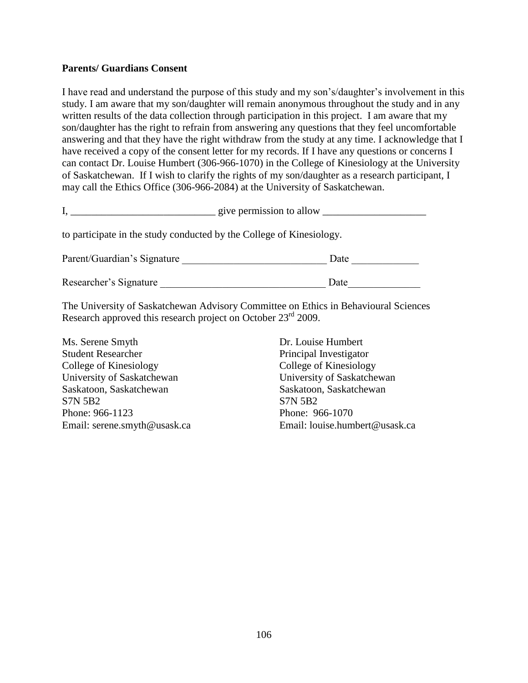### **Parents/ Guardians Consent**

I have read and understand the purpose of this study and my son's/daughter's involvement in this study. I am aware that my son/daughter will remain anonymous throughout the study and in any written results of the data collection through participation in this project. I am aware that my son/daughter has the right to refrain from answering any questions that they feel uncomfortable answering and that they have the right withdraw from the study at any time. I acknowledge that I have received a copy of the consent letter for my records. If I have any questions or concerns I can contact Dr. Louise Humbert (306-966-1070) in the College of Kinesiology at the University of Saskatchewan. If I wish to clarify the rights of my son/daughter as a research participant, I may call the Ethics Office (306-966-2084) at the University of Saskatchewan.

| give permission to allow |  |
|--------------------------|--|
|--------------------------|--|

to participate in the study conducted by the College of Kinesiology.

| Parent/Guardian's Signature | Date |
|-----------------------------|------|
| Researcher's Signature      | Date |

The University of Saskatchewan Advisory Committee on Ethics in Behavioural Sciences Research approved this research project on October 23<sup>rd</sup> 2009.

Ms. Serene Smyth Dr. Louise Humbert Student Researcher Principal Investigator College of Kinesiology College of Kinesiology University of Saskatchewan University of Saskatchewan Saskatoon, Saskatchewan Saskatoon, Saskatoon, Saskatchewan S7N 5B2 S7N 5B2 Phone: 966-1123 Phone: 966-1070

Email: serene.smyth@usask.ca Email: louise.humbert@usask.ca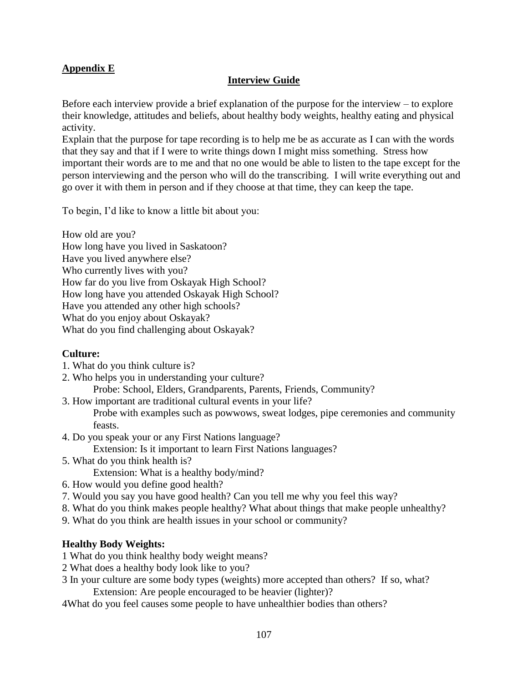# **Appendix E**

### **Interview Guide**

Before each interview provide a brief explanation of the purpose for the interview – to explore their knowledge, attitudes and beliefs, about healthy body weights, healthy eating and physical activity.

Explain that the purpose for tape recording is to help me be as accurate as I can with the words that they say and that if I were to write things down I might miss something. Stress how important their words are to me and that no one would be able to listen to the tape except for the person interviewing and the person who will do the transcribing. I will write everything out and go over it with them in person and if they choose at that time, they can keep the tape.

To begin, I'd like to know a little bit about you:

How old are you? How long have you lived in Saskatoon? Have you lived anywhere else? Who currently lives with you? How far do you live from Oskayak High School? How long have you attended Oskayak High School? Have you attended any other high schools? What do you enjoy about Oskayak? What do you find challenging about Oskayak?

### **Culture:**

- 1. What do you think culture is?
- 2. Who helps you in understanding your culture? Probe: School, Elders, Grandparents, Parents, Friends, Community?
- 3. How important are traditional cultural events in your life? Probe with examples such as powwows, sweat lodges, pipe ceremonies and community feasts.
- 4. Do you speak your or any First Nations language? Extension: Is it important to learn First Nations languages?
- 5. What do you think health is? Extension: What is a healthy body/mind?
- 6. How would you define good health?
- 7. Would you say you have good health? Can you tell me why you feel this way?
- 8. What do you think makes people healthy? What about things that make people unhealthy?
- 9. What do you think are health issues in your school or community?

### **Healthy Body Weights:**

- 1 What do you think healthy body weight means?
- 2 What does a healthy body look like to you?
- 3 In your culture are some body types (weights) more accepted than others? If so, what? Extension: Are people encouraged to be heavier (lighter)?
- 4What do you feel causes some people to have unhealthier bodies than others?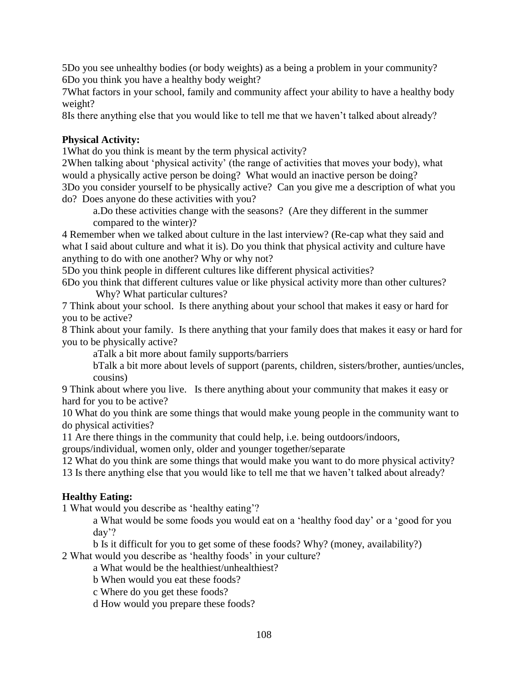5Do you see unhealthy bodies (or body weights) as a being a problem in your community? 6Do you think you have a healthy body weight?

7What factors in your school, family and community affect your ability to have a healthy body weight?

8Is there anything else that you would like to tell me that we haven't talked about already?

# **Physical Activity:**

1What do you think is meant by the term physical activity?

2When talking about 'physical activity' (the range of activities that moves your body), what would a physically active person be doing? What would an inactive person be doing? 3Do you consider yourself to be physically active? Can you give me a description of what you do? Does anyone do these activities with you?

a.Do these activities change with the seasons? (Are they different in the summer compared to the winter)?

4 Remember when we talked about culture in the last interview? (Re-cap what they said and what I said about culture and what it is). Do you think that physical activity and culture have anything to do with one another? Why or why not?

5Do you think people in different cultures like different physical activities?

6Do you think that different cultures value or like physical activity more than other cultures? Why? What particular cultures?

7 Think about your school. Is there anything about your school that makes it easy or hard for you to be active?

8 Think about your family. Is there anything that your family does that makes it easy or hard for you to be physically active?

aTalk a bit more about family supports/barriers

bTalk a bit more about levels of support (parents, children, sisters/brother, aunties/uncles, cousins)

9 Think about where you live. Is there anything about your community that makes it easy or hard for you to be active?

10 What do you think are some things that would make young people in the community want to do physical activities?

11 Are there things in the community that could help, i.e. being outdoors/indoors,

groups/individual, women only, older and younger together/separate

12 What do you think are some things that would make you want to do more physical activity?

13 Is there anything else that you would like to tell me that we haven't talked about already?

# **Healthy Eating:**

1 What would you describe as 'healthy eating'?

a What would be some foods you would eat on a 'healthy food day' or a 'good for you day'?

b Is it difficult for you to get some of these foods? Why? (money, availability?)

2 What would you describe as 'healthy foods' in your culture?

a What would be the healthiest/unhealthiest?

b When would you eat these foods?

c Where do you get these foods?

d How would you prepare these foods?